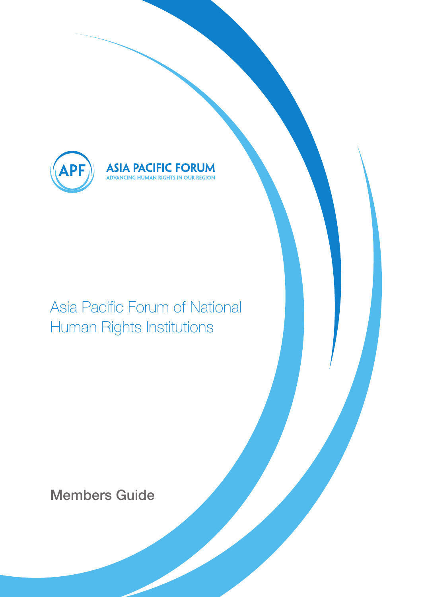

Asia Pacific Forum of National Human Rights Institutions

**ASIA PACIFIC FORUM**<br>ADVANCING HUMAN RIGHTS IN OUR REGION

Members Guide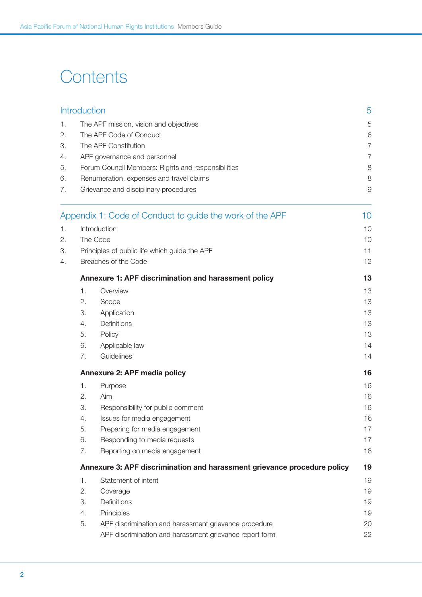# **Contents**

|                               | <b>Introduction</b>                                                            |                                                          | 5              |  |
|-------------------------------|--------------------------------------------------------------------------------|----------------------------------------------------------|----------------|--|
| 1.                            |                                                                                | The APF mission, vision and objectives                   | 5              |  |
| The APF Code of Conduct<br>2. |                                                                                |                                                          | 6              |  |
| 3.                            | The APF Constitution                                                           |                                                          |                |  |
| 4.                            |                                                                                | APF governance and personnel                             | $\overline{7}$ |  |
| 5.                            |                                                                                | Forum Council Members: Rights and responsibilities       | 8              |  |
| 6.                            |                                                                                | Renumeration, expenses and travel claims                 | 8              |  |
| 7.                            |                                                                                | Grievance and disciplinary procedures                    | $\Theta$       |  |
|                               |                                                                                | Appendix 1: Code of Conduct to guide the work of the APF | 10             |  |
| 1.                            |                                                                                | Introduction                                             | 10             |  |
| 2.                            |                                                                                | The Code                                                 | 10             |  |
| 3.                            |                                                                                | Principles of public life which guide the APF            | 11             |  |
| 4.                            |                                                                                | Breaches of the Code                                     | 12             |  |
|                               | Annexure 1: APF discrimination and harassment policy<br>13                     |                                                          |                |  |
|                               | $\mathbf{1}$ .                                                                 | Overview                                                 | 13             |  |
|                               | 2.                                                                             | Scope                                                    | 13             |  |
|                               | З.                                                                             | Application                                              | 13             |  |
|                               | 4.                                                                             | Definitions                                              | 13             |  |
|                               | 5.                                                                             | Policy                                                   | 13             |  |
|                               | 6.                                                                             | Applicable law                                           | 14             |  |
|                               | 7.                                                                             | Guidelines                                               | 14             |  |
|                               |                                                                                | Annexure 2: APF media policy<br>16                       |                |  |
|                               | 1.                                                                             | Purpose                                                  | 16             |  |
|                               | 2.                                                                             | Aim                                                      | 16             |  |
|                               | 3.                                                                             | Responsibility for public comment                        | 16             |  |
|                               | 4.                                                                             | Issues for media engagement                              | 16             |  |
|                               | 5.                                                                             | Preparing for media engagement                           | 17             |  |
|                               | 6.                                                                             | Responding to media requests                             | 17             |  |
|                               | 7.                                                                             | Reporting on media engagement                            | 18             |  |
|                               | Annexure 3: APF discrimination and harassment grievance procedure policy<br>19 |                                                          |                |  |
|                               | 1.                                                                             | Statement of intent                                      | 19             |  |
|                               | 2.                                                                             | Coverage                                                 | 19             |  |
|                               | 3.                                                                             | Definitions                                              | 19             |  |
|                               | 4.                                                                             | Principles                                               | 19             |  |
|                               | 5.                                                                             | APF discrimination and harassment grievance procedure    | 20             |  |
|                               |                                                                                | APF discrimination and harassment grievance report form  | 22             |  |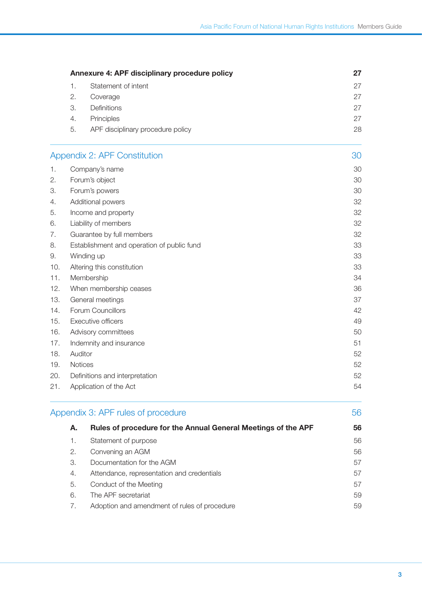|     | Annexure 4: APF disciplinary procedure policy |                                                               | 27 |  |
|-----|-----------------------------------------------|---------------------------------------------------------------|----|--|
|     | 1.                                            | Statement of intent                                           | 27 |  |
|     | 2.                                            | Coverage                                                      | 27 |  |
|     | 3.                                            | Definitions                                                   | 27 |  |
|     | 4.                                            | Principles                                                    | 27 |  |
|     | 5.                                            | APF disciplinary procedure policy                             | 28 |  |
|     |                                               | <b>Appendix 2: APF Constitution</b>                           | 30 |  |
| 1.  |                                               | Company's name                                                | 30 |  |
| 2.  |                                               | Forum's object                                                | 30 |  |
| 3.  |                                               | Forum's powers                                                | 30 |  |
| 4.  |                                               | Additional powers                                             | 32 |  |
| 5.  |                                               | Income and property                                           | 32 |  |
| 6.  |                                               | Liability of members                                          | 32 |  |
| 7.  |                                               | Guarantee by full members                                     | 32 |  |
| 8.  |                                               | Establishment and operation of public fund                    | 33 |  |
| 9.  |                                               | Winding up                                                    | 33 |  |
| 10. |                                               | Altering this constitution                                    | 33 |  |
| 11. |                                               | Membership                                                    | 34 |  |
| 12. |                                               | When membership ceases                                        | 36 |  |
| 13. |                                               | General meetings                                              | 37 |  |
| 14. |                                               | Forum Councillors                                             | 42 |  |
| 15. |                                               | Executive officers                                            | 49 |  |
| 16. | Advisory committees                           |                                                               | 50 |  |
| 17. |                                               | Indemnity and insurance                                       | 51 |  |
| 18. | Auditor                                       |                                                               | 52 |  |
| 19. | Notices                                       |                                                               | 52 |  |
| 20. | Definitions and interpretation                |                                                               | 52 |  |
| 21. | 54<br>Application of the Act                  |                                                               |    |  |
|     |                                               | Appendix 3: APF rules of procedure                            | 56 |  |
|     | А.                                            | Rules of procedure for the Annual General Meetings of the APF | 56 |  |
|     | 1.                                            | Statement of purpose                                          | 56 |  |
|     | 2.                                            | Convening an AGM                                              | 56 |  |
|     | 3.                                            | Documentation for the AGM                                     | 57 |  |
|     | 4.                                            | Attendance, representation and credentials                    | 57 |  |

6. The APF secretariat 59 7. Adoption and amendment of rules of procedure 69

5. Conduct of the Meeting 57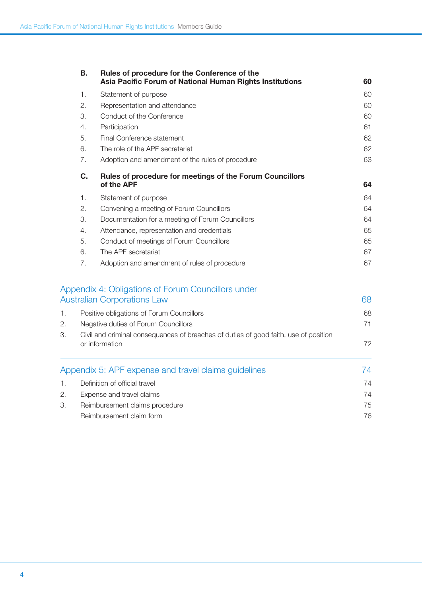|                | В.                                                     | Rules of procedure for the Conference of the<br>Asia Pacific Forum of National Human Rights Institutions | 60 |  |
|----------------|--------------------------------------------------------|----------------------------------------------------------------------------------------------------------|----|--|
|                | 1.                                                     | Statement of purpose                                                                                     | 60 |  |
|                | 2.                                                     | Representation and attendance                                                                            | 60 |  |
|                | 3.                                                     | Conduct of the Conference                                                                                | 60 |  |
|                | 4.                                                     | Participation                                                                                            | 61 |  |
|                | 5.                                                     | Final Conference statement                                                                               | 62 |  |
|                | 6.                                                     | The role of the APF secretariat                                                                          | 62 |  |
|                | 7.                                                     | Adoption and amendment of the rules of procedure                                                         | 63 |  |
|                | C.                                                     | Rules of procedure for meetings of the Forum Councillors<br>of the APF                                   | 64 |  |
|                | 1.                                                     | Statement of purpose                                                                                     | 64 |  |
|                | 2.                                                     | Convening a meeting of Forum Councillors                                                                 | 64 |  |
|                | 3.<br>Documentation for a meeting of Forum Councillors |                                                                                                          | 64 |  |
|                | 4.                                                     | Attendance, representation and credentials                                                               |    |  |
|                | 5.                                                     | Conduct of meetings of Forum Councillors                                                                 | 65 |  |
|                | 6.                                                     | The APF secretariat                                                                                      | 67 |  |
|                | 7.                                                     | Adoption and amendment of rules of procedure                                                             | 67 |  |
|                |                                                        | Appendix 4: Obligations of Forum Councillors under                                                       |    |  |
|                |                                                        | <b>Australian Corporations Law</b>                                                                       | 68 |  |
| $\mathbf{1}$ . |                                                        | Positive obligations of Forum Councillors                                                                | 68 |  |
| 2.             | Negative duties of Forum Councillors                   |                                                                                                          | 71 |  |
| 3.             |                                                        | Civil and criminal consequences of breaches of duties of good faith, use of position                     |    |  |
|                |                                                        | or information                                                                                           |    |  |
|                |                                                        | Appendix 5: APF expense and travel claims guidelines                                                     | 74 |  |
| 1.             |                                                        | Definition of official travel                                                                            | 74 |  |
| 2.             | Expense and travel claims                              |                                                                                                          | 74 |  |
|                |                                                        |                                                                                                          |    |  |

| Reimbursement claims procedure | 75 |
|--------------------------------|----|
| Reimbursement claim form       | 76 |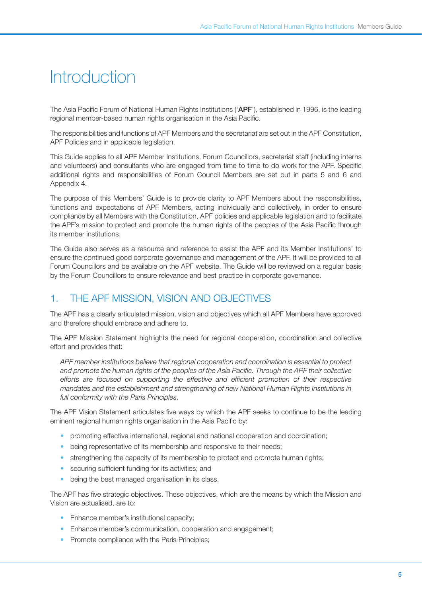# **Introduction**

The Asia Pacific Forum of National Human Rights Institutions ('APF'), established in 1996, is the leading regional member-based human rights organisation in the Asia Pacific.

The responsibilities and functions of APF Members and the secretariat are set out in the APF Constitution, APF Policies and in applicable legislation.

This Guide applies to all APF Member Institutions, Forum Councillors, secretariat staff (including interns and volunteers) and consultants who are engaged from time to time to do work for the APF. Specific additional rights and responsibilities of Forum Council Members are set out in parts 5 and 6 and Appendix 4.

The purpose of this Members' Guide is to provide clarity to APF Members about the responsibilities, functions and expectations of APF Members, acting individually and collectively, in order to ensure compliance by all Members with the Constitution, APF policies and applicable legislation and to facilitate the APF's mission to protect and promote the human rights of the peoples of the Asia Pacific through its member institutions.

The Guide also serves as a resource and reference to assist the APF and its Member Institutions' to ensure the continued good corporate governance and management of the APF. It will be provided to all Forum Councillors and be available on the APF website. The Guide will be reviewed on a regular basis by the Forum Councillors to ensure relevance and best practice in corporate governance.

# 1. The APF Mission, Vision and Objectives

The APF has a clearly articulated mission, vision and objectives which all APF Members have approved and therefore should embrace and adhere to.

The APF Mission Statement highlights the need for regional cooperation, coordination and collective effort and provides that:

*APF member institutions believe that regional cooperation and coordination is essential to protect*  and promote the human rights of the peoples of the Asia Pacific. Through the APF their collective *efforts are focused on supporting the effective and efficient promotion of their respective mandates and the establishment and strengthening of new National Human Rights Institutions in full conformity with the Paris Principles.*

The APF Vision Statement articulates five ways by which the APF seeks to continue to be the leading eminent regional human rights organisation in the Asia Pacific by:

- promoting effective international, regional and national cooperation and coordination;
- being representative of its membership and responsive to their needs;
- strengthening the capacity of its membership to protect and promote human rights;
- securing sufficient funding for its activities; and
- being the best managed organisation in its class.

The APF has five strategic objectives. These objectives, which are the means by which the Mission and Vision are actualised, are to:

- Enhance member's institutional capacity;
- Enhance member's communication, cooperation and engagement;
- Promote compliance with the Paris Principles;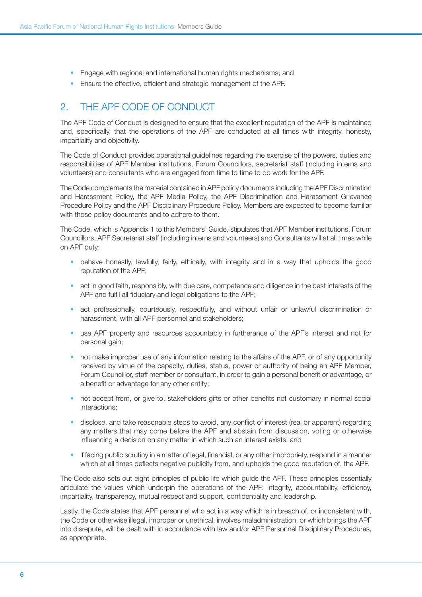- Engage with regional and international human rights mechanisms; and
- Ensure the effective, efficient and strategic management of the APF.

# 2. THE APE CODE OF CONDUCT

The APF Code of Conduct is designed to ensure that the excellent reputation of the APF is maintained and, specifically, that the operations of the APF are conducted at all times with integrity, honesty, impartiality and objectivity.

The Code of Conduct provides operational guidelines regarding the exercise of the powers, duties and responsibilities of APF Member institutions, Forum Councillors, secretariat staff (including interns and volunteers) and consultants who are engaged from time to time to do work for the APF.

The Code complements the material contained in APF policy documents including the APF Discrimination and Harassment Policy, the APF Media Policy, the APF Discrimination and Harassment Grievance Procedure Policy and the APF Disciplinary Procedure Policy. Members are expected to become familiar with those policy documents and to adhere to them.

The Code, which is Appendix 1 to this Members' Guide, stipulates that APF Member institutions, Forum Councillors, APF Secretariat staff (including interns and volunteers) and Consultants will at all times while on APF duty:

- behave honestly, lawfully, fairly, ethically, with integrity and in a way that upholds the good reputation of the APF;
- act in good faith, responsibly, with due care, competence and diligence in the best interests of the APF and fulfil all fiduciary and legal obligations to the APF;
- act professionally, courteously, respectfully, and without unfair or unlawful discrimination or harassment, with all APF personnel and stakeholders;
- use APF property and resources accountably in furtherance of the APF's interest and not for personal gain;
- not make improper use of any information relating to the affairs of the APF, or of any opportunity received by virtue of the capacity, duties, status, power or authority of being an APF Member, Forum Councillor, staff member or consultant, in order to gain a personal benefit or advantage, or a benefit or advantage for any other entity;
- not accept from, or give to, stakeholders gifts or other benefits not customary in normal social interactions;
- disclose, and take reasonable steps to avoid, any conflict of interest (real or apparent) regarding any matters that may come before the APF and abstain from discussion, voting or otherwise influencing a decision on any matter in which such an interest exists; and
- if facing public scrutiny in a matter of legal, financial, or any other impropriety, respond in a manner which at all times deflects negative publicity from, and upholds the good reputation of, the APF.

The Code also sets out eight principles of public life which guide the APF. These principles essentially articulate the values which underpin the operations of the APF: integrity, accountability, efficiency, impartiality, transparency, mutual respect and support, confidentiality and leadership.

Lastly, the Code states that APF personnel who act in a way which is in breach of, or inconsistent with, the Code or otherwise illegal, improper or unethical, involves maladministration, or which brings the APF into disrepute, will be dealt with in accordance with law and/or APF Personnel Disciplinary Procedures, as appropriate.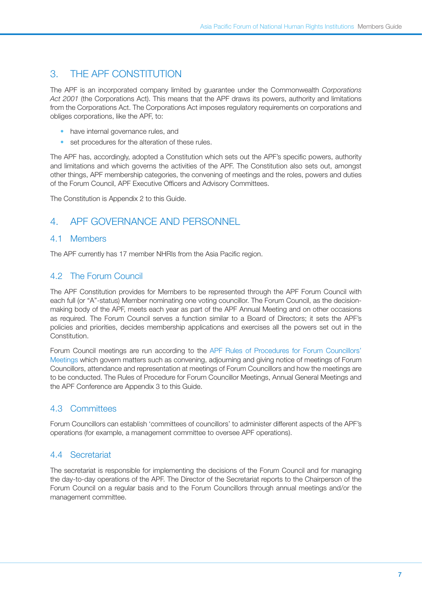# 3. The APF Constitution

The APF is an incorporated company limited by guarantee under the Commonwealth *Corporations Act 2001* (the Corporations Act). This means that the APF draws its powers, authority and limitations from the Corporations Act. The Corporations Act imposes regulatory requirements on corporations and obliges corporations, like the APF, to:

- have internal governance rules, and
- set procedures for the alteration of these rules.

The APF has, accordingly, adopted a Constitution which sets out the APF's specific powers, authority and limitations and which governs the activities of the APF. The Constitution also sets out, amongst other things, APF membership categories, the convening of meetings and the roles, powers and duties of the Forum Council, APF Executive Officers and Advisory Committees.

The Constitution is Appendix 2 to this Guide.

## 4. APF Governance and Personnel

#### 4.1 Members

The APF currently has 17 member NHRIs from the Asia Pacific region.

## 4.2 The Forum Council

The APF Constitution provides for Members to be represented through the APF Forum Council with each full (or "A"-status) Member nominating one voting councillor. The Forum Council, as the decisionmaking body of the APF, meets each year as part of the APF Annual Meeting and on other occasions as required. The Forum Council serves a function similar to a Board of Directors; it sets the APF's policies and priorities, decides membership applications and exercises all the powers set out in the Constitution.

Forum Council meetings are run according to the [APF Rules of Procedures for Forum Councillors'](http://www.asiapacificforum.net/about/governance/annual-meetings/downloads/apf-rules-of-procedures/Forum_Councillors_Meeting.doc) [Meetings](http://www.asiapacificforum.net/about/governance/annual-meetings/downloads/apf-rules-of-procedures/Forum_Councillors_Meeting.doc) which govern matters such as convening, adjourning and giving notice of meetings of Forum Councillors, attendance and representation at meetings of Forum Councillors and how the meetings are to be conducted. The Rules of Procedure for Forum Councillor Meetings, Annual General Meetings and the APF Conference are Appendix 3 to this Guide.

## 4.3 Committees

Forum Councillors can establish 'committees of councillors' to administer different aspects of the APF's operations (for example, a management committee to oversee APF operations).

## 4.4 Secretariat

The secretariat is responsible for implementing the decisions of the Forum Council and for managing the day-to-day operations of the APF. The Director of the Secretariat reports to the Chairperson of the Forum Council on a regular basis and to the Forum Councillors through annual meetings and/or the management committee.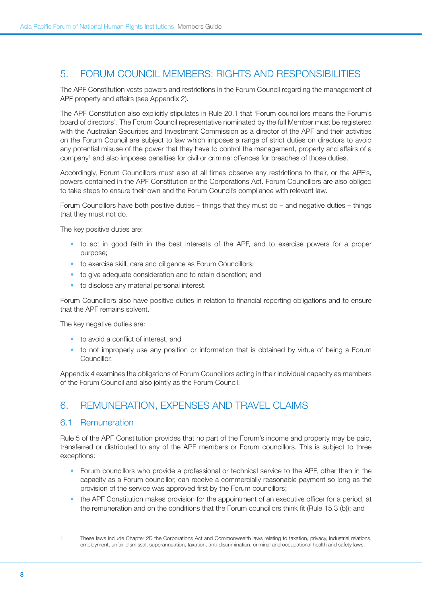# 5. Forum Council Members: Rights and Responsibilities

The APF Constitution vests powers and restrictions in the Forum Council regarding the management of APF property and affairs (see Appendix 2).

The APF Constitution also explicitly stipulates in Rule 20.1 that 'Forum councillors means the Forum's board of directors'. The Forum Council representative nominated by the full Member must be registered with the Australian Securities and Investment Commission as a director of the APF and their activities on the Forum Council are subject to law which imposes a range of strict duties on directors to avoid any potential misuse of the power that they have to control the management, property and affairs of a company1 and also imposes penalties for civil or criminal offences for breaches of those duties.

Accordingly, Forum Councillors must also at all times observe any restrictions to their, or the APF's, powers contained in the APF Constitution or the Corporations Act. Forum Councillors are also obliged to take steps to ensure their own and the Forum Council's compliance with relevant law.

Forum Councillors have both positive duties – things that they must do – and negative duties – things that they must not do.

The key positive duties are:

- to act in good faith in the best interests of the APF, and to exercise powers for a proper purpose;
- to exercise skill, care and diligence as Forum Councillors;
- to give adequate consideration and to retain discretion; and
- to disclose any material personal interest.

Forum Councillors also have positive duties in relation to financial reporting obligations and to ensure that the APF remains solvent.

The key negative duties are:

- • to avoid a conflict of interest, and
- to not improperly use any position or information that is obtained by virtue of being a Forum Councillor.

Appendix 4 examines the obligations of Forum Councillors acting in their individual capacity as members of the Forum Council and also jointly as the Forum Council.

## 6. Remuneration, Expenses and Travel Claims

#### 6.1 Remuneration

Rule 5 of the APF Constitution provides that no part of the Forum's income and property may be paid, transferred or distributed to any of the APF members or Forum councillors. This is subject to three exceptions:

- Forum councillors who provide a professional or technical service to the APF, other than in the capacity as a Forum councillor, can receive a commercially reasonable payment so long as the provision of the service was approved first by the Forum councillors;
- the APF Constitution makes provision for the appointment of an executive officer for a period, at the remuneration and on the conditions that the Forum councillors think fit (Rule 15.3 (b)); and

These laws include Chapter 2D the Corporations Act and Commonwealth laws relating to taxation, privacy, industrial relations, employment, unfair dismissal, superannuation, taxation, anti-discrimination, criminal and occupational health and safety laws.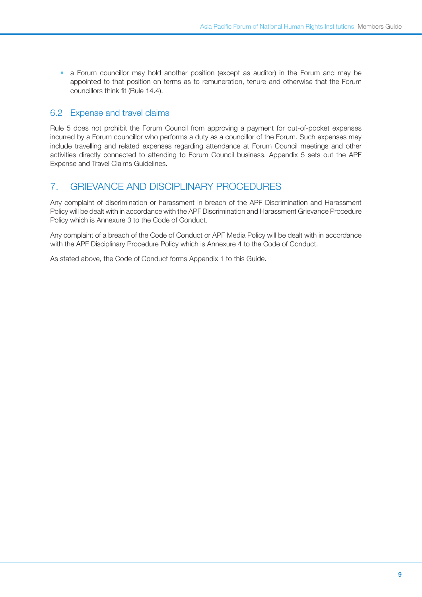• a Forum councillor may hold another position (except as auditor) in the Forum and may be appointed to that position on terms as to remuneration, tenure and otherwise that the Forum councillors think fit (Rule 14.4).

## 6.2 Expense and travel claims

Rule 5 does not prohibit the Forum Council from approving a payment for out-of-pocket expenses incurred by a Forum councillor who performs a duty as a councillor of the Forum. Such expenses may include travelling and related expenses regarding attendance at Forum Council meetings and other activities directly connected to attending to Forum Council business. Appendix 5 sets out the APF Expense and Travel Claims Guidelines.

# 7. Grievance and Disciplinary Procedures

Any complaint of discrimination or harassment in breach of the APF Discrimination and Harassment Policy will be dealt with in accordance with the APF Discrimination and Harassment Grievance Procedure Policy which is Annexure 3 to the Code of Conduct.

Any complaint of a breach of the Code of Conduct or APF Media Policy will be dealt with in accordance with the APF Disciplinary Procedure Policy which is Annexure 4 to the Code of Conduct.

As stated above, the Code of Conduct forms Appendix 1 to this Guide.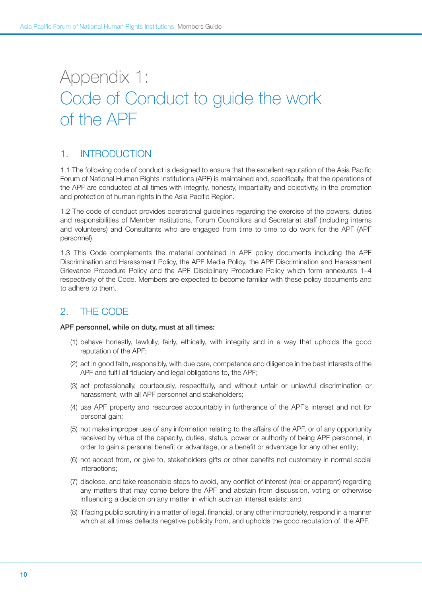# Appendix 1: Code of Conduct to guide the work of the APF

# 1. INTRODUCTION

1.1 The following code of conduct is designed to ensure that the excellent reputation of the Asia Pacific Forum of National Human Rights Institutions (APF) is maintained and, specifically, that the operations of the APF are conducted at all times with integrity, honesty, impartiality and objectivity, in the promotion and protection of human rights in the Asia Pacific Region.

1.2 The code of conduct provides operational guidelines regarding the exercise of the powers, duties and responsibilities of Member institutions, Forum Councillors and Secretariat staff (including interns and volunteers) and Consultants who are engaged from time to time to do work for the APF (APF personnel).

1.3 This Code complements the material contained in APF policy documents including the APF Discrimination and Harassment Policy, the APF Media Policy, the APF Discrimination and Harassment Grievance Procedure Policy and the APF Disciplinary Procedure Policy which form annexures 1–4 respectively of the Code. Members are expected to become familiar with these policy documents and to adhere to them.

# 2. THE CODE

#### APF personnel, while on duty, must at all times:

- (1) behave honestly, lawfully, fairly, ethically, with integrity and in a way that upholds the good reputation of the APF;
- (2) act in good faith, responsibly, with due care, competence and diligence in the best interests of the APF and fulfil all fiduciary and legal obligations to, the APF;
- (3) act professionally, courteously, respectfully, and without unfair or unlawful discrimination or harassment, with all APF personnel and stakeholders;
- (4) use APF property and resources accountably in furtherance of the APF's interest and not for personal gain;
- (5) not make improper use of any information relating to the affairs of the APF, or of any opportunity received by virtue of the capacity, duties, status, power or authority of being APF personnel, in order to gain a personal benefit or advantage, or a benefit or advantage for any other entity;
- (6) not accept from, or give to, stakeholders gifts or other benefits not customary in normal social interactions;
- (7) disclose, and take reasonable steps to avoid, any conflict of interest (real or apparent) regarding any matters that may come before the APF and abstain from discussion, voting or otherwise influencing a decision on any matter in which such an interest exists; and
- (8) if facing public scrutiny in a matter of legal, financial, or any other impropriety, respond in a manner which at all times deflects negative publicity from, and upholds the good reputation of, the APF.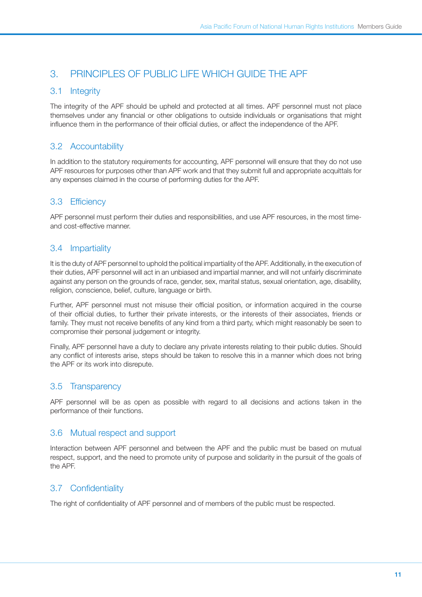# 3. PRINCIPLES OF PUBLIC LIFE WHICH GUIDE THE APF

### 3.1 Integrity

The integrity of the APF should be upheld and protected at all times. APF personnel must not place themselves under any financial or other obligations to outside individuals or organisations that might influence them in the performance of their official duties, or affect the independence of the APF.

## 3.2 Accountability

In addition to the statutory requirements for accounting, APF personnel will ensure that they do not use APF resources for purposes other than APF work and that they submit full and appropriate acquittals for any expenses claimed in the course of performing duties for the APF.

## 3.3 Efficiency

APF personnel must perform their duties and responsibilities, and use APF resources, in the most timeand cost-effective manner.

## 3.4 Impartiality

It is the duty of APF personnel to uphold the political impartiality of the APF. Additionally, in the execution of their duties, APF personnel will act in an unbiased and impartial manner, and will not unfairly discriminate against any person on the grounds of race, gender, sex, marital status, sexual orientation, age, disability, religion, conscience, belief, culture, language or birth.

Further, APF personnel must not misuse their official position, or information acquired in the course of their official duties, to further their private interests, or the interests of their associates, friends or family. They must not receive benefits of any kind from a third party, which might reasonably be seen to compromise their personal judgement or integrity.

Finally, APF personnel have a duty to declare any private interests relating to their public duties. Should any conflict of interests arise, steps should be taken to resolve this in a manner which does not bring the APF or its work into disrepute.

## 3.5 Transparency

APF personnel will be as open as possible with regard to all decisions and actions taken in the performance of their functions.

## 3.6 Mutual respect and support

Interaction between APF personnel and between the APF and the public must be based on mutual respect, support, and the need to promote unity of purpose and solidarity in the pursuit of the goals of the APF.

## 3.7 Confidentiality

The right of confidentiality of APF personnel and of members of the public must be respected.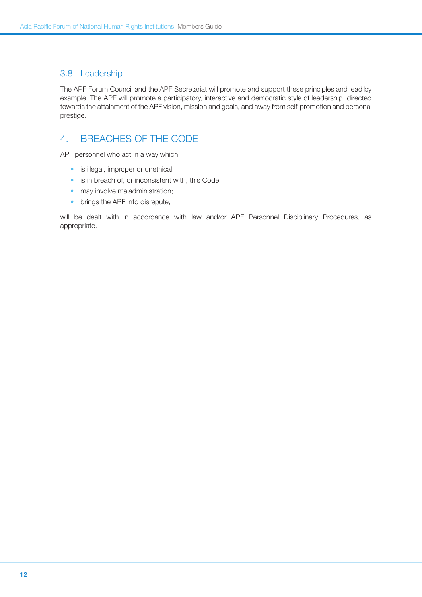## 3.8 Leadership

The APF Forum Council and the APF Secretariat will promote and support these principles and lead by example. The APF will promote a participatory, interactive and democratic style of leadership, directed towards the attainment of the APF vision, mission and goals, and away from self-promotion and personal prestige.

# 4. BREACHES OF THE CODE

APF personnel who act in a way which:

- is illegal, improper or unethical;
- is in breach of, or inconsistent with, this Code;
- may involve maladministration;
- brings the APF into disrepute;

will be dealt with in accordance with law and/or APF Personnel Disciplinary Procedures, as appropriate.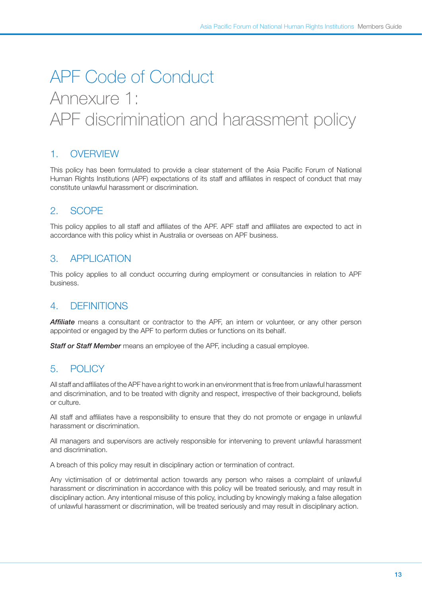# APF Code of Conduct Annexure 1: APF discrimination and harassment policy

# 1 OVERVIEW

This policy has been formulated to provide a clear statement of the Asia Pacific Forum of National Human Rights Institutions (APF) expectations of its staff and affiliates in respect of conduct that may constitute unlawful harassment or discrimination.

# 2. Scope

This policy applies to all staff and affiliates of the APF. APF staff and affiliates are expected to act in accordance with this policy whist in Australia or overseas on APF business.

## 3. Application

This policy applies to all conduct occurring during employment or consultancies in relation to APF business.

## 4. Definitions

*Affiliate* means a consultant or contractor to the APF, an intern or volunteer, or any other person appointed or engaged by the APF to perform duties or functions on its behalf.

*Staff or Staff Member* means an employee of the APF, including a casual employee.

# 5. Policy

All staff and affiliates of the APF have a right to work in an environment that is free from unlawful harassment and discrimination, and to be treated with dignity and respect, irrespective of their background, beliefs or culture.

All staff and affiliates have a responsibility to ensure that they do not promote or engage in unlawful harassment or discrimination.

All managers and supervisors are actively responsible for intervening to prevent unlawful harassment and discrimination.

A breach of this policy may result in disciplinary action or termination of contract.

Any victimisation of or detrimental action towards any person who raises a complaint of unlawful harassment or discrimination in accordance with this policy will be treated seriously, and may result in disciplinary action. Any intentional misuse of this policy, including by knowingly making a false allegation of unlawful harassment or discrimination, will be treated seriously and may result in disciplinary action.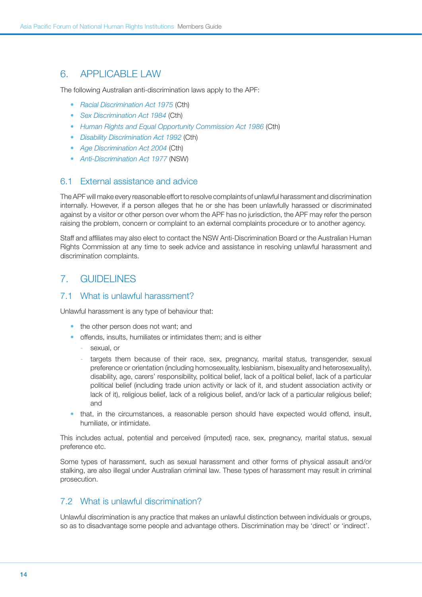## 6. Applicable Law

The following Australian anti-discrimination laws apply to the APF:

- • *[Racial Discrimination Act 1975](http://austlii.law.uts.edu.au/au/legis/cth/consol_act/rda1975202/)* (Cth)
- • *[Sex Discrimination Act 1984](http://austlii.law.uts.edu.au/au/legis/cth/consol_act/sda1984209/)* (Cth)
- • *[Human Rights and Equal Opportunity Commission Act 1986](http://www.comlaw.gov.au/ComLaw/Legislation/ActCompilation1.nsf/0/679EBEFB34CAEAF6CA257140001ACE5C/$file/HumRightEqOppComm1986_WD02_Version1.pdf)* (Cth)
- • *[Disability Discrimination Act 1992](http://www.austlii.edu.au/au/legis/cth/consol_act/dda1992264/)* (Cth)
- • *[Age Discrimination Act 2004](http://www.austlii.edu.au/au/legis/cth/consol_act/ada2004174/)* (Cth)
- • *[Anti-Discrimination Act 1977](http://www.austlii.edu.au/au/legis/nsw/consol_act/aa1977204/)* (NSW)

#### 6.1 External assistance and advice

The APF will make every reasonable effort to resolve complaints of unlawful harassment and discrimination internally. However, if a person alleges that he or she has been unlawfully harassed or discriminated against by a visitor or other person over whom the APF has no jurisdiction, the APF may refer the person raising the problem, concern or complaint to an external complaints procedure or to another agency.

Staff and affiliates may also elect to contact the NSW Anti-Discrimination Board or the Australian Human Rights Commission at any time to seek advice and assistance in resolving unlawful harassment and discrimination complaints.

## 7. Guidelines

#### 7.1 What is unlawful harassment?

Unlawful harassment is any type of behaviour that:

- the other person does not want; and
- offends, insults, humiliates or intimidates them; and is either
	- sexual, or
	- targets them because of their race, sex, pregnancy, marital status, transgender, sexual preference or orientation (including homosexuality, lesbianism, bisexuality and heterosexuality), disability, age, carers' responsibility, political belief, lack of a political belief, lack of a particular political belief (including trade union activity or lack of it, and student association activity or lack of it), religious belief, lack of a religious belief, and/or lack of a particular religious belief; and
- that, in the circumstances, a reasonable person should have expected would offend, insult, humiliate, or intimidate.

This includes actual, potential and perceived (imputed) race, sex, pregnancy, marital status, sexual preference etc.

Some types of harassment, such as sexual harassment and other forms of physical assault and/or stalking, are also illegal under Australian criminal law. These types of harassment may result in criminal prosecution.

## 7.2 What is unlawful discrimination?

Unlawful discrimination is any practice that makes an unlawful distinction between individuals or groups, so as to disadvantage some people and advantage others. Discrimination may be 'direct' or 'indirect'.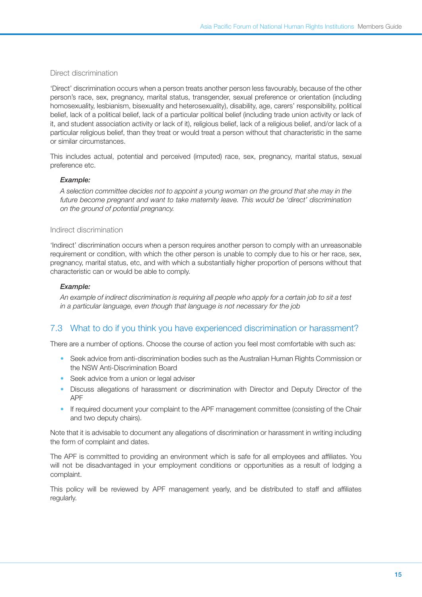#### Direct discrimination

'Direct' discrimination occurs when a person treats another person less favourably, because of the other person's race, sex, pregnancy, marital status, transgender, sexual preference or orientation (including homosexuality, lesbianism, bisexuality and heterosexuality), disability, age, carers' responsibility, political belief, lack of a political belief, lack of a particular political belief (including trade union activity or lack of it, and student association activity or lack of it), religious belief, lack of a religious belief, and/or lack of a particular religious belief, than they treat or would treat a person without that characteristic in the same or similar circumstances.

This includes actual, potential and perceived (imputed) race, sex, pregnancy, marital status, sexual preference etc.

#### *Example:*

*A selection committee decides not to appoint a young woman on the ground that she may in the future become pregnant and want to take maternity leave. This would be 'direct' discrimination on the ground of potential pregnancy.*

#### Indirect discrimination

'Indirect' discrimination occurs when a person requires another person to comply with an unreasonable requirement or condition, with which the other person is unable to comply due to his or her race, sex, pregnancy, marital status, etc, and with which a substantially higher proportion of persons without that characteristic can or would be able to comply.

#### *Example:*

*An example of indirect discrimination is requiring all people who apply for a certain job to sit a test in a particular language, even though that language is not necessary for the job*

## 7.3 What to do if you think you have experienced discrimination or harassment?

There are a number of options. Choose the course of action you feel most comfortable with such as:

- Seek advice from anti-discrimination bodies such as the Australian Human Rights Commission or the NSW Anti-Discrimination Board
- Seek advice from a union or legal adviser
- Discuss allegations of harassment or discrimination with Director and Deputy Director of the APF
- If required document your complaint to the APF management committee (consisting of the Chair and two deputy chairs).

Note that it is advisable to document any allegations of discrimination or harassment in writing including the form of complaint and dates.

The APF is committed to providing an environment which is safe for all employees and affiliates. You will not be disadvantaged in your employment conditions or opportunities as a result of lodging a complaint.

This policy will be reviewed by APF management yearly, and be distributed to staff and affiliates regularly.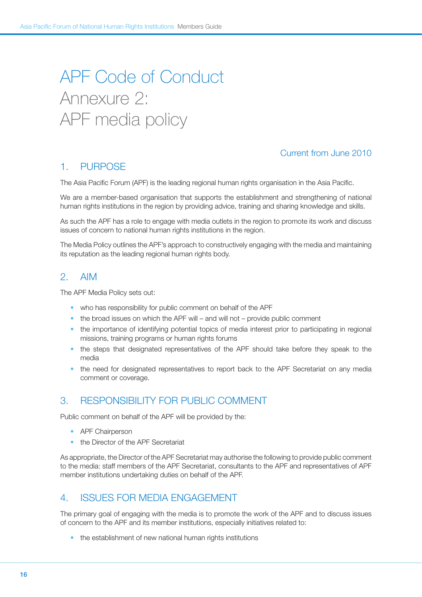# APF Code of Conduct Annexure 2: APF media policy

## Current from June 2010

## 1. Purpose

The Asia Pacific Forum (APF) is the leading regional human rights organisation in the Asia Pacific.

We are a member-based organisation that supports the establishment and strengthening of national human rights institutions in the region by providing advice, training and sharing knowledge and skills.

As such the APF has a role to engage with media outlets in the region to promote its work and discuss issues of concern to national human rights institutions in the region.

The Media Policy outlines the APF's approach to constructively engaging with the media and maintaining its reputation as the leading regional human rights body.

## 2. Aim

The APF Media Policy sets out:

- who has responsibility for public comment on behalf of the APF
- $\bullet$  the broad issues on which the APF will and will not provide public comment
- the importance of identifying potential topics of media interest prior to participating in regional missions, training programs or human rights forums
- the steps that designated representatives of the APF should take before they speak to the media
- the need for designated representatives to report back to the APF Secretariat on any media comment or coverage.

# 3. RESPONSIBILITY FOR PUBLIC COMMENT

Public comment on behalf of the APF will be provided by the:

- APF Chairperson
- the Director of the APF Secretariat

As appropriate, the Director of the APF Secretariat may authorise the following to provide public comment to the media: staff members of the APF Secretariat, consultants to the APF and representatives of APF member institutions undertaking duties on behalf of the APF.

## 4. Issues for media engagement

The primary goal of engaging with the media is to promote the work of the APF and to discuss issues of concern to the APF and its member institutions, especially initiatives related to:

• the establishment of new national human rights institutions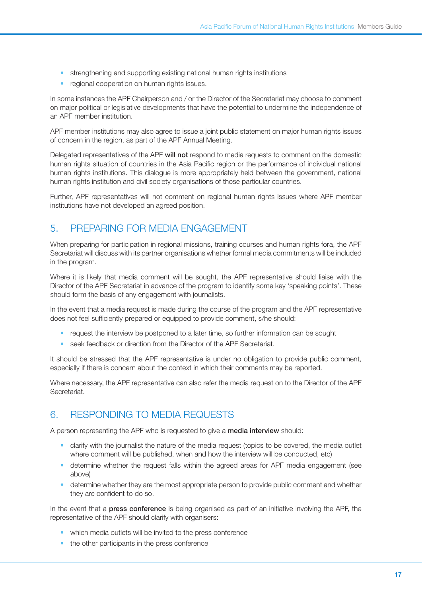- strengthening and supporting existing national human rights institutions
- regional cooperation on human rights issues.

In some instances the APF Chairperson and / or the Director of the Secretariat may choose to comment on major political or legislative developments that have the potential to undermine the independence of an APF member institution.

APF member institutions may also agree to issue a joint public statement on major human rights issues of concern in the region, as part of the APF Annual Meeting.

Delegated representatives of the APF will not respond to media requests to comment on the domestic human rights situation of countries in the Asia Pacific region or the performance of individual national human rights institutions. This dialogue is more appropriately held between the government, national human rights institution and civil society organisations of those particular countries.

Further, APF representatives will not comment on regional human rights issues where APF member institutions have not developed an agreed position.

## 5. Preparing for media engagement

When preparing for participation in regional missions, training courses and human rights fora, the APF Secretariat will discuss with its partner organisations whether formal media commitments will be included in the program.

Where it is likely that media comment will be sought, the APF representative should liaise with the Director of the APF Secretariat in advance of the program to identify some key 'speaking points'. These should form the basis of any engagement with journalists.

In the event that a media request is made during the course of the program and the APF representative does not feel sufficiently prepared or equipped to provide comment, s/he should:

- request the interview be postponed to a later time, so further information can be sought
- seek feedback or direction from the Director of the APF Secretariat.

It should be stressed that the APF representative is under no obligation to provide public comment, especially if there is concern about the context in which their comments may be reported.

Where necessary, the APF representative can also refer the media request on to the Director of the APF Secretariat.

## 6. Responding to media requests

A person representing the APF who is requested to give a media interview should:

- clarify with the journalist the nature of the media request (topics to be covered, the media outlet where comment will be published, when and how the interview will be conducted, etc)
- determine whether the request falls within the agreed areas for APF media engagement (see above)
- determine whether they are the most appropriate person to provide public comment and whether they are confident to do so.

In the event that a press conference is being organised as part of an initiative involving the APF, the representative of the APF should clarify with organisers:

- which media outlets will be invited to the press conference
- the other participants in the press conference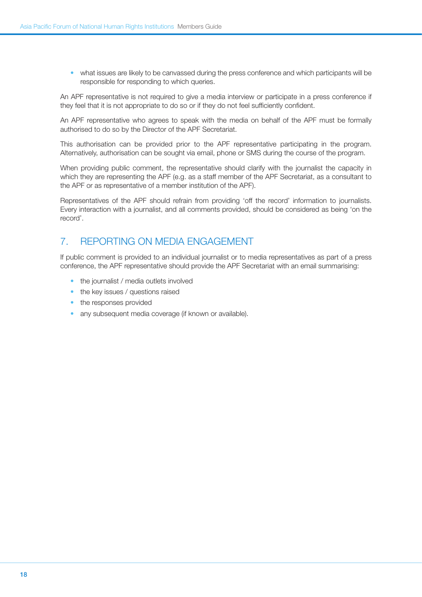• what issues are likely to be canvassed during the press conference and which participants will be responsible for responding to which queries.

An APF representative is not required to give a media interview or participate in a press conference if they feel that it is not appropriate to do so or if they do not feel sufficiently confident.

An APF representative who agrees to speak with the media on behalf of the APF must be formally authorised to do so by the Director of the APF Secretariat.

This authorisation can be provided prior to the APF representative participating in the program. Alternatively, authorisation can be sought via email, phone or SMS during the course of the program.

When providing public comment, the representative should clarify with the journalist the capacity in which they are representing the APF (e.g. as a staff member of the APF Secretariat, as a consultant to the APF or as representative of a member institution of the APF).

Representatives of the APF should refrain from providing 'off the record' information to journalists. Every interaction with a journalist, and all comments provided, should be considered as being 'on the record'.

# 7. Reporting on media engagement

If public comment is provided to an individual journalist or to media representatives as part of a press conference, the APF representative should provide the APF Secretariat with an email summarising:

- the journalist / media outlets involved
- the key issues / questions raised
- the responses provided
- any subsequent media coverage (if known or available).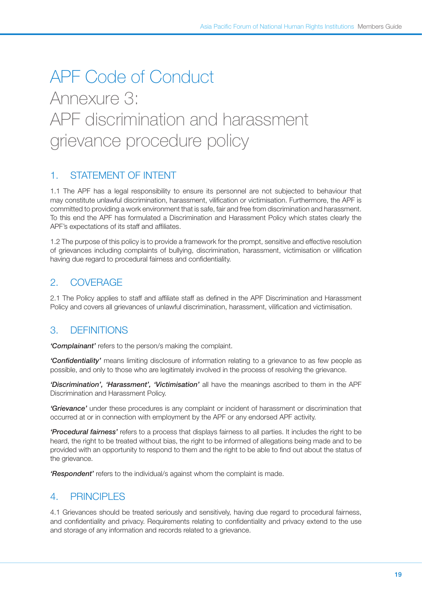# APF Code of Conduct Annexure 3: APF discrimination and harassment grievance procedure policy

# 1. Statement of Intent

1.1 The APF has a legal responsibility to ensure its personnel are not subjected to behaviour that may constitute unlawful discrimination, harassment, vilification or victimisation. Furthermore, the APF is committed to providing a work environment that is safe, fair and free from discrimination and harassment. To this end the APF has formulated a Discrimination and Harassment Policy which states clearly the APF's expectations of its staff and affiliates.

1.2 The purpose of this policy is to provide a framework for the prompt, sensitive and effective resolution of grievances including complaints of bullying, discrimination, harassment, victimisation or vilification having due regard to procedural fairness and confidentiality.

# 2. Coverage

2.1 The Policy applies to staff and affiliate staff as defined in the APF Discrimination and Harassment Policy and covers all grievances of unlawful discrimination, harassment, vilification and victimisation.

# 3. Definitions

*'Complainant'* refers to the person/s making the complaint.

*'Confidentiality'* means limiting disclosure of information relating to a grievance to as few people as possible, and only to those who are legitimately involved in the process of resolving the grievance.

*'Discrimination', 'Harassment', 'Victimisation'* all have the meanings ascribed to them in the APF Discrimination and Harassment Policy.

*'Grievance'* under these procedures is any complaint or incident of harassment or discrimination that occurred at or in connection with employment by the APF or any endorsed APF activity.

*'Procedural fairness'* refers to a process that displays fairness to all parties. It includes the right to be heard, the right to be treated without bias, the right to be informed of allegations being made and to be provided with an opportunity to respond to them and the right to be able to find out about the status of the grievance.

*'Respondent'* refers to the individual/s against whom the complaint is made.

## 4. Principles

4.1 Grievances should be treated seriously and sensitively, having due regard to procedural fairness, and confidentiality and privacy. Requirements relating to confidentiality and privacy extend to the use and storage of any information and records related to a grievance.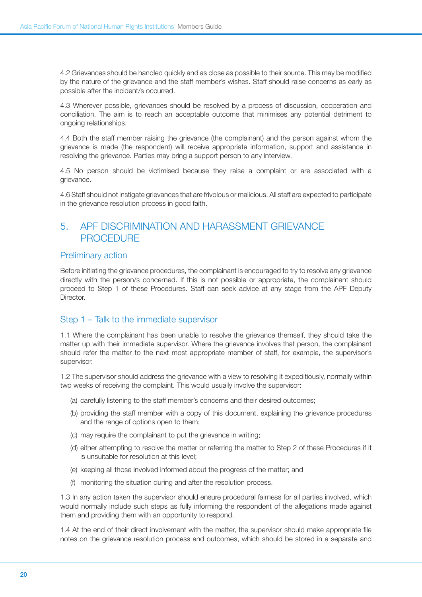4.2 Grievances should be handled quickly and as close as possible to their source. This may be modified by the nature of the grievance and the staff member's wishes. Staff should raise concerns as early as possible after the incident/s occurred.

4.3 Wherever possible, grievances should be resolved by a process of discussion, cooperation and conciliation. The aim is to reach an acceptable outcome that minimises any potential detriment to ongoing relationships.

4.4 Both the staff member raising the grievance (the complainant) and the person against whom the grievance is made (the respondent) will receive appropriate information, support and assistance in resolving the grievance. Parties may bring a support person to any interview.

4.5 No person should be victimised because they raise a complaint or are associated with a grievance.

4.6 Staff should not instigate grievances that are frivolous or malicious. All staff are expected to participate in the grievance resolution process in good faith.

# 5. APF DISCRIMINATION AND HARASSMENT GRIEVANCE **PROCEDURE**

#### Preliminary action

Before initiating the grievance procedures, the complainant is encouraged to try to resolve any grievance directly with the person/s concerned. If this is not possible or appropriate, the complainant should proceed to Step 1 of these Procedures. Staff can seek advice at any stage from the APF Deputy Director.

## Step 1 – Talk to the immediate supervisor

1.1 Where the complainant has been unable to resolve the grievance themself, they should take the matter up with their immediate supervisor. Where the grievance involves that person, the complainant should refer the matter to the next most appropriate member of staff, for example, the supervisor's supervisor.

1.2 The supervisor should address the grievance with a view to resolving it expeditiously, normally within two weeks of receiving the complaint. This would usually involve the supervisor:

- (a) carefully listening to the staff member's concerns and their desired outcomes;
- (b) providing the staff member with a copy of this document, explaining the grievance procedures and the range of options open to them;
- (c) may require the complainant to put the grievance in writing;
- (d) either attempting to resolve the matter or referring the matter to Step 2 of these Procedures if it is unsuitable for resolution at this level;
- (e) keeping all those involved informed about the progress of the matter; and
- (f) monitoring the situation during and after the resolution process.

1.3 In any action taken the supervisor should ensure procedural fairness for all parties involved, which would normally include such steps as fully informing the respondent of the allegations made against them and providing them with an opportunity to respond.

1.4 At the end of their direct involvement with the matter, the supervisor should make appropriate file notes on the grievance resolution process and outcomes, which should be stored in a separate and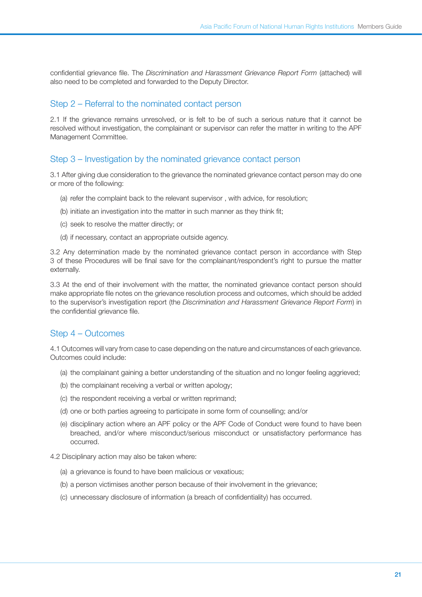confidential grievance file. The *Discrimination and Harassment Grievance Report Form* (attached) will also need to be completed and forwarded to the Deputy Director.

#### Step 2 – Referral to the nominated contact person

2.1 If the grievance remains unresolved, or is felt to be of such a serious nature that it cannot be resolved without investigation, the complainant or supervisor can refer the matter in writing to the APF Management Committee.

#### Step 3 – Investigation by the nominated grievance contact person

3.1 After giving due consideration to the grievance the nominated grievance contact person may do one or more of the following:

- (a) refer the complaint back to the relevant supervisor , with advice, for resolution;
- (b) initiate an investigation into the matter in such manner as they think fit;
- (c) seek to resolve the matter directly; or
- (d) if necessary, contact an appropriate outside agency.

3.2 Any determination made by the nominated grievance contact person in accordance with Step 3 of these Procedures will be final save for the complainant/respondent's right to pursue the matter externally.

3.3 At the end of their involvement with the matter, the nominated grievance contact person should make appropriate file notes on the grievance resolution process and outcomes, which should be added to the supervisor's investigation report (the *Discrimination and Harassment Grievance Report Form*) in the confidential grievance file.

#### Step 4 – Outcomes

4.1 Outcomes will vary from case to case depending on the nature and circumstances of each grievance. Outcomes could include:

- (a) the complainant gaining a better understanding of the situation and no longer feeling aggrieved;
- (b) the complainant receiving a verbal or written apology;
- (c) the respondent receiving a verbal or written reprimand;
- (d) one or both parties agreeing to participate in some form of counselling; and/or
- (e) disciplinary action where an APF policy or the APF Code of Conduct were found to have been breached, and/or where misconduct/serious misconduct or unsatisfactory performance has occurred.

#### 4.2 Disciplinary action may also be taken where:

- (a) a grievance is found to have been malicious or vexatious;
- (b) a person victimises another person because of their involvement in the grievance;
- (c) unnecessary disclosure of information (a breach of confidentiality) has occurred.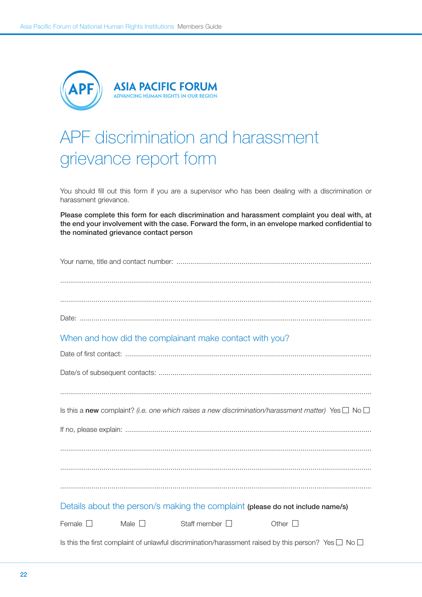

# APF discrimination and harassment grievance report form

You should fill out this form if you are a supervisor who has been dealing with a discrimination or harassment grievance.

Please complete this form for each discrimination and harassment complaint you deal with, at the end your involvement with the case. Forward the form, in an envelope marked confidential to the nominated grievance contact person

| When and how did the complainant make contact with you?                                                       |
|---------------------------------------------------------------------------------------------------------------|
|                                                                                                               |
|                                                                                                               |
|                                                                                                               |
| Is this a new complaint? (i.e. one which raises a new discrimination/harassment matter) Yes $\Box$ No $\Box$  |
|                                                                                                               |
|                                                                                                               |
|                                                                                                               |
|                                                                                                               |
|                                                                                                               |
| Details about the person/s making the complaint (please do not include name/s)                                |
| Male $\square$<br>Staff member $\Box$<br>Other $\square$<br>Female $\square$                                  |
| Is this the first complaint of unlawful discrimination/harassment raised by this person? Yes $\Box$ No $\Box$ |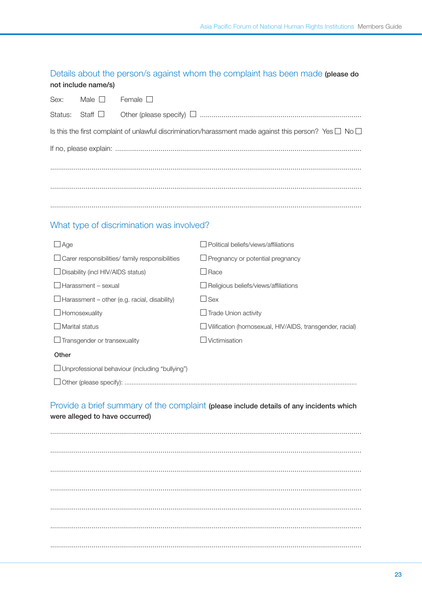## Details about the person/s against whom the complaint has been made (please do not include name/s)

| Sex: Male $\square$ | Female $\square$                                                                                                 |  |  |  |
|---------------------|------------------------------------------------------------------------------------------------------------------|--|--|--|
|                     |                                                                                                                  |  |  |  |
|                     | Is this the first complaint of unlawful discrimination/harassment made against this person? Yes $\Box$ No $\Box$ |  |  |  |
|                     |                                                                                                                  |  |  |  |
|                     |                                                                                                                  |  |  |  |
|                     |                                                                                                                  |  |  |  |
|                     |                                                                                                                  |  |  |  |
|                     |                                                                                                                  |  |  |  |

## What type of discrimination was involved?

| Age                                                    | Political beliefs/views/affiliations                     |  |  |
|--------------------------------------------------------|----------------------------------------------------------|--|--|
| $\Box$ Carer responsibilities/ family responsibilities | $\Box$ Pregnancy or potential pregnancy                  |  |  |
| $\Box$ Disability (incl HIV/AIDS status)               | Race                                                     |  |  |
| $\Box$ Harassment – sexual                             | Religious beliefs/views/affiliations                     |  |  |
| $\Box$ Harassment – other (e.g. racial, disability)    | $\Box$ Sex                                               |  |  |
| $\Box$ Homosexuality                                   | $\Box$ Trade Union activity                              |  |  |
| Marital status                                         | Vilification (homosexual, HIV/AIDS, transgender, racial) |  |  |
| $\Box$ Transgender or transexuality                    | Victimisation                                            |  |  |
| Other                                                  |                                                          |  |  |
| □ Unprofessional behaviour (including "bullying")      |                                                          |  |  |
|                                                        |                                                          |  |  |

## Provide a brief summary of the complaint (please include details of any incidents which

were alleged to have occurred)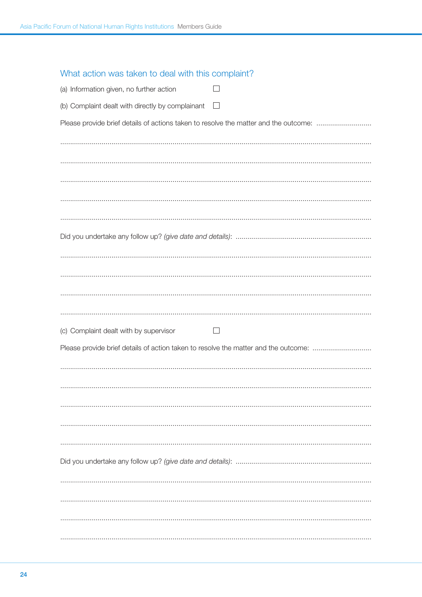| (a) Information given, no further action                                    |  |
|-----------------------------------------------------------------------------|--|
| (b) Complaint dealt with directly by complainant $\Box$                     |  |
| Please provide brief details of actions taken to resolve the matter and the |  |
|                                                                             |  |

What action was taken to deal with this complaint?

| Please provide brief details of actions taken to resolve the matter and the outcome: |
|--------------------------------------------------------------------------------------|
|                                                                                      |
|                                                                                      |
|                                                                                      |
|                                                                                      |
|                                                                                      |
|                                                                                      |
|                                                                                      |
|                                                                                      |
| (c) Complaint dealt with by supervisor<br>$\vert \ \ \vert$                          |
| Please provide brief details of action taken to resolve the matter and the outcome:  |
|                                                                                      |
|                                                                                      |
|                                                                                      |
|                                                                                      |
|                                                                                      |
|                                                                                      |
|                                                                                      |
|                                                                                      |
|                                                                                      |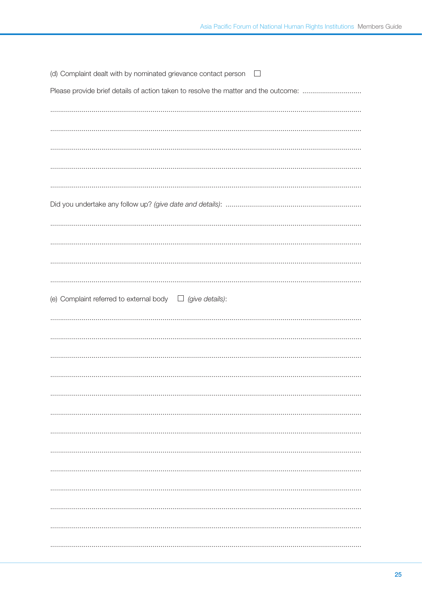| Please provide brief details of action taken to resolve the matter and the outcome:<br>(e) Complaint referred to external body $\Box$ (give details): | (d) Complaint dealt with by nominated grievance contact person $\square$ |
|-------------------------------------------------------------------------------------------------------------------------------------------------------|--------------------------------------------------------------------------|
|                                                                                                                                                       |                                                                          |
|                                                                                                                                                       |                                                                          |
|                                                                                                                                                       |                                                                          |
|                                                                                                                                                       |                                                                          |
|                                                                                                                                                       |                                                                          |
|                                                                                                                                                       |                                                                          |
|                                                                                                                                                       |                                                                          |
|                                                                                                                                                       |                                                                          |
|                                                                                                                                                       |                                                                          |
|                                                                                                                                                       |                                                                          |
|                                                                                                                                                       |                                                                          |
|                                                                                                                                                       |                                                                          |
|                                                                                                                                                       |                                                                          |
|                                                                                                                                                       |                                                                          |
|                                                                                                                                                       |                                                                          |
|                                                                                                                                                       |                                                                          |
|                                                                                                                                                       |                                                                          |
|                                                                                                                                                       |                                                                          |
|                                                                                                                                                       |                                                                          |
|                                                                                                                                                       |                                                                          |
|                                                                                                                                                       |                                                                          |
|                                                                                                                                                       |                                                                          |
|                                                                                                                                                       |                                                                          |
|                                                                                                                                                       |                                                                          |
|                                                                                                                                                       |                                                                          |
|                                                                                                                                                       |                                                                          |
|                                                                                                                                                       |                                                                          |
|                                                                                                                                                       |                                                                          |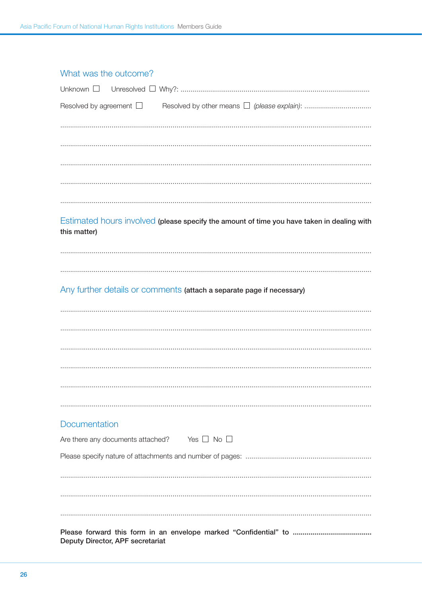| Resolved by agreement $\Box$      |                                                                                            |
|-----------------------------------|--------------------------------------------------------------------------------------------|
|                                   |                                                                                            |
|                                   |                                                                                            |
|                                   |                                                                                            |
|                                   |                                                                                            |
|                                   |                                                                                            |
| this matter)                      | Estimated hours involved (please specify the amount of time you have taken in dealing with |
|                                   |                                                                                            |
|                                   |                                                                                            |
|                                   | Any further details or comments (attach a separate page if necessary)                      |
|                                   |                                                                                            |
|                                   |                                                                                            |
|                                   |                                                                                            |
|                                   |                                                                                            |
|                                   |                                                                                            |
|                                   |                                                                                            |
| Documentation                     |                                                                                            |
| Are there any documents attached? | Yes $\Box$ No $\Box$                                                                       |
|                                   |                                                                                            |
|                                   |                                                                                            |
|                                   |                                                                                            |
|                                   |                                                                                            |
| Deputy Director, APF secretariat  |                                                                                            |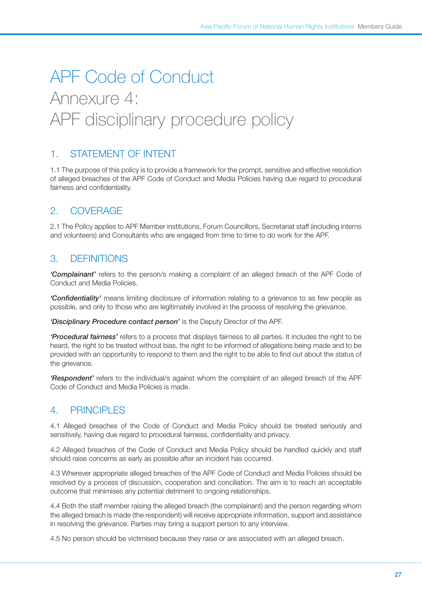# APF Code of Conduct Annexure 4: APF disciplinary procedure policy

# 1. STATEMENT OF INTENT

1.1 The purpose of this policy is to provide a framework for the prompt, sensitive and effective resolution of alleged breaches of the APF Code of Conduct and Media Policies having due regard to procedural fairness and confidentiality.

# 2. Coverage

2.1 The Policy applies to APF Member institutions, Forum Councillors, Secretariat staff (including interns and volunteers) and Consultants who are engaged from time to time to do work for the APF.

# 3. Definitions

*'Complainant'* refers to the person/s making a complaint of an alleged breach of the APF Code of Conduct and Media Policies.

*'Confidentiality'* means limiting disclosure of information relating to a grievance to as few people as possible, and only to those who are legitimately involved in the process of resolving the grievance.

*'Disciplinary Procedure contact person'* is the Deputy Director of the APF.

*'Procedural fairness'* refers to a process that displays fairness to all parties. It includes the right to be heard, the right to be treated without bias, the right to be informed of allegations being made and to be provided with an opportunity to respond to them and the right to be able to find out about the status of the grievance.

*'Respondent'* refers to the individual/s against whom the complaint of an alleged breach of the APF Code of Conduct and Media Policies is made.

# 4 PRINCIPLES

4.1 Alleged breaches of the Code of Conduct and Media Policy should be treated seriously and sensitively, having due regard to procedural fairness, confidentiality and privacy.

4.2 Alleged breaches of the Code of Conduct and Media Policy should be handled quickly and staff should raise concerns as early as possible after an incident has occurred.

4.3 Wherever appropriate alleged breaches of the APF Code of Conduct and Media Policies should be resolved by a process of discussion, cooperation and conciliation. The aim is to reach an acceptable outcome that minimises any potential detriment to ongoing relationships.

4.4 Both the staff member raising the alleged breach (the complainant) and the person regarding whom the alleged breach is made (the respondent) will receive appropriate information, support and assistance in resolving the grievance. Parties may bring a support person to any interview.

4.5 No person should be victimised because they raise or are associated with an alleged breach.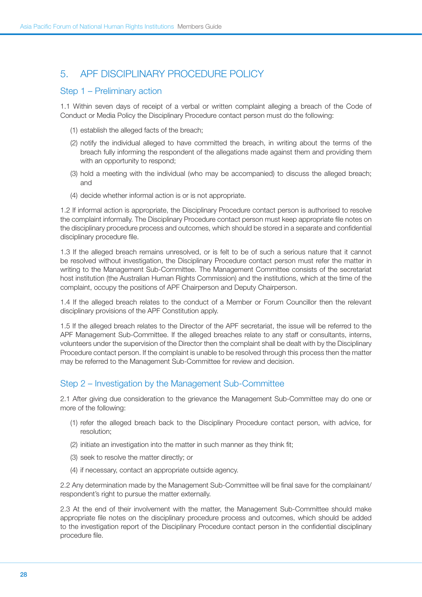# 5. APF DISCIPLINARY PROCEDURE POLICY

#### Step 1 – Preliminary action

1.1 Within seven days of receipt of a verbal or written complaint alleging a breach of the Code of Conduct or Media Policy the Disciplinary Procedure contact person must do the following:

- (1) establish the alleged facts of the breach;
- (2) notify the individual alleged to have committed the breach, in writing about the terms of the breach fully informing the respondent of the allegations made against them and providing them with an opportunity to respond:
- (3) hold a meeting with the individual (who may be accompanied) to discuss the alleged breach; and
- (4) decide whether informal action is or is not appropriate.

1.2 If informal action is appropriate, the Disciplinary Procedure contact person is authorised to resolve the complaint informally. The Disciplinary Procedure contact person must keep appropriate file notes on the disciplinary procedure process and outcomes, which should be stored in a separate and confidential disciplinary procedure file.

1.3 If the alleged breach remains unresolved, or is felt to be of such a serious nature that it cannot be resolved without investigation, the Disciplinary Procedure contact person must refer the matter in writing to the Management Sub-Committee. The Management Committee consists of the secretariat host institution (the Australian Human Rights Commission) and the institutions, which at the time of the complaint, occupy the positions of APF Chairperson and Deputy Chairperson.

1.4 If the alleged breach relates to the conduct of a Member or Forum Councillor then the relevant disciplinary provisions of the APF Constitution apply.

1.5 If the alleged breach relates to the Director of the APF secretariat, the issue will be referred to the APF Management Sub-Committee. If the alleged breaches relate to any staff or consultants, interns, volunteers under the supervision of the Director then the complaint shall be dealt with by the Disciplinary Procedure contact person. If the complaint is unable to be resolved through this process then the matter may be referred to the Management Sub-Committee for review and decision.

## Step 2 – Investigation by the Management Sub-Committee

2.1 After giving due consideration to the grievance the Management Sub-Committee may do one or more of the following:

- (1) refer the alleged breach back to the Disciplinary Procedure contact person, with advice, for resolution;
- (2) initiate an investigation into the matter in such manner as they think fit;
- (3) seek to resolve the matter directly; or
- (4) if necessary, contact an appropriate outside agency.

2.2 Any determination made by the Management Sub-Committee will be final save for the complainant/ respondent's right to pursue the matter externally.

2.3 At the end of their involvement with the matter, the Management Sub-Committee should make appropriate file notes on the disciplinary procedure process and outcomes, which should be added to the investigation report of the Disciplinary Procedure contact person in the confidential disciplinary procedure file.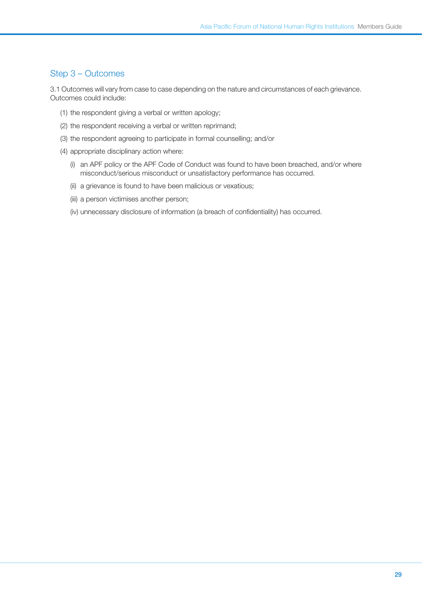### Step 3 – Outcomes

3.1 Outcomes will vary from case to case depending on the nature and circumstances of each grievance. Outcomes could include:

- (1) the respondent giving a verbal or written apology;
- (2) the respondent receiving a verbal or written reprimand;
- (3) the respondent agreeing to participate in formal counselling; and/or
- (4) appropriate disciplinary action where:
	- (i) an APF policy or the APF Code of Conduct was found to have been breached, and/or where misconduct/serious misconduct or unsatisfactory performance has occurred.
	- (ii) a grievance is found to have been malicious or vexatious;
	- (iii) a person victimises another person;
	- (iv) unnecessary disclosure of information (a breach of confidentiality) has occurred.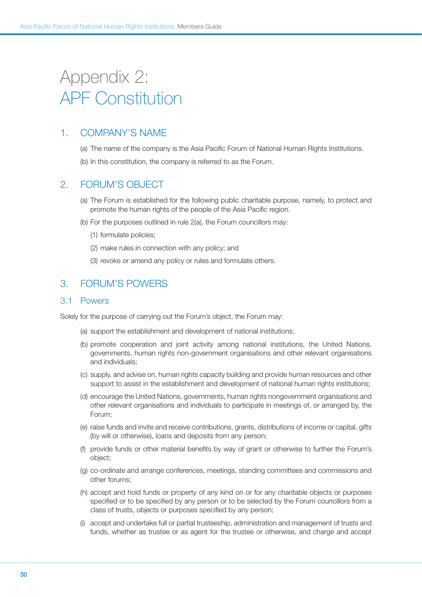# Appendix 2: APF Constitution

## 1. Company's name

- (a) The name of the company is the Asia Pacific Forum of National Human Rights Institutions.
- (b) In this constitution, the company is referred to as the Forum.

## 2. Forum's object

- (a) The Forum is established for the following public charitable purpose, namely, to protect and promote the human rights of the people of the Asia Pacific region.
- (b) For the purposes outlined in rule 2(a), the Forum councillors may:
	- (1) formulate policies;
	- (2) make rules in connection with any policy; and
	- (3) revoke or amend any policy or rules and formulate others.

## 3. Forum's powers

#### 3.1 Powers

Solely for the purpose of carrying out the Forum's object, the Forum may:

- (a) support the establishment and development of national institutions;
- (b) promote cooperation and joint activity among national institutions, the United Nations, governments, human rights non-government organisations and other relevant organisations and individuals;
- (c) supply, and advise on, human rights capacity building and provide human resources and other support to assist in the establishment and development of national human rights institutions;
- (d) encourage the United Nations, governments, human rights nongovernment organisations and other relevant organisations and individuals to participate in meetings of, or arranged by, the Forum;
- (e) raise funds and invite and receive contributions, grants, distributions of income or capital, gifts (by will or otherwise), loans and deposits from any person;
- (f) provide funds or other material benefits by way of grant or otherwise to further the Forum's object;
- (g) co-ordinate and arrange conferences, meetings, standing committees and commissions and other forums;
- (h) accept and hold funds or property of any kind on or for any charitable objects or purposes specified or to be specified by any person or to be selected by the Forum councillors from a class of trusts, objects or purposes specified by any person;
- (i) accept and undertake full or partial trusteeship, administration and management of trusts and funds, whether as trustee or as agent for the trustee or otherwise, and charge and accept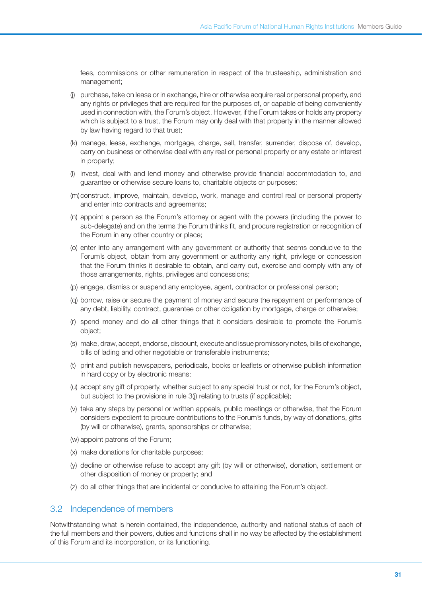fees, commissions or other remuneration in respect of the trusteeship, administration and management;

- (j) purchase, take on lease or in exchange, hire or otherwise acquire real or personal property, and any rights or privileges that are required for the purposes of, or capable of being conveniently used in connection with, the Forum's object. However, if the Forum takes or holds any property which is subject to a trust, the Forum may only deal with that property in the manner allowed by law having regard to that trust;
- (k) manage, lease, exchange, mortgage, charge, sell, transfer, surrender, dispose of, develop, carry on business or otherwise deal with any real or personal property or any estate or interest in property;
- (l) invest, deal with and lend money and otherwise provide financial accommodation to, and guarantee or otherwise secure loans to, charitable objects or purposes;
- (m)construct, improve, maintain, develop, work, manage and control real or personal property and enter into contracts and agreements;
- (n) appoint a person as the Forum's attorney or agent with the powers (including the power to sub-delegate) and on the terms the Forum thinks fit, and procure registration or recognition of the Forum in any other country or place;
- (o) enter into any arrangement with any government or authority that seems conducive to the Forum's object, obtain from any government or authority any right, privilege or concession that the Forum thinks it desirable to obtain, and carry out, exercise and comply with any of those arrangements, rights, privileges and concessions;
- (p) engage, dismiss or suspend any employee, agent, contractor or professional person;
- (q) borrow, raise or secure the payment of money and secure the repayment or performance of any debt, liability, contract, guarantee or other obligation by mortgage, charge or otherwise;
- (r) spend money and do all other things that it considers desirable to promote the Forum's object;
- (s) make, draw, accept, endorse, discount, execute and issue promissory notes, bills of exchange, bills of lading and other negotiable or transferable instruments;
- (t) print and publish newspapers, periodicals, books or leaflets or otherwise publish information in hard copy or by electronic means;
- (u) accept any gift of property, whether subject to any special trust or not, for the Forum's object, but subject to the provisions in rule 3(j) relating to trusts (if applicable);
- (v) take any steps by personal or written appeals, public meetings or otherwise, that the Forum considers expedient to procure contributions to the Forum's funds, by way of donations, gifts (by will or otherwise), grants, sponsorships or otherwise;
- (w) appoint patrons of the Forum;
- (x) make donations for charitable purposes;
- (y) decline or otherwise refuse to accept any gift (by will or otherwise), donation, settlement or other disposition of money or property; and
- (z) do all other things that are incidental or conducive to attaining the Forum's object.

#### 3.2 Independence of members

Notwithstanding what is herein contained, the independence, authority and national status of each of the full members and their powers, duties and functions shall in no way be affected by the establishment of this Forum and its incorporation, or its functioning.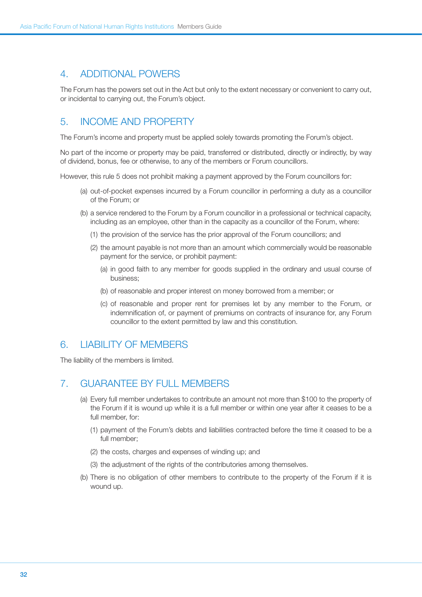## 4. Additional powers

The Forum has the powers set out in the Act but only to the extent necessary or convenient to carry out, or incidental to carrying out, the Forum's object.

# 5. Income and property

The Forum's income and property must be applied solely towards promoting the Forum's object.

No part of the income or property may be paid, transferred or distributed, directly or indirectly, by way of dividend, bonus, fee or otherwise, to any of the members or Forum councillors.

However, this rule 5 does not prohibit making a payment approved by the Forum councillors for:

- (a) out-of-pocket expenses incurred by a Forum councillor in performing a duty as a councillor of the Forum; or
- (b) a service rendered to the Forum by a Forum councillor in a professional or technical capacity, including as an employee, other than in the capacity as a councillor of the Forum, where:
	- (1) the provision of the service has the prior approval of the Forum councillors; and
	- (2) the amount payable is not more than an amount which commercially would be reasonable payment for the service, or prohibit payment:
		- (a) in good faith to any member for goods supplied in the ordinary and usual course of business;
		- (b) of reasonable and proper interest on money borrowed from a member; or
		- (c) of reasonable and proper rent for premises let by any member to the Forum, or indemnification of, or payment of premiums on contracts of insurance for, any Forum councillor to the extent permitted by law and this constitution.

## 6. Liability of members

The liability of the members is limited.

## 7. Guarantee by full members

- (a) Every full member undertakes to contribute an amount not more than \$100 to the property of the Forum if it is wound up while it is a full member or within one year after it ceases to be a full member, for:
	- (1) payment of the Forum's debts and liabilities contracted before the time it ceased to be a full member;
	- (2) the costs, charges and expenses of winding up; and
	- (3) the adjustment of the rights of the contributories among themselves.
- (b) There is no obligation of other members to contribute to the property of the Forum if it is wound up.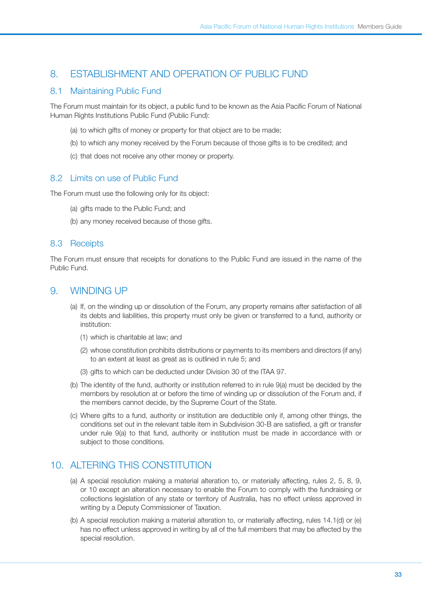# 8. Establishment and operation of Public Fund

#### 8.1 Maintaining Public Fund

The Forum must maintain for its object, a public fund to be known as the Asia Pacific Forum of National Human Rights Institutions Public Fund (Public Fund):

- (a) to which gifts of money or property for that object are to be made;
- (b) to which any money received by the Forum because of those gifts is to be credited; and
- (c) that does not receive any other money or property.

#### 8.2 Limits on use of Public Fund

The Forum must use the following only for its object:

- (a) gifts made to the Public Fund; and
- (b) any money received because of those gifts.

### 8.3 Receipts

The Forum must ensure that receipts for donations to the Public Fund are issued in the name of the Public Fund.

## 9. Winding up

- (a) If, on the winding up or dissolution of the Forum, any property remains after satisfaction of all its debts and liabilities, this property must only be given or transferred to a fund, authority or institution:
	- (1) which is charitable at law; and
	- (2) whose constitution prohibits distributions or payments to its members and directors (if any) to an extent at least as great as is outlined in rule 5; and
	- (3) gifts to which can be deducted under Division 30 of the ITAA 97.
- (b) The identity of the fund, authority or institution referred to in rule 9(a) must be decided by the members by resolution at or before the time of winding up or dissolution of the Forum and, if the members cannot decide, by the Supreme Court of the State.
- (c) Where gifts to a fund, authority or institution are deductible only if, among other things, the conditions set out in the relevant table item in Subdivision 30-B are satisfied, a gift or transfer under rule 9(a) to that fund, authority or institution must be made in accordance with or subject to those conditions.

# 10. ALTERING THIS CONSTITUTION

- (a) A special resolution making a material alteration to, or materially affecting, rules 2, 5, 8, 9, or 10 except an alteration necessary to enable the Forum to comply with the fundraising or collections legislation of any state or territory of Australia, has no effect unless approved in writing by a Deputy Commissioner of Taxation.
- (b) A special resolution making a material alteration to, or materially affecting, rules 14.1(d) or (e) has no effect unless approved in writing by all of the full members that may be affected by the special resolution.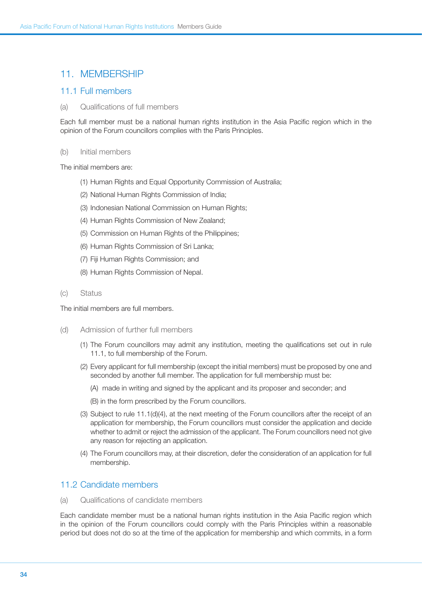## 11. MEMBERSHIP

### 11.1 Full members

(a) Qualifications of full members

Each full member must be a national human rights institution in the Asia Pacific region which in the opinion of the Forum councillors complies with the Paris Principles.

#### (b) Initial members

The initial members are:

- (1) Human Rights and Equal Opportunity Commission of Australia;
- (2) National Human Rights Commission of India;
- (3) Indonesian National Commission on Human Rights;
- (4) Human Rights Commission of New Zealand;
- (5) Commission on Human Rights of the Philippines;
- (6) Human Rights Commission of Sri Lanka;
- (7) Fiji Human Rights Commission; and
- (8) Human Rights Commission of Nepal.
- (c) Status

The initial members are full members.

- (d) Admission of further full members
	- (1) The Forum councillors may admit any institution, meeting the qualifications set out in rule 11.1, to full membership of the Forum.
	- (2) Every applicant for full membership (except the initial members) must be proposed by one and seconded by another full member. The application for full membership must be:
		- (A) made in writing and signed by the applicant and its proposer and seconder; and
		- (B) in the form prescribed by the Forum councillors.
	- (3) Subject to rule 11.1(d)(4), at the next meeting of the Forum councillors after the receipt of an application for membership, the Forum councillors must consider the application and decide whether to admit or reject the admission of the applicant. The Forum councillors need not give any reason for rejecting an application.
	- (4) The Forum councillors may, at their discretion, defer the consideration of an application for full membership.

## 11.2 Candidate members

(a) Qualifications of candidate members

Each candidate member must be a national human rights institution in the Asia Pacific region which in the opinion of the Forum councillors could comply with the Paris Principles within a reasonable period but does not do so at the time of the application for membership and which commits, in a form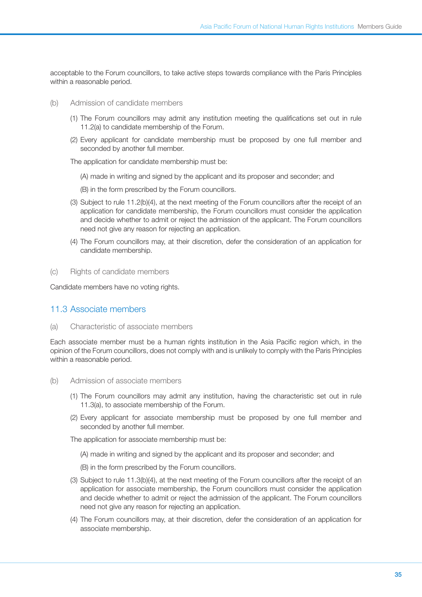acceptable to the Forum councillors, to take active steps towards compliance with the Paris Principles within a reasonable period.

- (b) Admission of candidate members
	- (1) The Forum councillors may admit any institution meeting the qualifications set out in rule 11.2(a) to candidate membership of the Forum.
	- (2) Every applicant for candidate membership must be proposed by one full member and seconded by another full member.

The application for candidate membership must be:

- (A) made in writing and signed by the applicant and its proposer and seconder; and
- (B) in the form prescribed by the Forum councillors.
- (3) Subject to rule 11.2(b)(4), at the next meeting of the Forum councillors after the receipt of an application for candidate membership, the Forum councillors must consider the application and decide whether to admit or reject the admission of the applicant. The Forum councillors need not give any reason for rejecting an application.
- (4) The Forum councillors may, at their discretion, defer the consideration of an application for candidate membership.
- (c) Rights of candidate members

Candidate members have no voting rights.

#### 11.3 Associate members

(a) Characteristic of associate members

Each associate member must be a human rights institution in the Asia Pacific region which, in the opinion of the Forum councillors, does not comply with and is unlikely to comply with the Paris Principles within a reasonable period.

- (b) Admission of associate members
	- (1) The Forum councillors may admit any institution, having the characteristic set out in rule 11.3(a), to associate membership of the Forum.
	- (2) Every applicant for associate membership must be proposed by one full member and seconded by another full member.

The application for associate membership must be:

- (A) made in writing and signed by the applicant and its proposer and seconder; and
- (B) in the form prescribed by the Forum councillors.
- (3) Subject to rule 11.3(b)(4), at the next meeting of the Forum councillors after the receipt of an application for associate membership, the Forum councillors must consider the application and decide whether to admit or reject the admission of the applicant. The Forum councillors need not give any reason for rejecting an application.
- (4) The Forum councillors may, at their discretion, defer the consideration of an application for associate membership.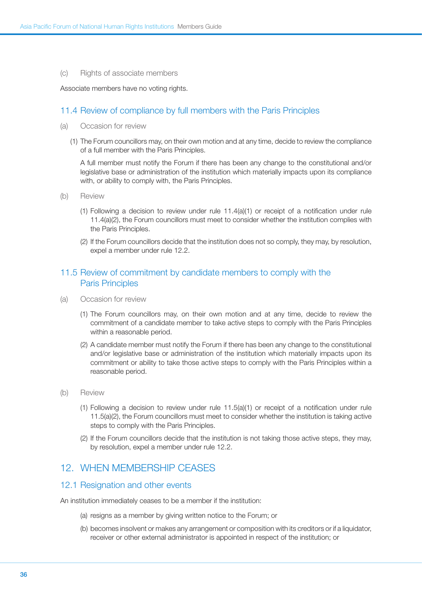(c) Rights of associate members

Associate members have no voting rights.

#### 11.4 Review of compliance by full members with the Paris Principles

- (a) Occasion for review
	- (1) The Forum councillors may, on their own motion and at any time, decide to review the compliance of a full member with the Paris Principles.

A full member must notify the Forum if there has been any change to the constitutional and/or legislative base or administration of the institution which materially impacts upon its compliance with, or ability to comply with, the Paris Principles.

- (b) Review
	- (1) Following a decision to review under rule 11.4(a)(1) or receipt of a notification under rule 11.4(a)(2), the Forum councillors must meet to consider whether the institution complies with the Paris Principles.
	- (2) If the Forum councillors decide that the institution does not so comply, they may, by resolution, expel a member under rule 12.2.

### 11.5 Review of commitment by candidate members to comply with the Paris Principles

- (a) Occasion for review
	- (1) The Forum councillors may, on their own motion and at any time, decide to review the commitment of a candidate member to take active steps to comply with the Paris Principles within a reasonable period.
	- (2) A candidate member must notify the Forum if there has been any change to the constitutional and/or legislative base or administration of the institution which materially impacts upon its commitment or ability to take those active steps to comply with the Paris Principles within a reasonable period.
- (b) Review
	- (1) Following a decision to review under rule 11.5(a)(1) or receipt of a notification under rule 11.5(a)(2), the Forum councillors must meet to consider whether the institution is taking active steps to comply with the Paris Principles.
	- (2) If the Forum councillors decide that the institution is not taking those active steps, they may, by resolution, expel a member under rule 12.2.

## 12. When membership ceases

#### 12.1 Resignation and other events

An institution immediately ceases to be a member if the institution:

- (a) resigns as a member by giving written notice to the Forum; or
- (b) becomes insolvent or makes any arrangement or composition with its creditors or if a liquidator, receiver or other external administrator is appointed in respect of the institution; or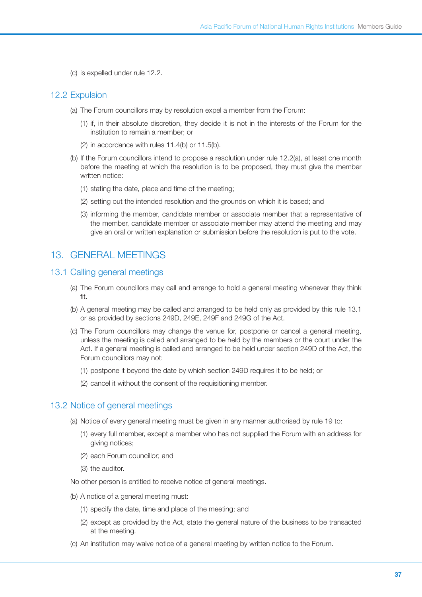(c) is expelled under rule 12.2.

### 12.2 Expulsion

- (a) The Forum councillors may by resolution expel a member from the Forum:
	- (1) if, in their absolute discretion, they decide it is not in the interests of the Forum for the institution to remain a member; or
	- (2) in accordance with rules 11.4(b) or 11.5(b).
- (b) If the Forum councillors intend to propose a resolution under rule 12.2(a), at least one month before the meeting at which the resolution is to be proposed, they must give the member written notice:
	- (1) stating the date, place and time of the meeting;
	- (2) setting out the intended resolution and the grounds on which it is based; and
	- (3) informing the member, candidate member or associate member that a representative of the member, candidate member or associate member may attend the meeting and may give an oral or written explanation or submission before the resolution is put to the vote.

# 13. General meetings

### 13.1 Calling general meetings

- (a) The Forum councillors may call and arrange to hold a general meeting whenever they think fit.
- (b) A general meeting may be called and arranged to be held only as provided by this rule 13.1 or as provided by sections 249D, 249E, 249F and 249G of the Act.
- (c) The Forum councillors may change the venue for, postpone or cancel a general meeting, unless the meeting is called and arranged to be held by the members or the court under the Act. If a general meeting is called and arranged to be held under section 249D of the Act, the Forum councillors may not:
	- (1) postpone it beyond the date by which section 249D requires it to be held; or
	- (2) cancel it without the consent of the requisitioning member.

### 13.2 Notice of general meetings

- (a) Notice of every general meeting must be given in any manner authorised by rule 19 to:
	- (1) every full member, except a member who has not supplied the Forum with an address for giving notices;
	- (2) each Forum councillor; and
	- (3) the auditor.
- No other person is entitled to receive notice of general meetings.
- (b) A notice of a general meeting must:
	- (1) specify the date, time and place of the meeting; and
	- (2) except as provided by the Act, state the general nature of the business to be transacted at the meeting.
- (c) An institution may waive notice of a general meeting by written notice to the Forum.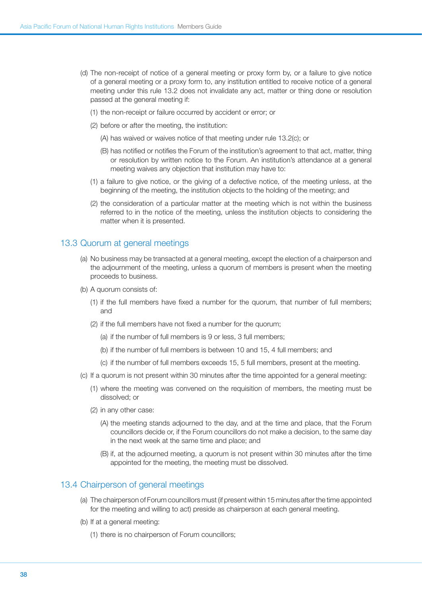- (d) The non-receipt of notice of a general meeting or proxy form by, or a failure to give notice of a general meeting or a proxy form to, any institution entitled to receive notice of a general meeting under this rule 13.2 does not invalidate any act, matter or thing done or resolution passed at the general meeting if:
	- (1) the non-receipt or failure occurred by accident or error; or
	- (2) before or after the meeting, the institution:
		- (A) has waived or waives notice of that meeting under rule 13.2(c); or
		- (B) has notified or notifies the Forum of the institution's agreement to that act, matter, thing or resolution by written notice to the Forum. An institution's attendance at a general meeting waives any objection that institution may have to:
	- (1) a failure to give notice, or the giving of a defective notice, of the meeting unless, at the beginning of the meeting, the institution objects to the holding of the meeting; and
	- (2) the consideration of a particular matter at the meeting which is not within the business referred to in the notice of the meeting, unless the institution objects to considering the matter when it is presented.

### 13.3 Quorum at general meetings

- (a) No business may be transacted at a general meeting, except the election of a chairperson and the adjournment of the meeting, unless a quorum of members is present when the meeting proceeds to business.
- (b) A quorum consists of:
	- (1) if the full members have fixed a number for the quorum, that number of full members; and
	- (2) if the full members have not fixed a number for the quorum;
		- (a) if the number of full members is 9 or less, 3 full members;
		- (b) if the number of full members is between 10 and 15, 4 full members; and
		- (c) if the number of full members exceeds 15, 5 full members, present at the meeting.
- (c) If a quorum is not present within 30 minutes after the time appointed for a general meeting:
	- (1) where the meeting was convened on the requisition of members, the meeting must be dissolved; or
	- (2) in any other case:
		- (A) the meeting stands adjourned to the day, and at the time and place, that the Forum councillors decide or, if the Forum councillors do not make a decision, to the same day in the next week at the same time and place; and
		- (B) if, at the adjourned meeting, a quorum is not present within 30 minutes after the time appointed for the meeting, the meeting must be dissolved.

### 13.4 Chairperson of general meetings

- (a) The chairperson of Forum councillors must (if present within 15 minutes after the time appointed for the meeting and willing to act) preside as chairperson at each general meeting.
- (b) If at a general meeting:
	- (1) there is no chairperson of Forum councillors;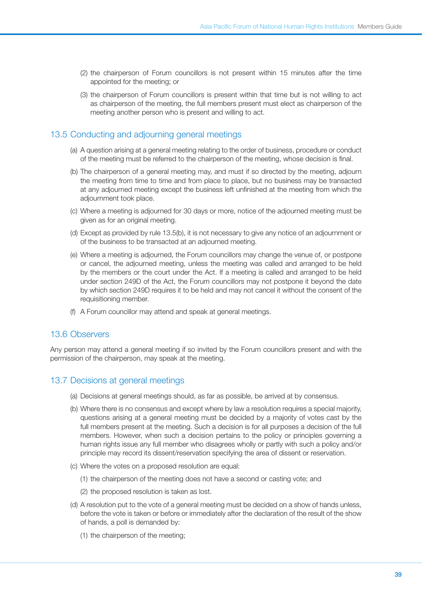- (2) the chairperson of Forum councillors is not present within 15 minutes after the time appointed for the meeting; or
- (3) the chairperson of Forum councillors is present within that time but is not willing to act as chairperson of the meeting, the full members present must elect as chairperson of the meeting another person who is present and willing to act.

# 13.5 Conducting and adjourning general meetings

- (a) A question arising at a general meeting relating to the order of business, procedure or conduct of the meeting must be referred to the chairperson of the meeting, whose decision is final.
- (b) The chairperson of a general meeting may, and must if so directed by the meeting, adjourn the meeting from time to time and from place to place, but no business may be transacted at any adjourned meeting except the business left unfinished at the meeting from which the adjournment took place.
- (c) Where a meeting is adjourned for 30 days or more, notice of the adjourned meeting must be given as for an original meeting.
- (d) Except as provided by rule 13.5(b), it is not necessary to give any notice of an adjournment or of the business to be transacted at an adjourned meeting.
- (e) Where a meeting is adjourned, the Forum councillors may change the venue of, or postpone or cancel, the adjourned meeting, unless the meeting was called and arranged to be held by the members or the court under the Act. If a meeting is called and arranged to be held under section 249D of the Act, the Forum councillors may not postpone it beyond the date by which section 249D requires it to be held and may not cancel it without the consent of the requisitioning member.
- (f) A Forum councillor may attend and speak at general meetings.

# 13.6 Observers

Any person may attend a general meeting if so invited by the Forum councillors present and with the permission of the chairperson, may speak at the meeting.

# 13.7 Decisions at general meetings

- (a) Decisions at general meetings should, as far as possible, be arrived at by consensus.
- (b) Where there is no consensus and except where by law a resolution requires a special majority, questions arising at a general meeting must be decided by a majority of votes cast by the full members present at the meeting. Such a decision is for all purposes a decision of the full members. However, when such a decision pertains to the policy or principles governing a human rights issue any full member who disagrees wholly or partly with such a policy and/or principle may record its dissent/reservation specifying the area of dissent or reservation.
- (c) Where the votes on a proposed resolution are equal:
	- (1) the chairperson of the meeting does not have a second or casting vote; and
	- (2) the proposed resolution is taken as lost.
- (d) A resolution put to the vote of a general meeting must be decided on a show of hands unless, before the vote is taken or before or immediately after the declaration of the result of the show of hands, a poll is demanded by:
	- (1) the chairperson of the meeting;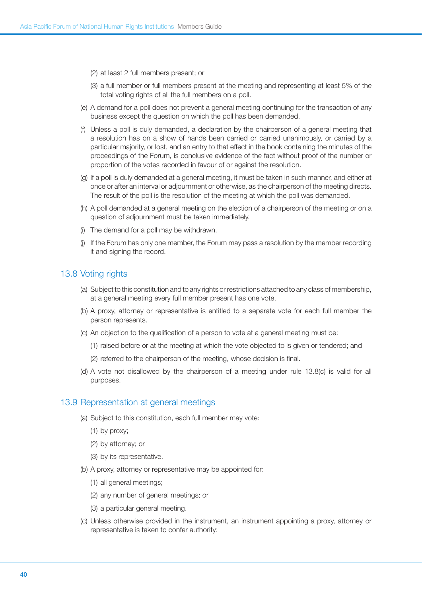(2) at least 2 full members present; or

- (3) a full member or full members present at the meeting and representing at least 5% of the total voting rights of all the full members on a poll.
- (e) A demand for a poll does not prevent a general meeting continuing for the transaction of any business except the question on which the poll has been demanded.
- (f) Unless a poll is duly demanded, a declaration by the chairperson of a general meeting that a resolution has on a show of hands been carried or carried unanimously, or carried by a particular majority, or lost, and an entry to that effect in the book containing the minutes of the proceedings of the Forum, is conclusive evidence of the fact without proof of the number or proportion of the votes recorded in favour of or against the resolution.
- (g) If a poll is duly demanded at a general meeting, it must be taken in such manner, and either at once or after an interval or adjournment or otherwise, as the chairperson of the meeting directs. The result of the poll is the resolution of the meeting at which the poll was demanded.
- (h) A poll demanded at a general meeting on the election of a chairperson of the meeting or on a question of adjournment must be taken immediately.
- (i) The demand for a poll may be withdrawn.
- (j) If the Forum has only one member, the Forum may pass a resolution by the member recording it and signing the record.

### 13.8 Voting rights

- (a) Subject to this constitution and to any rights or restrictions attached to any class of membership, at a general meeting every full member present has one vote.
- (b) A proxy, attorney or representative is entitled to a separate vote for each full member the person represents.
- (c) An objection to the qualification of a person to vote at a general meeting must be:
	- (1) raised before or at the meeting at which the vote objected to is given or tendered; and
	- (2) referred to the chairperson of the meeting, whose decision is final.
- (d) A vote not disallowed by the chairperson of a meeting under rule 13.8(c) is valid for all purposes.

### 13.9 Representation at general meetings

- (a) Subject to this constitution, each full member may vote:
	- (1) by proxy;
	- (2) by attorney; or
	- (3) by its representative.
- (b) A proxy, attorney or representative may be appointed for:
	- (1) all general meetings;
	- (2) any number of general meetings; or
	- (3) a particular general meeting.
- (c) Unless otherwise provided in the instrument, an instrument appointing a proxy, attorney or representative is taken to confer authority: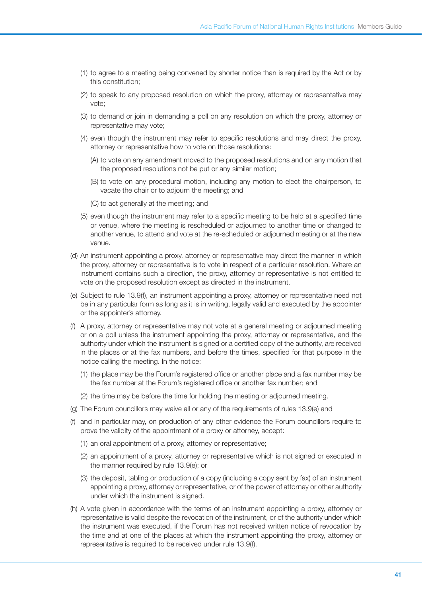- (1) to agree to a meeting being convened by shorter notice than is required by the Act or by this constitution;
- (2) to speak to any proposed resolution on which the proxy, attorney or representative may vote;
- (3) to demand or join in demanding a poll on any resolution on which the proxy, attorney or representative may vote;
- (4) even though the instrument may refer to specific resolutions and may direct the proxy, attorney or representative how to vote on those resolutions:
	- (A) to vote on any amendment moved to the proposed resolutions and on any motion that the proposed resolutions not be put or any similar motion;
	- (B) to vote on any procedural motion, including any motion to elect the chairperson, to vacate the chair or to adjourn the meeting; and
	- (C) to act generally at the meeting; and
- (5) even though the instrument may refer to a specific meeting to be held at a specified time or venue, where the meeting is rescheduled or adjourned to another time or changed to another venue, to attend and vote at the re-scheduled or adjourned meeting or at the new venue.
- (d) An instrument appointing a proxy, attorney or representative may direct the manner in which the proxy, attorney or representative is to vote in respect of a particular resolution. Where an instrument contains such a direction, the proxy, attorney or representative is not entitled to vote on the proposed resolution except as directed in the instrument.
- (e) Subject to rule 13.9(f), an instrument appointing a proxy, attorney or representative need not be in any particular form as long as it is in writing, legally valid and executed by the appointer or the appointer's attorney.
- (f) A proxy, attorney or representative may not vote at a general meeting or adjourned meeting or on a poll unless the instrument appointing the proxy, attorney or representative, and the authority under which the instrument is signed or a certified copy of the authority, are received in the places or at the fax numbers, and before the times, specified for that purpose in the notice calling the meeting. In the notice:
	- (1) the place may be the Forum's registered office or another place and a fax number may be the fax number at the Forum's registered office or another fax number; and
	- (2) the time may be before the time for holding the meeting or adjourned meeting.
- (g) The Forum councillors may waive all or any of the requirements of rules 13.9(e) and
- (f) and in particular may, on production of any other evidence the Forum councillors require to prove the validity of the appointment of a proxy or attorney, accept:
	- (1) an oral appointment of a proxy, attorney or representative;
	- (2) an appointment of a proxy, attorney or representative which is not signed or executed in the manner required by rule 13.9(e); or
	- (3) the deposit, tabling or production of a copy (including a copy sent by fax) of an instrument appointing a proxy, attorney or representative, or of the power of attorney or other authority under which the instrument is signed.
- (h) A vote given in accordance with the terms of an instrument appointing a proxy, attorney or representative is valid despite the revocation of the instrument, or of the authority under which the instrument was executed, if the Forum has not received written notice of revocation by the time and at one of the places at which the instrument appointing the proxy, attorney or representative is required to be received under rule 13.9(f).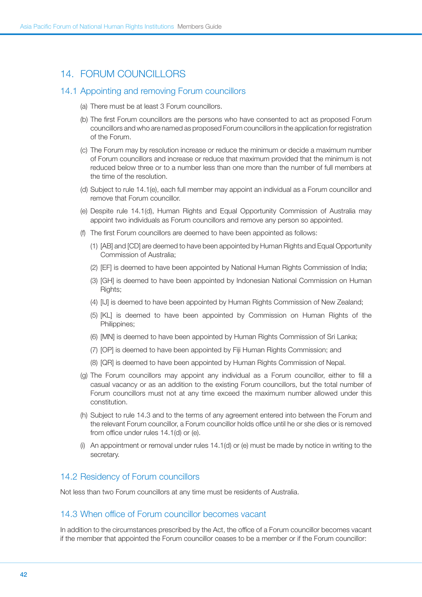# 14. Forum Councillors

### 14.1 Appointing and removing Forum councillors

- (a) There must be at least 3 Forum councillors.
- (b) The first Forum councillors are the persons who have consented to act as proposed Forum councillors and who are named as proposed Forum councillors in the application for registration of the Forum.
- (c) The Forum may by resolution increase or reduce the minimum or decide a maximum number of Forum councillors and increase or reduce that maximum provided that the minimum is not reduced below three or to a number less than one more than the number of full members at the time of the resolution.
- (d) Subject to rule 14.1(e), each full member may appoint an individual as a Forum councillor and remove that Forum councillor.
- (e) Despite rule 14.1(d), Human Rights and Equal Opportunity Commission of Australia may appoint two individuals as Forum councillors and remove any person so appointed.
- (f) The first Forum councillors are deemed to have been appointed as follows:
	- (1) [AB] and [CD] are deemed to have been appointed by Human Rights and Equal Opportunity Commission of Australia;
	- (2) [EF] is deemed to have been appointed by National Human Rights Commission of India;
	- (3) [GH] is deemed to have been appointed by Indonesian National Commission on Human Rights;
	- (4) [IJ] is deemed to have been appointed by Human Rights Commission of New Zealand;
	- (5) [KL] is deemed to have been appointed by Commission on Human Rights of the Philippines;
	- (6) [MN] is deemed to have been appointed by Human Rights Commission of Sri Lanka;
	- (7) [OP] is deemed to have been appointed by Fiji Human Rights Commission; and
	- (8) [QR] is deemed to have been appointed by Human Rights Commission of Nepal.
- (g) The Forum councillors may appoint any individual as a Forum councillor, either to fill a casual vacancy or as an addition to the existing Forum councillors, but the total number of Forum councillors must not at any time exceed the maximum number allowed under this constitution.
- (h) Subject to rule 14.3 and to the terms of any agreement entered into between the Forum and the relevant Forum councillor, a Forum councillor holds office until he or she dies or is removed from office under rules 14.1(d) or (e).
- (i) An appointment or removal under rules 14.1(d) or (e) must be made by notice in writing to the secretary.

### 14.2 Residency of Forum councillors

Not less than two Forum councillors at any time must be residents of Australia.

# 14.3 When office of Forum councillor becomes vacant

In addition to the circumstances prescribed by the Act, the office of a Forum councillor becomes vacant if the member that appointed the Forum councillor ceases to be a member or if the Forum councillor: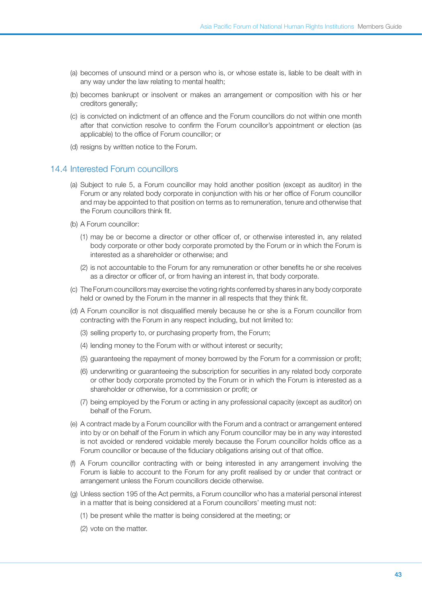- (a) becomes of unsound mind or a person who is, or whose estate is, liable to be dealt with in any way under the law relating to mental health;
- (b) becomes bankrupt or insolvent or makes an arrangement or composition with his or her creditors generally;
- (c) is convicted on indictment of an offence and the Forum councillors do not within one month after that conviction resolve to confirm the Forum councillor's appointment or election (as applicable) to the office of Forum councillor; or
- (d) resigns by written notice to the Forum.

### 14.4 Interested Forum councillors

- (a) Subject to rule 5, a Forum councillor may hold another position (except as auditor) in the Forum or any related body corporate in conjunction with his or her office of Forum councillor and may be appointed to that position on terms as to remuneration, tenure and otherwise that the Forum councillors think fit.
- (b) A Forum councillor:
	- (1) may be or become a director or other officer of, or otherwise interested in, any related body corporate or other body corporate promoted by the Forum or in which the Forum is interested as a shareholder or otherwise; and
	- (2) is not accountable to the Forum for any remuneration or other benefits he or she receives as a director or officer of, or from having an interest in, that body corporate.
- (c) The Forum councillors may exercise the voting rights conferred by shares in any body corporate held or owned by the Forum in the manner in all respects that they think fit.
- (d) A Forum councillor is not disqualified merely because he or she is a Forum councillor from contracting with the Forum in any respect including, but not limited to:
	- (3) selling property to, or purchasing property from, the Forum;
	- (4) lending money to the Forum with or without interest or security;
	- (5) guaranteeing the repayment of money borrowed by the Forum for a commission or profit;
	- (6) underwriting or guaranteeing the subscription for securities in any related body corporate or other body corporate promoted by the Forum or in which the Forum is interested as a shareholder or otherwise, for a commission or profit; or
	- (7) being employed by the Forum or acting in any professional capacity (except as auditor) on behalf of the Forum.
- (e) A contract made by a Forum councillor with the Forum and a contract or arrangement entered into by or on behalf of the Forum in which any Forum councillor may be in any way interested is not avoided or rendered voidable merely because the Forum councillor holds office as a Forum councillor or because of the fiduciary obligations arising out of that office.
- (f) A Forum councillor contracting with or being interested in any arrangement involving the Forum is liable to account to the Forum for any profit realised by or under that contract or arrangement unless the Forum councillors decide otherwise.
- (g) Unless section 195 of the Act permits, a Forum councillor who has a material personal interest in a matter that is being considered at a Forum councillors' meeting must not:
	- (1) be present while the matter is being considered at the meeting; or
	- (2) vote on the matter.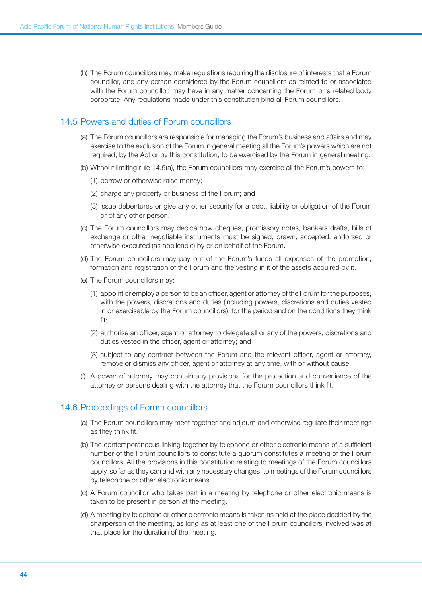(h) The Forum councillors may make regulations requiring the disclosure of interests that a Forum councillor, and any person considered by the Forum councillors as related to or associated with the Forum councillor, may have in any matter concerning the Forum or a related body corporate. Any regulations made under this constitution bind all Forum councillors.

# 14.5 Powers and duties of Forum councillors

- (a) The Forum councillors are responsible for managing the Forum's business and affairs and may exercise to the exclusion of the Forum in general meeting all the Forum's powers which are not required, by the Act or by this constitution, to be exercised by the Forum in general meeting.
- (b) Without limiting rule 14.5(a), the Forum councillors may exercise all the Forum's powers to:
	- (1) borrow or otherwise raise money;
	- (2) charge any property or business of the Forum; and
	- (3) issue debentures or give any other security for a debt, liability or obligation of the Forum or of any other person.
- (c) The Forum councillors may decide how cheques, promissory notes, bankers drafts, bills of exchange or other negotiable instruments must be signed, drawn, accepted, endorsed or otherwise executed (as applicable) by or on behalf of the Forum.
- (d) The Forum councillors may pay out of the Forum's funds all expenses of the promotion, formation and registration of the Forum and the vesting in it of the assets acquired by it.
- (e) The Forum councillors may:
	- (1) appoint or employ a person to be an officer, agent or attorney of the Forum for the purposes, with the powers, discretions and duties (including powers, discretions and duties vested in or exercisable by the Forum councillors), for the period and on the conditions they think fit;
	- (2) authorise an officer, agent or attorney to delegate all or any of the powers, discretions and duties vested in the officer, agent or attorney; and
	- (3) subject to any contract between the Forum and the relevant officer, agent or attorney, remove or dismiss any officer, agent or attorney at any time, with or without cause.
- (f) A power of attorney may contain any provisions for the protection and convenience of the attorney or persons dealing with the attorney that the Forum councillors think fit.

# 14.6 Proceedings of Forum councillors

- (a) The Forum councillors may meet together and adjourn and otherwise regulate their meetings as they think fit.
- (b) The contemporaneous linking together by telephone or other electronic means of a sufficient number of the Forum councillors to constitute a quorum constitutes a meeting of the Forum councillors. All the provisions in this constitution relating to meetings of the Forum councillors apply, so far as they can and with any necessary changes, to meetings of the Forum councillors by telephone or other electronic means.
- (c) A Forum councillor who takes part in a meeting by telephone or other electronic means is taken to be present in person at the meeting.
- (d) A meeting by telephone or other electronic means is taken as held at the place decided by the chairperson of the meeting, as long as at least one of the Forum councillors involved was at that place for the duration of the meeting.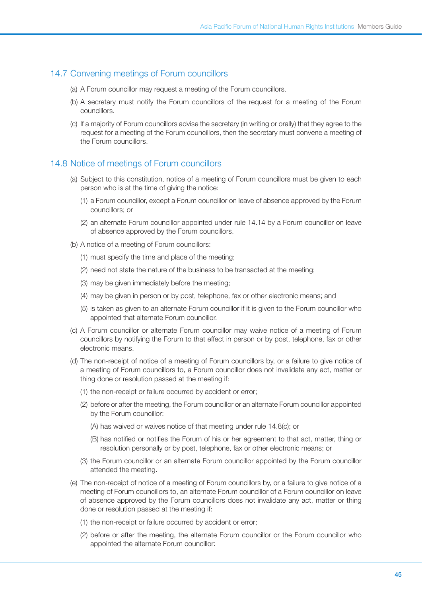# 14.7 Convening meetings of Forum councillors

- (a) A Forum councillor may request a meeting of the Forum councillors.
- (b) A secretary must notify the Forum councillors of the request for a meeting of the Forum councillors.
- (c) If a majority of Forum councillors advise the secretary (in writing or orally) that they agree to the request for a meeting of the Forum councillors, then the secretary must convene a meeting of the Forum councillors.

### 14.8 Notice of meetings of Forum councillors

- (a) Subject to this constitution, notice of a meeting of Forum councillors must be given to each person who is at the time of giving the notice:
	- (1) a Forum councillor, except a Forum councillor on leave of absence approved by the Forum councillors; or
	- (2) an alternate Forum councillor appointed under rule 14.14 by a Forum councillor on leave of absence approved by the Forum councillors.
- (b) A notice of a meeting of Forum councillors:
	- (1) must specify the time and place of the meeting;
	- (2) need not state the nature of the business to be transacted at the meeting;
	- (3) may be given immediately before the meeting;
	- (4) may be given in person or by post, telephone, fax or other electronic means; and
	- (5) is taken as given to an alternate Forum councillor if it is given to the Forum councillor who appointed that alternate Forum councillor.
- (c) A Forum councillor or alternate Forum councillor may waive notice of a meeting of Forum councillors by notifying the Forum to that effect in person or by post, telephone, fax or other electronic means.
- (d) The non-receipt of notice of a meeting of Forum councillors by, or a failure to give notice of a meeting of Forum councillors to, a Forum councillor does not invalidate any act, matter or thing done or resolution passed at the meeting if:
	- (1) the non-receipt or failure occurred by accident or error;
	- (2) before or after the meeting, the Forum councillor or an alternate Forum councillor appointed by the Forum councillor:
		- (A) has waived or waives notice of that meeting under rule 14.8(c); or
		- (B) has notified or notifies the Forum of his or her agreement to that act, matter, thing or resolution personally or by post, telephone, fax or other electronic means; or
	- (3) the Forum councillor or an alternate Forum councillor appointed by the Forum councillor attended the meeting.
- (e) The non-receipt of notice of a meeting of Forum councillors by, or a failure to give notice of a meeting of Forum councillors to, an alternate Forum councillor of a Forum councillor on leave of absence approved by the Forum councillors does not invalidate any act, matter or thing done or resolution passed at the meeting if:
	- (1) the non-receipt or failure occurred by accident or error;
	- (2) before or after the meeting, the alternate Forum councillor or the Forum councillor who appointed the alternate Forum councillor: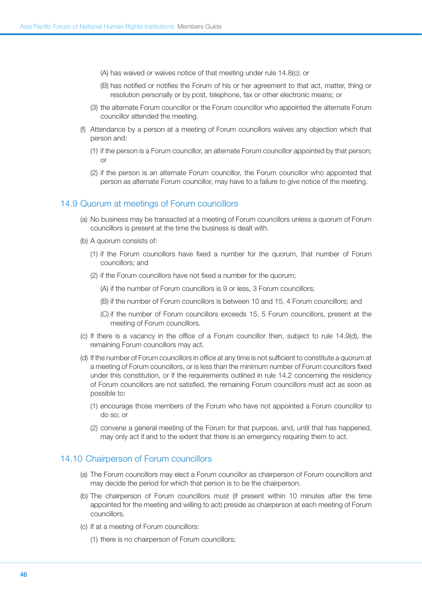- (A) has waived or waives notice of that meeting under rule 14.8(c); or
- (B) has notified or notifies the Forum of his or her agreement to that act, matter, thing or resolution personally or by post, telephone, fax or other electronic means; or
- (3) the alternate Forum councillor or the Forum councillor who appointed the alternate Forum councillor attended the meeting.
- (f) Attendance by a person at a meeting of Forum councillors waives any objection which that person and:
	- (1) if the person is a Forum councillor, an alternate Forum councillor appointed by that person; or
	- (2) if the person is an alternate Forum councillor, the Forum councillor who appointed that person as alternate Forum councillor, may have to a failure to give notice of the meeting.

### 14.9 Quorum at meetings of Forum councillors

- (a) No business may be transacted at a meeting of Forum councillors unless a quorum of Forum councillors is present at the time the business is dealt with.
- (b) A quorum consists of:
	- (1) if the Forum councillors have fixed a number for the quorum, that number of Forum councillors; and
	- (2) if the Forum councillors have not fixed a number for the quorum;
		- (A) if the number of Forum councillors is 9 or less, 3 Forum councillors;
		- (B) if the number of Forum councillors is between 10 and 15, 4 Forum councillors; and
		- (C) if the number of Forum councillors exceeds 15, 5 Forum councillors, present at the meeting of Forum councillors.
- (c) If there is a vacancy in the office of a Forum councillor then, subject to rule 14.9(d), the remaining Forum councillors may act.
- (d) If the number of Forum councillors in office at any time is not sufficient to constitute a quorum at a meeting of Forum councillors, or is less than the minimum number of Forum councillors fixed under this constitution, or if the requirements outlined in rule 14.2 concerning the residency of Forum councillors are not satisfied, the remaining Forum councillors must act as soon as possible to:
	- (1) encourage those members of the Forum who have not appointed a Forum councillor to do so; or
	- (2) convene a general meeting of the Forum for that purpose, and, until that has happened, may only act if and to the extent that there is an emergency requiring them to act.

### 14.10 Chairperson of Forum councillors

- (a) The Forum councillors may elect a Forum councillor as chairperson of Forum councillors and may decide the period for which that person is to be the chairperson.
- (b) The chairperson of Forum councillors must (if present within 10 minutes after the time appointed for the meeting and willing to act) preside as chairperson at each meeting of Forum councillors.
- (c) If at a meeting of Forum councillors:
	- (1) there is no chairperson of Forum councillors;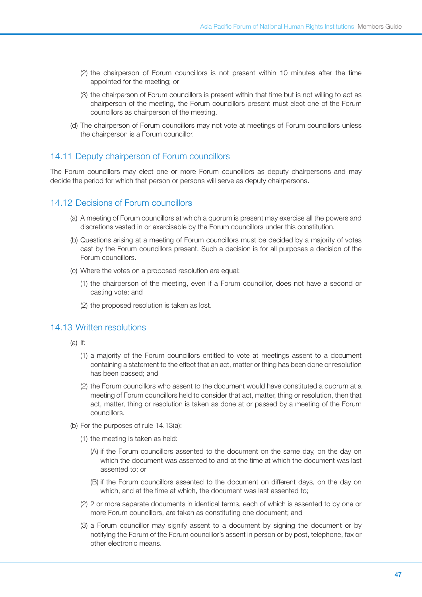- (2) the chairperson of Forum councillors is not present within 10 minutes after the time appointed for the meeting; or
- (3) the chairperson of Forum councillors is present within that time but is not willing to act as chairperson of the meeting, the Forum councillors present must elect one of the Forum councillors as chairperson of the meeting.
- (d) The chairperson of Forum councillors may not vote at meetings of Forum councillors unless the chairperson is a Forum councillor.

### 14.11 Deputy chairperson of Forum councillors

The Forum councillors may elect one or more Forum councillors as deputy chairpersons and may decide the period for which that person or persons will serve as deputy chairpersons.

# 14.12 Decisions of Forum councillors

- (a) A meeting of Forum councillors at which a quorum is present may exercise all the powers and discretions vested in or exercisable by the Forum councillors under this constitution.
- (b) Questions arising at a meeting of Forum councillors must be decided by a majority of votes cast by the Forum councillors present. Such a decision is for all purposes a decision of the Forum councillors.
- (c) Where the votes on a proposed resolution are equal:
	- (1) the chairperson of the meeting, even if a Forum councillor, does not have a second or casting vote; and
	- (2) the proposed resolution is taken as lost.

# 14.13 Written resolutions

- (a) If:
	- (1) a majority of the Forum councillors entitled to vote at meetings assent to a document containing a statement to the effect that an act, matter or thing has been done or resolution has been passed; and
	- (2) the Forum councillors who assent to the document would have constituted a quorum at a meeting of Forum councillors held to consider that act, matter, thing or resolution, then that act, matter, thing or resolution is taken as done at or passed by a meeting of the Forum councillors.
- (b) For the purposes of rule 14.13(a):
	- (1) the meeting is taken as held:
		- (A) if the Forum councillors assented to the document on the same day, on the day on which the document was assented to and at the time at which the document was last assented to; or
		- (B) if the Forum councillors assented to the document on different days, on the day on which, and at the time at which, the document was last assented to;
	- (2) 2 or more separate documents in identical terms, each of which is assented to by one or more Forum councillors, are taken as constituting one document; and
	- (3) a Forum councillor may signify assent to a document by signing the document or by notifying the Forum of the Forum councillor's assent in person or by post, telephone, fax or other electronic means.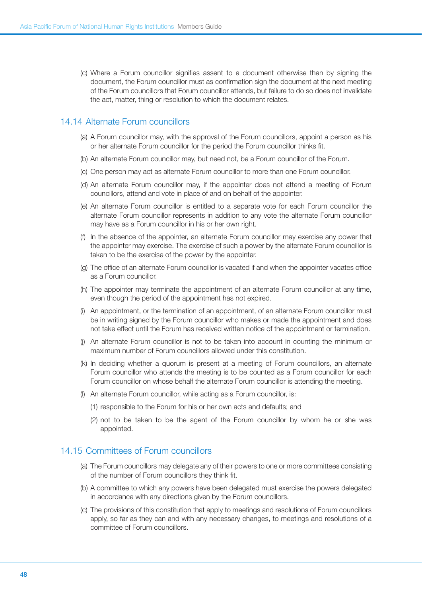(c) Where a Forum councillor signifies assent to a document otherwise than by signing the document, the Forum councillor must as confirmation sign the document at the next meeting of the Forum councillors that Forum councillor attends, but failure to do so does not invalidate the act, matter, thing or resolution to which the document relates.

# 14.14 Alternate Forum councillors

- (a) A Forum councillor may, with the approval of the Forum councillors, appoint a person as his or her alternate Forum councillor for the period the Forum councillor thinks fit.
- (b) An alternate Forum councillor may, but need not, be a Forum councillor of the Forum.
- (c) One person may act as alternate Forum councillor to more than one Forum councillor.
- (d) An alternate Forum councillor may, if the appointer does not attend a meeting of Forum councillors, attend and vote in place of and on behalf of the appointer.
- (e) An alternate Forum councillor is entitled to a separate vote for each Forum councillor the alternate Forum councillor represents in addition to any vote the alternate Forum councillor may have as a Forum councillor in his or her own right.
- (f) In the absence of the appointer, an alternate Forum councillor may exercise any power that the appointer may exercise. The exercise of such a power by the alternate Forum councillor is taken to be the exercise of the power by the appointer.
- (g) The office of an alternate Forum councillor is vacated if and when the appointer vacates office as a Forum councillor.
- (h) The appointer may terminate the appointment of an alternate Forum councillor at any time, even though the period of the appointment has not expired.
- (i) An appointment, or the termination of an appointment, of an alternate Forum councillor must be in writing signed by the Forum councillor who makes or made the appointment and does not take effect until the Forum has received written notice of the appointment or termination.
- (j) An alternate Forum councillor is not to be taken into account in counting the minimum or maximum number of Forum councillors allowed under this constitution.
- (k) In deciding whether a quorum is present at a meeting of Forum councillors, an alternate Forum councillor who attends the meeting is to be counted as a Forum councillor for each Forum councillor on whose behalf the alternate Forum councillor is attending the meeting.
- (l) An alternate Forum councillor, while acting as a Forum councillor, is:
	- (1) responsible to the Forum for his or her own acts and defaults; and
	- (2) not to be taken to be the agent of the Forum councillor by whom he or she was appointed.

# 14.15 Committees of Forum councillors

- (a) The Forum councillors may delegate any of their powers to one or more committees consisting of the number of Forum councillors they think fit.
- (b) A committee to which any powers have been delegated must exercise the powers delegated in accordance with any directions given by the Forum councillors.
- (c) The provisions of this constitution that apply to meetings and resolutions of Forum councillors apply, so far as they can and with any necessary changes, to meetings and resolutions of a committee of Forum councillors.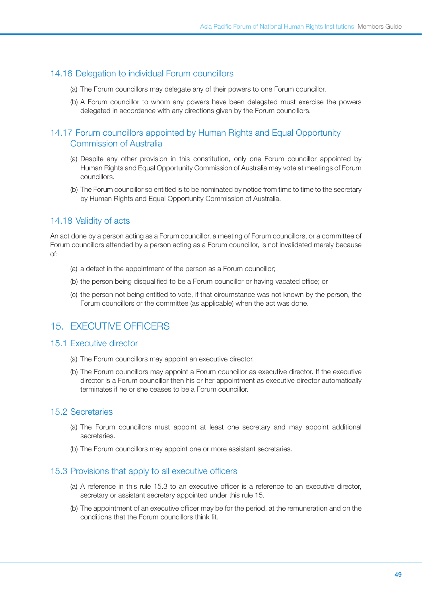# 14.16 Delegation to individual Forum councillors

- (a) The Forum councillors may delegate any of their powers to one Forum councillor.
- (b) A Forum councillor to whom any powers have been delegated must exercise the powers delegated in accordance with any directions given by the Forum councillors.

# 14.17 Forum councillors appointed by Human Rights and Equal Opportunity Commission of Australia

- (a) Despite any other provision in this constitution, only one Forum councillor appointed by Human Rights and Equal Opportunity Commission of Australia may vote at meetings of Forum councillors.
- (b) The Forum councillor so entitled is to be nominated by notice from time to time to the secretary by Human Rights and Equal Opportunity Commission of Australia.

# 14.18 Validity of acts

An act done by a person acting as a Forum councillor, a meeting of Forum councillors, or a committee of Forum councillors attended by a person acting as a Forum councillor, is not invalidated merely because of:

- (a) a defect in the appointment of the person as a Forum councillor;
- (b) the person being disqualified to be a Forum councillor or having vacated office; or
- (c) the person not being entitled to vote, if that circumstance was not known by the person, the Forum councillors or the committee (as applicable) when the act was done.

# 15. EXECUTIVE OFFICERS

# 15.1 Executive director

- (a) The Forum councillors may appoint an executive director.
- (b) The Forum councillors may appoint a Forum councillor as executive director. If the executive director is a Forum councillor then his or her appointment as executive director automatically terminates if he or she ceases to be a Forum councillor.

# 15.2 Secretaries

- (a) The Forum councillors must appoint at least one secretary and may appoint additional secretaries.
- (b) The Forum councillors may appoint one or more assistant secretaries.

### 15.3 Provisions that apply to all executive officers

- (a) A reference in this rule 15.3 to an executive officer is a reference to an executive director, secretary or assistant secretary appointed under this rule 15.
- (b) The appointment of an executive officer may be for the period, at the remuneration and on the conditions that the Forum councillors think fit.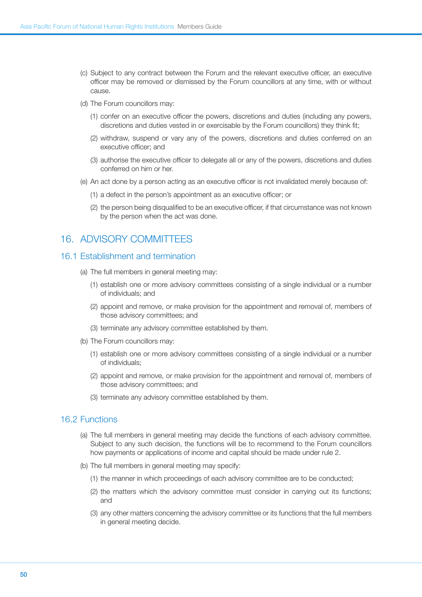- (c) Subject to any contract between the Forum and the relevant executive officer, an executive officer may be removed or dismissed by the Forum councillors at any time, with or without cause.
- (d) The Forum councillors may:
	- (1) confer on an executive officer the powers, discretions and duties (including any powers, discretions and duties vested in or exercisable by the Forum councillors) they think fit;
	- (2) withdraw, suspend or vary any of the powers, discretions and duties conferred on an executive officer; and
	- (3) authorise the executive officer to delegate all or any of the powers, discretions and duties conferred on him or her.
- (e) An act done by a person acting as an executive officer is not invalidated merely because of:
	- (1) a defect in the person's appointment as an executive officer; or
	- (2) the person being disqualified to be an executive officer, if that circumstance was not known by the person when the act was done.

# 16. ADVISORY COMMITTEES

### 16.1 Establishment and termination

- (a) The full members in general meeting may:
	- (1) establish one or more advisory committees consisting of a single individual or a number of individuals; and
	- (2) appoint and remove, or make provision for the appointment and removal of, members of those advisory committees; and
	- (3) terminate any advisory committee established by them.
- (b) The Forum councillors may:
	- (1) establish one or more advisory committees consisting of a single individual or a number of individuals;
	- (2) appoint and remove, or make provision for the appointment and removal of, members of those advisory committees; and
	- (3) terminate any advisory committee established by them.

### 16.2 Functions

- (a) The full members in general meeting may decide the functions of each advisory committee. Subject to any such decision, the functions will be to recommend to the Forum councillors how payments or applications of income and capital should be made under rule 2.
- (b) The full members in general meeting may specify:
	- (1) the manner in which proceedings of each advisory committee are to be conducted;
	- (2) the matters which the advisory committee must consider in carrying out its functions; and
	- (3) any other matters concerning the advisory committee or its functions that the full members in general meeting decide.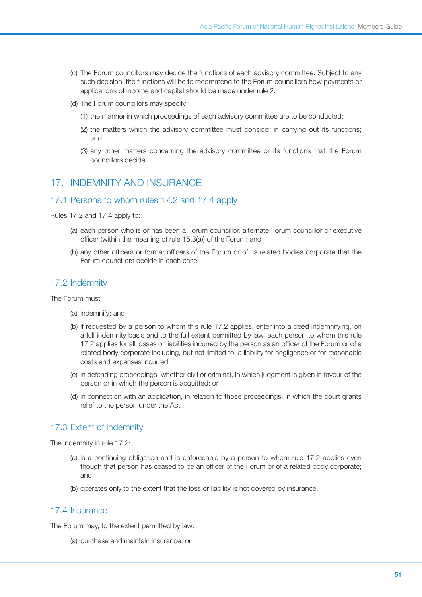- (c) The Forum councillors may decide the functions of each advisory committee. Subject to any such decision, the functions will be to recommend to the Forum councillors how payments or applications of income and capital should be made under rule 2.
- (d) The Forum councillors may specify:
	- (1) the manner in which proceedings of each advisory committee are to be conducted;
	- (2) the matters which the advisory committee must consider in carrying out its functions; and
	- (3) any other matters concerning the advisory committee or its functions that the Forum councillors decide.

# 17. Indemnity and insurance

# 17.1 Persons to whom rules 17.2 and 17.4 apply

Rules 17.2 and 17.4 apply to:

- (a) each person who is or has been a Forum councillor, alternate Forum councillor or executive officer (within the meaning of rule 15.3(a)) of the Forum; and
- (b) any other officers or former officers of the Forum or of its related bodies corporate that the Forum councillors decide in each case.

# 17.2 Indemnity

The Forum must

- (a) indemnify; and
- (b) if requested by a person to whom this rule 17.2 applies, enter into a deed indemnifying, on a full indemnity basis and to the full extent permitted by law, each person to whom this rule 17.2 applies for all losses or liabilities incurred by the person as an officer of the Forum or of a related body corporate including, but not limited to, a liability for negligence or for reasonable costs and expenses incurred:
- (c) in defending proceedings, whether civil or criminal, in which judgment is given in favour of the person or in which the person is acquitted; or
- (d) in connection with an application, in relation to those proceedings, in which the court grants relief to the person under the Act.

# 17.3 Extent of indemnity

The indemnity in rule 17.2:

- (a) is a continuing obligation and is enforceable by a person to whom rule 17.2 applies even though that person has ceased to be an officer of the Forum or of a related body corporate; and
- (b) operates only to the extent that the loss or liability is not covered by insurance.

# 17.4 Insurance

The Forum may, to the extent permitted by law:

(a) purchase and maintain insurance; or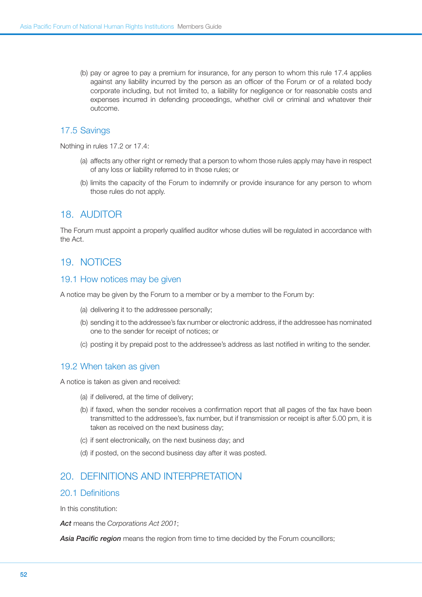(b) pay or agree to pay a premium for insurance, for any person to whom this rule 17.4 applies against any liability incurred by the person as an officer of the Forum or of a related body corporate including, but not limited to, a liability for negligence or for reasonable costs and expenses incurred in defending proceedings, whether civil or criminal and whatever their outcome.

# 17.5 Savings

Nothing in rules 17.2 or 17.4:

- (a) affects any other right or remedy that a person to whom those rules apply may have in respect of any loss or liability referred to in those rules; or
- (b) limits the capacity of the Forum to indemnify or provide insurance for any person to whom those rules do not apply.

# 18. AUDITOR

The Forum must appoint a properly qualified auditor whose duties will be regulated in accordance with the Act.

# 19. Notices

# 19.1 How notices may be given

A notice may be given by the Forum to a member or by a member to the Forum by:

- (a) delivering it to the addressee personally;
- (b) sending it to the addressee's fax number or electronic address, if the addressee has nominated one to the sender for receipt of notices; or
- (c) posting it by prepaid post to the addressee's address as last notified in writing to the sender.

# 19.2 When taken as given

A notice is taken as given and received:

- (a) if delivered, at the time of delivery;
- (b) if faxed, when the sender receives a confirmation report that all pages of the fax have been transmitted to the addressee's, fax number, but if transmission or receipt is after 5.00 pm, it is taken as received on the next business day;
- (c) if sent electronically, on the next business day; and
- (d) if posted, on the second business day after it was posted.

# 20. Definitions and interpretation

# 20.1 Definitions

In this constitution:

*Act* means the *Corporations Act 2001*;

*Asia Pacific region* means the region from time to time decided by the Forum councillors;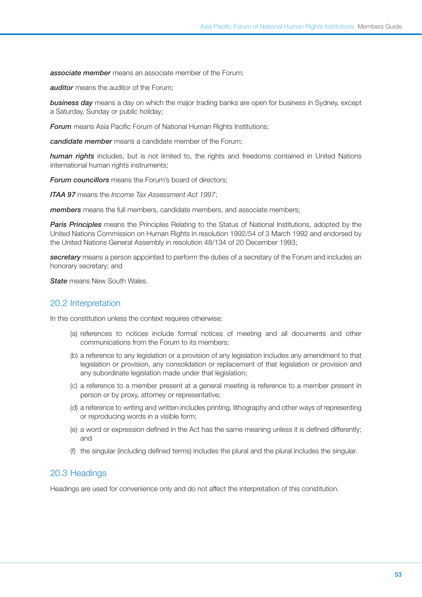*associate member* means an associate member of the Forum;

*auditor* means the auditor of the Forum:

**business day** means a day on which the major trading banks are open for business in Sydney, except a Saturday, Sunday or public holiday;

**Forum** means Asia Pacific Forum of National Human Rights Institutions;

*candidate member* means a candidate member of the Forum;

*human rights* includes, but is not limited to, the rights and freedoms contained in United Nations international human rights instruments;

*Forum councillors* means the Forum's board of directors;

*ITAA 97* means the *Income Tax Assessment Act 1997*;

*members* means the full members, candidate members, and associate members;

**Paris Principles** means the Principles Relating to the Status of National Institutions, adopted by the United Nations Commission on Human Rights in resolution 1992/54 of 3 March 1992 and endorsed by the United Nations General Assembly in resolution 48/134 of 20 December 1993;

*secretary* means a person appointed to perform the duties of a secretary of the Forum and includes an honorary secretary; and

*State* means New South Wales.

# 20.2 Interpretation

In this constitution unless the context requires otherwise:

- (a) references to notices include formal notices of meeting and all documents and other communications from the Forum to its members;
- (b) a reference to any legislation or a provision of any legislation includes any amendment to that legislation or provision, any consolidation or replacement of that legislation or provision and any subordinate legislation made under that legislation;
- (c) a reference to a member present at a general meeting is reference to a member present in person or by proxy, attorney or representative;
- (d) a reference to writing and written includes printing, lithography and other ways of representing or reproducing words in a visible form;
- (e) a word or expression defined in the Act has the same meaning unless it is defined differently; and
- (f) the singular (including defined terms) includes the plural and the plural includes the singular.

# 20.3 Headings

Headings are used for convenience only and do not affect the interpretation of this constitution.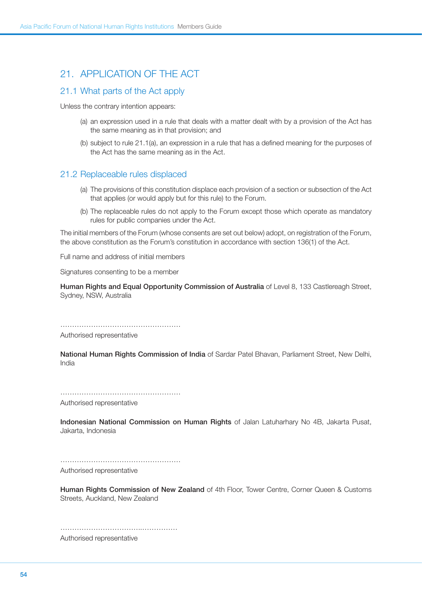# 21. Application of the Act

# 21.1 What parts of the Act apply

Unless the contrary intention appears:

- (a) an expression used in a rule that deals with a matter dealt with by a provision of the Act has the same meaning as in that provision; and
- (b) subject to rule 21.1(a), an expression in a rule that has a defined meaning for the purposes of the Act has the same meaning as in the Act.

### 21.2 Replaceable rules displaced

- (a) The provisions of this constitution displace each provision of a section or subsection of the Act that applies (or would apply but for this rule) to the Forum.
- (b) The replaceable rules do not apply to the Forum except those which operate as mandatory rules for public companies under the Act.

The initial members of the Forum (whose consents are set out below) adopt, on registration of the Forum, the above constitution as the Forum's constitution in accordance with section 136(1) of the Act.

Full name and address of initial members

Signatures consenting to be a member

Human Rights and Equal Opportunity Commission of Australia of Level 8, 133 Castlereagh Street, Sydney, NSW, Australia

……………………………………………

Authorised representative

National Human Rights Commission of India of Sardar Patel Bhavan, Parliament Street, New Delhi, India

……………………………………………

Authorised representative

Indonesian National Commission on Human Rights of Jalan Latuharhary No 4B, Jakarta Pusat, Jakarta, Indonesia

……………………………………………

Authorised representative

Human Rights Commission of New Zealand of 4th Floor, Tower Centre, Corner Queen & Customs Streets, Auckland, New Zealand

……………………………..…………… Authorised representative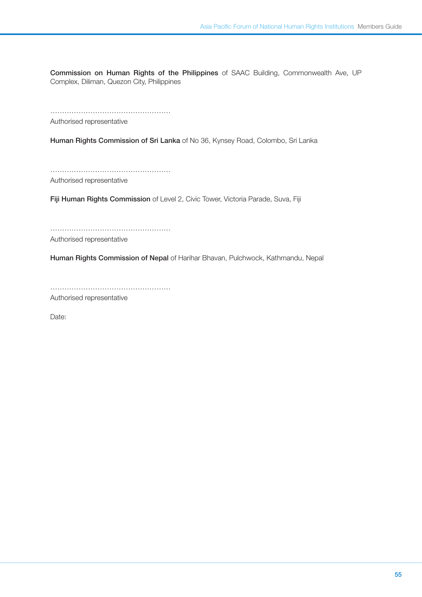Commission on Human Rights of the Philippines of SAAC Building, Commonwealth Ave, UP Complex, Diliman, Quezon City, Philippines

…………………………………………… Authorised representative

Human Rights Commission of Sri Lanka of No 36, Kynsey Road, Colombo, Sri Lanka

…………………………………………… Authorised representative

Fiji Human Rights Commission of Level 2, Civic Tower, Victoria Parade, Suva, Fiji

……………………………………………

Authorised representative

Human Rights Commission of Nepal of Harihar Bhavan, Pulchwock, Kathmandu, Nepal

……………………………………………

Authorised representative

Date: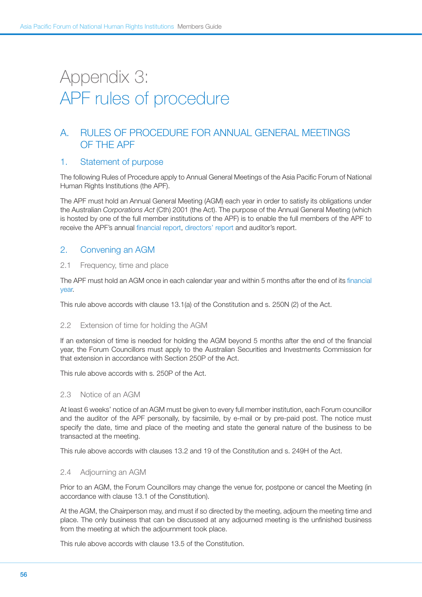# Appendix 3: APF rules of procedure

# A. Rules of Procedure for Annual General Meetings of the APF

### 1. Statement of purpose

The following Rules of Procedure apply to Annual General Meetings of the Asia Pacific Forum of National Human Rights Institutions (the APF).

The APF must hold an Annual General Meeting (AGM) each year in order to satisfy its obligations under the Australian *Corporations Act* (Cth) 2001 (the Act). The purpose of the Annual General Meeting (which is hosted by one of the full member institutions of the APF) is to enable the full members of the APF to receive the APF's annual [financial report](http://www.austlii.edu.au/au/legis/cth/consol_act/ca2001172/s9.html#financial_report), [directors](http://www.austlii.edu.au/au/legis/cth/consol_act/ca2001172/s9.html#director)' [report](http://www.austlii.edu.au/au/legis/cth/consol_act/ca2001172/s9.html#director) and [auditor's report](http://www.austlii.edu.au/au/legis/cth/consol_act/ca2001172/s9.html#audit).

# 2. Convening an AGM

#### 2.1 Frequency, time and place

The APF must hold an AGM once in each calendar year and within 5 months after the end of its [financial](http://www.austlii.edu.au/au/legis/cth/consol_act/ca2001172/s9.html#financial_year) [year](http://www.austlii.edu.au/au/legis/cth/consol_act/ca2001172/s9.html#financial_year).

This rule above accords with clause 13.1(a) of the Constitution and s. 250N (2) of the Act.

### 2.2 Extension of time for holding the AGM

If an extension of time is needed for holding the AGM beyond 5 months after the end of the financial year, the Forum Councillors must apply to the Australian Securities and Investments Commission for that extension in accordance with Section 250P of the Act.

This rule above accords with s. 250P of the Act.

### 2.3 Notice of an AGM

At least 6 weeks' notice of an AGM must be given to every full member institution, each Forum councillor and the auditor of the APF personally, by facsimile, by e-mail or by pre-paid post. The notice must specify the date, time and place of the meeting and state the general nature of the business to be transacted at the meeting.

This rule above accords with clauses 13.2 and 19 of the Constitution and s. 249H of the Act.

### 2.4 Adjourning an AGM

Prior to an AGM, the Forum Councillors may change the venue for, postpone or cancel the Meeting (in accordance with clause 13.1 of the Constitution).

At the AGM, the Chairperson may, and must if so directed by the meeting, adjourn the meeting time and place. The only business that can be discussed at any adjourned meeting is the unfinished business from the meeting at which the adjournment took place.

This rule above accords with clause 13.5 of the Constitution.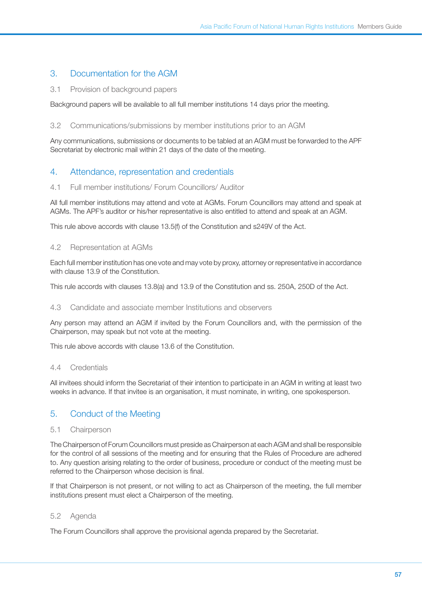# 3. Documentation for the AGM

### 3.1 Provision of background papers

Background papers will be available to all full member institutions 14 days prior the meeting.

### 3.2 Communications/submissions by member institutions prior to an AGM

Any communications, submissions or documents to be tabled at an AGM must be forwarded to the APF Secretariat by electronic mail within 21 days of the date of the meeting.

# 4. Attendance, representation and credentials

### 4.1 Full member institutions/ Forum Councillors/ Auditor

All full member institutions may attend and vote at AGMs. Forum Councillors may attend and speak at AGMs. The APF's auditor or his/her representative is also entitled to attend and speak at an AGM.

This rule above accords with clause 13.5(f) of the Constitution and s249V of the Act.

### 4.2 Representation at AGMs

Each full member institution has one vote and may vote by proxy, attorney or representative in accordance with clause 13.9 of the Constitution.

This rule accords with clauses 13.8(a) and 13.9 of the Constitution and ss. 250A, 250D of the Act.

### 4.3 Candidate and associate member Institutions and observers

Any person may attend an AGM if invited by the Forum Councillors and, with the permission of the Chairperson, may speak but not vote at the meeting.

This rule above accords with clause 13.6 of the Constitution.

### 4.4 Credentials

All invitees should inform the Secretariat of their intention to participate in an AGM in writing at least two weeks in advance. If that invitee is an organisation, it must nominate, in writing, one spokesperson.

# 5. Conduct of the Meeting

### 5.1 Chairperson

The Chairperson of Forum Councillors must preside as Chairperson at each AGM and shall be responsible for the control of all sessions of the meeting and for ensuring that the Rules of Procedure are adhered to. Any question arising relating to the order of business, procedure or conduct of the meeting must be referred to the Chairperson whose decision is final.

If that Chairperson is not present, or not willing to act as Chairperson of the meeting, the full member institutions present must elect a Chairperson of the meeting.

### 5.2 Agenda

The Forum Councillors shall approve the provisional agenda prepared by the Secretariat.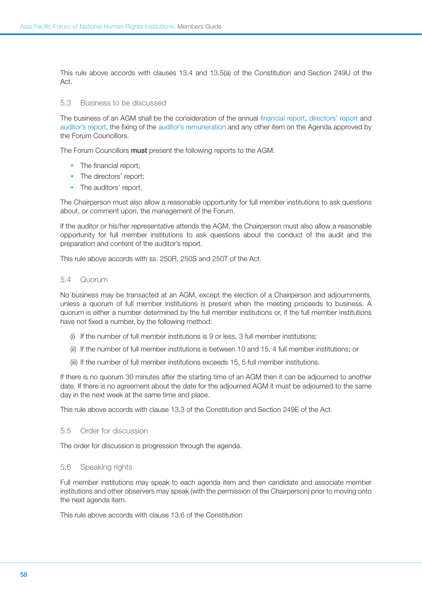This rule above accords with clauses 13.4 and 13.5(a) of the Constitution and Section 249U of the Act.

#### 5.3 Business to be discussed

The business of an AGM shall be the consideration of the annual [financial report](http://www.austlii.edu.au/au/legis/cth/consol_act/ca2001172/s9.html#financial_report), [directors' report](http://www.austlii.edu.au/au/legis/cth/consol_act/ca2001172/s9.html#director) and [auditor's report,](http://www.austlii.edu.au/au/legis/cth/consol_act/ca2001172/s9.html#audit) the fixing of the [auditor's remuneration](http://www.austlii.edu.au/au/legis/cth/consol_act/ca2001172/s9.html#remuneration) and any other item on the Agenda approved by the Forum Councillors.

The Forum Councillors must present the following reports to the AGM:

- The financial report;
- The directors' report;
- The auditors' report.

The Chairperson must also allow a reasonable opportunity for full member institutions to ask questions about, or comment upon, the management of the Forum.

If the auditor or his/her representative attends the AGM, the Chairperson must also allow a reasonable opportunity for full member institutions to ask questions about the conduct of the audit and the preparation and content of the auditor's report.

This rule above accords with ss. 250R, 250S and 250T of the Act.

#### 5.4 Quorum

No business may be transacted at an AGM, except the election of a Chairperson and adjournments, unless a quorum of full member institutions is present when the meeting proceeds to business. A quorum is either a number determined by the full member institutions or, if the full member institutions have not fixed a number, by the following method:

- (i) If the number of full member institutions is 9 or less, 3 full member institutions;
- (ii) If the number of full member institutions is between 10 and 15, 4 full member institutions; or
- (iii) If the number of full member institutions exceeds 15, 5 full member institutions.

If there is no quorum 30 minutes after the starting time of an AGM then it can be adjourned to another date. If there is no agreement about the date for the adjourned AGM it must be adjourned to the same day in the next week at the same time and place.

This rule above accords with clause 13.3 of the Constitution and Section 249E of the Act.

#### 5.5 Order for discussion

The order for discussion is progression through the agenda.

#### 5.6 Speaking rights

Full member institutions may speak to each agenda item and then candidate and associate member institutions and other observers may speak (with the permission of the Chairperson) prior to moving onto the next agenda item.

This rule above accords with clause 13.6 of the Constitution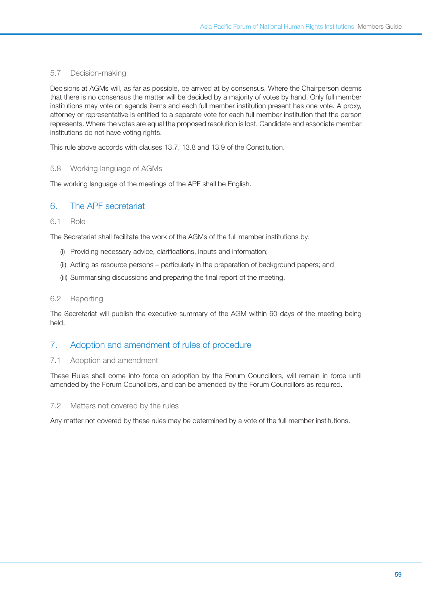### 5.7 Decision-making

Decisions at AGMs will, as far as possible, be arrived at by consensus. Where the Chairperson deems that there is no consensus the matter will be decided by a majority of votes by hand. Only full member institutions may vote on agenda items and each full member institution present has one vote. A proxy, attorney or representative is entitled to a separate vote for each full member institution that the person represents. Where the votes are equal the proposed resolution is lost. Candidate and associate member institutions do not have voting rights.

This rule above accords with clauses 13.7, 13.8 and 13.9 of the Constitution.

### 5.8 Working language of AGMs

The working language of the meetings of the APF shall be English.

# 6. The APF secretariat

### 6.1 Role

The Secretariat shall facilitate the work of the AGMs of the full member institutions by:

- (i) Providing necessary advice, clarifications, inputs and information;
- (ii) Acting as resource persons particularly in the preparation of background papers; and
- (iii) Summarising discussions and preparing the final report of the meeting.

#### 6.2 Reporting

The Secretariat will publish the executive summary of the AGM within 60 days of the meeting being held.

### 7. Adoption and amendment of rules of procedure

#### 7.1 Adoption and amendment

These Rules shall come into force on adoption by the Forum Councillors, will remain in force until amended by the Forum Councillors, and can be amended by the Forum Councillors as required.

#### 7.2 Matters not covered by the rules

Any matter not covered by these rules may be determined by a vote of the full member institutions.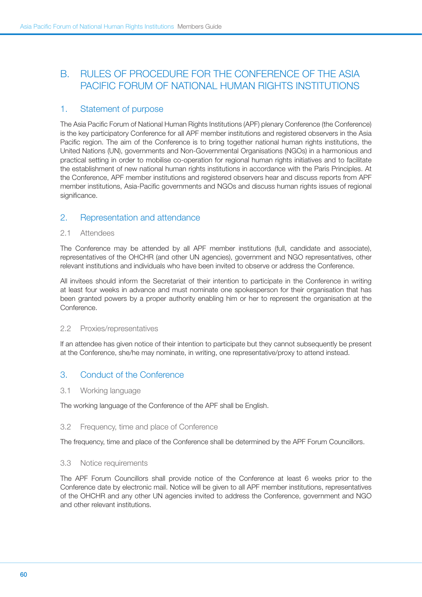# B. Rules of Procedure for the Conference of the Asia Pacific Forum of National Human Rights Institutions

# 1. Statement of purpose

The Asia Pacific Forum of National Human Rights Institutions (APF) plenary Conference (the Conference) is the key participatory Conference for all APF member institutions and registered observers in the Asia Pacific region. The aim of the Conference is to bring together national human rights institutions, the United Nations (UN), governments and Non-Governmental Organisations (NGOs) in a harmonious and practical setting in order to mobilise co-operation for regional human rights initiatives and to facilitate the establishment of new national human rights institutions in accordance with the Paris Principles. At the Conference, APF member institutions and registered observers hear and discuss reports from APF member institutions, Asia-Pacific governments and NGOs and discuss human rights issues of regional significance.

# 2. Representation and attendance

### 2.1 Attendees

The Conference may be attended by all APF member institutions (full, candidate and associate), representatives of the OHCHR (and other UN agencies), government and NGO representatives, other relevant institutions and individuals who have been invited to observe or address the Conference.

All invitees should inform the Secretariat of their intention to participate in the Conference in writing at least four weeks in advance and must nominate one spokesperson for their organisation that has been granted powers by a proper authority enabling him or her to represent the organisation at the Conference.

### 2.2 Proxies/representatives

If an attendee has given notice of their intention to participate but they cannot subsequently be present at the Conference, she/he may nominate, in writing, one representative/proxy to attend instead.

# 3. Conduct of the Conference

#### 3.1 Working language

The working language of the Conference of the APF shall be English.

### 3.2 Frequency, time and place of Conference

The frequency, time and place of the Conference shall be determined by the APF Forum Councillors.

#### 3.3 Notice requirements

The APF Forum Councillors shall provide notice of the Conference at least 6 weeks prior to the Conference date by electronic mail. Notice will be given to all APF member institutions, representatives of the OHCHR and any other UN agencies invited to address the Conference, government and NGO and other relevant institutions.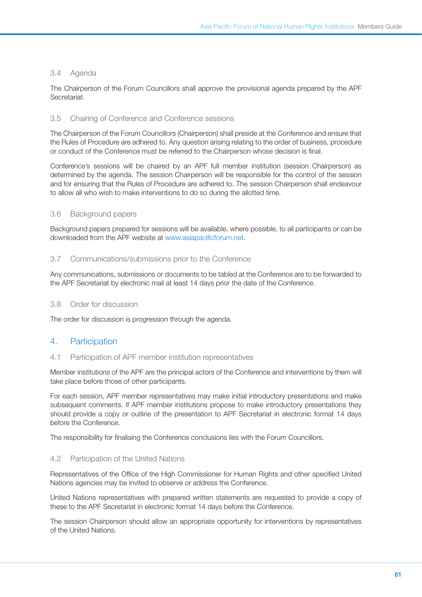### 3.4 Agenda

The Chairperson of the Forum Councillors shall approve the provisional agenda prepared by the APF Secretariat.

### 3.5 Chairing of Conference and Conference sessions

The Chairperson of the Forum Councillors (Chairperson) shall preside at the Conference and ensure that the Rules of Procedure are adhered to. Any question arising relating to the order of business, procedure or conduct of the Conference must be referred to the Chairperson whose decision is final.

Conference's sessions will be chaired by an APF full member institution (session Chairperson) as determined by the agenda. The session Chairperson will be responsible for the control of the session and for ensuring that the Rules of Procedure are adhered to. The session Chairperson shall endeavour to allow all who wish to make interventions to do so during the allotted time.

### 3.6 Background papers

Background papers prepared for sessions will be available, where possible, to all participants or can be downloaded from the APF website at [www.asiapacificforum.net.](http://www.asiapacificforum.net)

### 3.7 Communications/submissions prior to the Conference

Any communications, submissions or documents to be tabled at the Conference are to be forwarded to the APF Secretariat by electronic mail at least 14 days prior the date of the Conference.

### 3.8 Order for discussion

The order for discussion is progression through the agenda.

# 4. Participation

### 4.1 Participation of APF member institution representatives

Member institutions of the APF are the principal actors of the Conference and interventions by them will take place before those of other participants.

For each session, APF member representatives may make initial introductory presentations and make subsequent comments. If APF member institutions propose to make introductory presentations they should provide a copy or outline of the presentation to APF Secretariat in electronic format 14 days before the Conference.

The responsibility for finalising the Conference conclusions lies with the Forum Councillors.

### 4.2 Participation of the United Nations

Representatives of the Office of the High Commissioner for Human Rights and other specified United Nations agencies may be invited to observe or address the Conference.

United Nations representatives with prepared written statements are requested to provide a copy of these to the APF Secretariat in electronic format 14 days before the Conference.

The session Chairperson should allow an appropriate opportunity for interventions by representatives of the United Nations.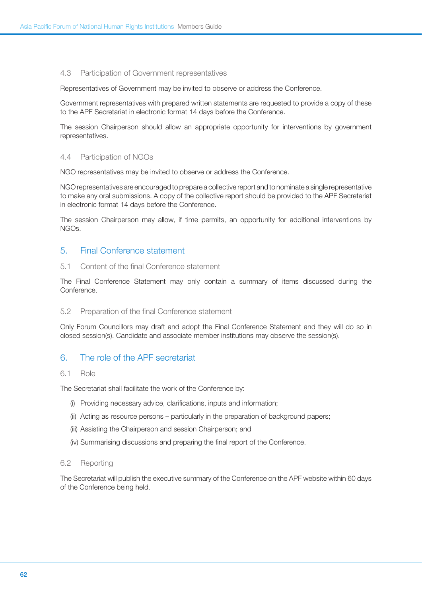#### 4.3 Participation of Government representatives

Representatives of Government may be invited to observe or address the Conference.

Government representatives with prepared written statements are requested to provide a copy of these to the APF Secretariat in electronic format 14 days before the Conference.

The session Chairperson should allow an appropriate opportunity for interventions by government representatives.

### 4.4 Participation of NGOs

NGO representatives may be invited to observe or address the Conference.

NGO representatives are encouraged to prepare a collective report and to nominate a single representative to make any oral submissions. A copy of the collective report should be provided to the APF Secretariat in electronic format 14 days before the Conference.

The session Chairperson may allow, if time permits, an opportunity for additional interventions by NGOs.

### 5. Final Conference statement

#### 5.1 Content of the final Conference statement

The Final Conference Statement may only contain a summary of items discussed during the Conference.

#### 5.2 Preparation of the final Conference statement

Only Forum Councillors may draft and adopt the Final Conference Statement and they will do so in closed session(s). Candidate and associate member institutions may observe the session(s).

# 6. The role of the APF secretariat

#### 6.1 Role

The Secretariat shall facilitate the work of the Conference by:

- (i) Providing necessary advice, clarifications, inputs and information;
- (ii) Acting as resource persons particularly in the preparation of background papers;
- (iii) Assisting the Chairperson and session Chairperson; and
- (iv) Summarising discussions and preparing the final report of the Conference.

#### 6.2 Reporting

The Secretariat will publish the executive summary of the Conference on the APF website within 60 days of the Conference being held.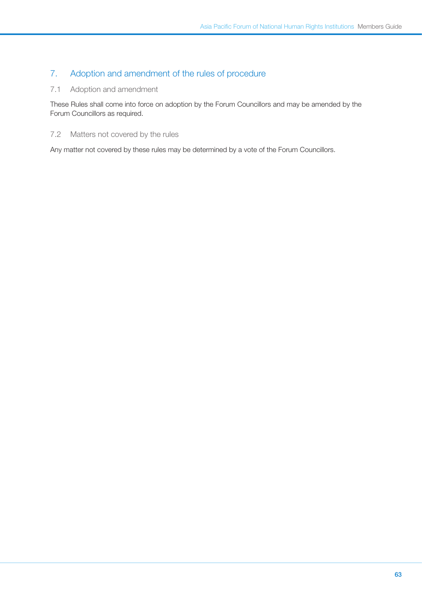# 7. Adoption and amendment of the rules of procedure

# 7.1 Adoption and amendment

These Rules shall come into force on adoption by the Forum Councillors and may be amended by the Forum Councillors as required.

### 7.2 Matters not covered by the rules

Any matter not covered by these rules may be determined by a vote of the Forum Councillors.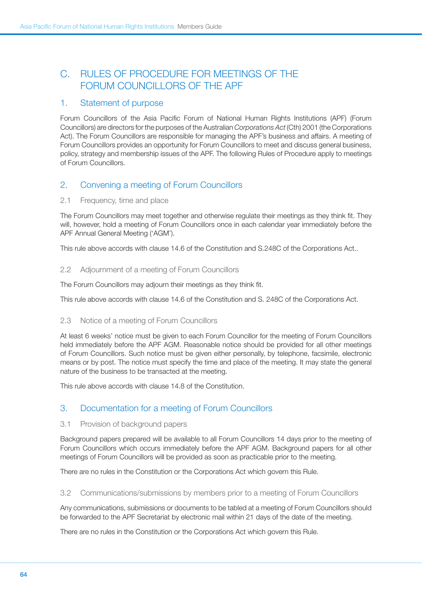# C. Rules of Procedure for meetings of the FORUM COUNCILLORS OF THE APF

# 1. Statement of purpose

Forum Councillors of the Asia Pacific Forum of National Human Rights Institutions (APF) (Forum Councillors) are directors for the purposes of the Australian *Corporations Act* (Cth) 2001 (the Corporations Act). The Forum Councillors are responsible for managing the APF's business and affairs. A meeting of Forum Councillors provides an opportunity for Forum Councillors to meet and discuss general business, policy, strategy and membership issues of the APF. The following Rules of Procedure apply to meetings of Forum Councillors.

# 2. Convening a meeting of Forum Councillors

### 2.1 Frequency, time and place

The Forum Councillors may meet together and otherwise regulate their meetings as they think fit. They will, however, hold a meeting of Forum Councillors once in each calendar year immediately before the APF Annual General Meeting ('AGM').

This rule above accords with clause 14.6 of the Constitution and S.248C of the Corporations Act..

### 2.2 Adjournment of a meeting of Forum Councillors

The Forum Councillors may adjourn their meetings as they think fit.

This rule above accords with clause 14.6 of the Constitution and S. 248C of the Corporations Act.

### 2.3 Notice of a meeting of Forum Councillors

At least 6 weeks' notice must be given to each Forum Councillor for the meeting of Forum Councillors held immediately before the APF AGM. Reasonable notice should be provided for all other meetings of Forum Councillors. Such notice must be given either personally, by telephone, facsimile, electronic means or by post. The notice must specify the time and place of the meeting. It may state the general nature of the business to be transacted at the meeting.

This rule above accords with clause 14.8 of the Constitution.

# 3. Documentation for a meeting of Forum Councillors

### 3.1 Provision of background papers

Background papers prepared will be available to all Forum Councillors 14 days prior to the meeting of Forum Councillors which occurs immediately before the APF AGM. Background papers for all other meetings of Forum Councillors will be provided as soon as practicable prior to the meeting.

There are no rules in the Constitution or the Corporations Act which govern this Rule.

3.2 Communications/submissions by members prior to a meeting of Forum Councillors

Any communications, submissions or documents to be tabled at a meeting of Forum Councillors should be forwarded to the APF Secretariat by electronic mail within 21 days of the date of the meeting.

There are no rules in the Constitution or the Corporations Act which govern this Rule.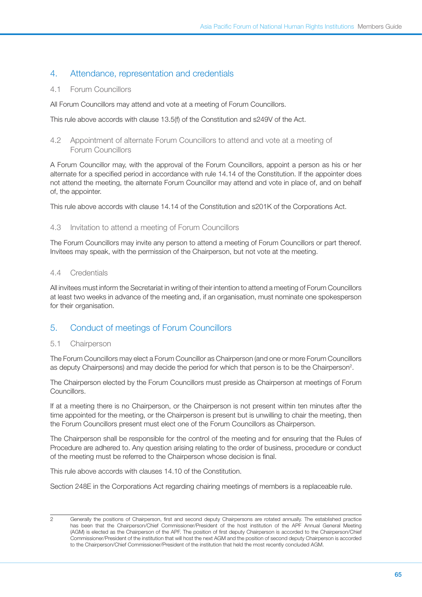# 4. Attendance, representation and credentials

### 4.1 Forum Councillors

All Forum Councillors may attend and vote at a meeting of Forum Councillors.

This rule above accords with clause 13.5(f) of the Constitution and s249V of the Act.

### 4.2 Appointment of alternate Forum Councillors to attend and vote at a meeting of Forum Councillors

A Forum Councillor may, with the approval of the Forum Councillors, appoint a person as his or her alternate for a specified period in accordance with rule 14.14 of the Constitution. If the appointer does not attend the meeting, the alternate Forum Councillor may attend and vote in place of, and on behalf of, the appointer.

This rule above accords with clause 14.14 of the Constitution and s201K of the Corporations Act.

### 4.3 Invitation to attend a meeting of Forum Councillors

The Forum Councillors may invite any person to attend a meeting of Forum Councillors or part thereof. Invitees may speak, with the permission of the Chairperson, but not vote at the meeting.

### 4.4 Credentials

All invitees must inform the Secretariat in writing of their intention to attend a meeting of Forum Councillors at least two weeks in advance of the meeting and, if an organisation, must nominate one spokesperson for their organisation.

# 5. Conduct of meetings of Forum Councillors

# 5.1 Chairperson

The Forum Councillors may elect a Forum Councillor as Chairperson (and one or more Forum Councillors as deputy Chairpersons) and may decide the period for which that person is to be the Chairperson<sup>2</sup>.

The Chairperson elected by the Forum Councillors must preside as Chairperson at meetings of Forum Councillors.

If at a meeting there is no Chairperson, or the Chairperson is not present within ten minutes after the time appointed for the meeting, or the Chairperson is present but is unwilling to chair the meeting, then the Forum Councillors present must elect one of the Forum Councillors as Chairperson.

The Chairperson shall be responsible for the control of the meeting and for ensuring that the Rules of Procedure are adhered to. Any question arising relating to the order of business, procedure or conduct of the meeting must be referred to the Chairperson whose decision is final.

This rule above accords with clauses 14.10 of the Constitution.

Section 248E in the Corporations Act regarding chairing meetings of members is a replaceable rule.

<sup>2</sup> Generally the positions of Chairperson, first and second deputy Chairpersons are rotated annually. The established practice has been that the Chairperson/Chief Commissioner/President of the host institution of the APF Annual General Meeting (AGM) is elected as the Chairperson of the APF. The position of first deputy Chairperson is accorded to the Chairperson/Chief Commissioner/President of the institution that will host the next AGM and the position of second deputy Chairperson is accorded to the Chairperson/Chief Commissioner/President of the institution that held the most recently concluded AGM.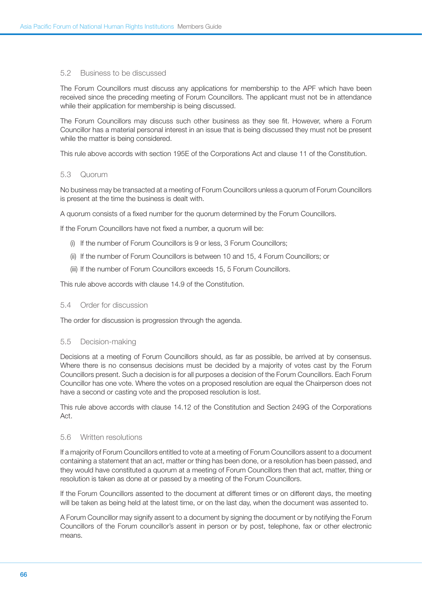#### 5.2 Business to be discussed

The Forum Councillors must discuss any applications for membership to the APF which have been received since the preceding meeting of Forum Councillors. The applicant must not be in attendance while their application for membership is being discussed.

The Forum Councillors may discuss such other business as they see fit. However, where a Forum Councillor has a material personal interest in an issue that is being discussed they must not be present while the matter is being considered.

This rule above accords with section 195E of the Corporations Act and clause 11 of the Constitution.

#### 5.3 Quorum

No business may be transacted at a meeting of Forum Councillors unless a quorum of Forum Councillors is present at the time the business is dealt with.

A quorum consists of a fixed number for the quorum determined by the Forum Councillors.

If the Forum Councillors have not fixed a number, a quorum will be:

- (i) If the number of Forum Councillors is 9 or less, 3 Forum Councillors;
- (ii) If the number of Forum Councillors is between 10 and 15, 4 Forum Councillors; or
- (iii) If the number of Forum Councillors exceeds 15, 5 Forum Councillors.

This rule above accords with clause 14.9 of the Constitution.

#### 5.4 Order for discussion

The order for discussion is progression through the agenda.

#### 5.5 Decision-making

Decisions at a meeting of Forum Councillors should, as far as possible, be arrived at by consensus. Where there is no consensus decisions must be decided by a majority of votes cast by the Forum Councillors present. Such a decision is for all purposes a decision of the Forum Councillors. Each Forum Councillor has one vote. Where the votes on a proposed resolution are equal the Chairperson does not have a second or casting vote and the proposed resolution is lost.

This rule above accords with clause 14.12 of the Constitution and Section 249G of the Corporations Act.

### 5.6 Written resolutions

If a majority of Forum Councillors entitled to vote at a meeting of Forum Councillors assent to a document containing a statement that an act, matter or thing has been done, or a resolution has been passed, and they would have constituted a quorum at a meeting of Forum Councillors then that act, matter, thing or resolution is taken as done at or passed by a meeting of the Forum Councillors.

If the Forum Councillors assented to the document at different times or on different days, the meeting will be taken as being held at the latest time, or on the last day, when the document was assented to.

A Forum Councillor may signify assent to a document by signing the document or by notifying the Forum Councillors of the Forum councillor's assent in person or by post, telephone, fax or other electronic means.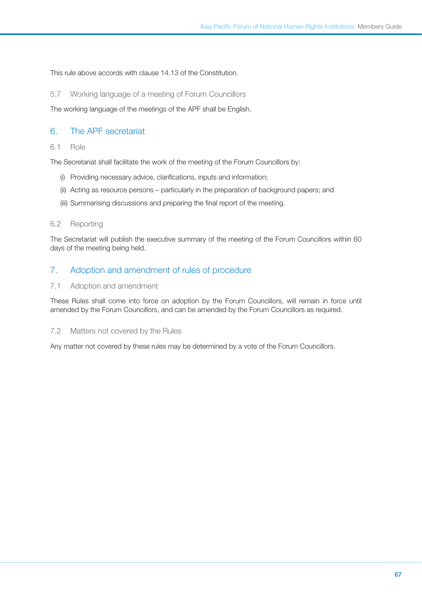This rule above accords with clause 14.13 of the Constitution.

5.7 Working language of a meeting of Forum Councillors

The working language of the meetings of the APF shall be English.

# 6. The APF secretariat

#### 6.1 Role

The Secretariat shall facilitate the work of the meeting of the Forum Councillors by:

- (i) Providing necessary advice, clarifications, inputs and information;
- (ii) Acting as resource persons particularly in the preparation of background papers; and
- (iii) Summarising discussions and preparing the final report of the meeting.

#### 6.2 Reporting

The Secretariat will publish the executive summary of the meeting of the Forum Councillors within 60 days of the meeting being held.

### 7. Adoption and amendment of rules of procedure

#### 7.1 Adoption and amendment

These Rules shall come into force on adoption by the Forum Councillors, will remain in force until amended by the Forum Councillors, and can be amended by the Forum Councillors as required.

#### 7.2 Matters not covered by the Rules

Any matter not covered by these rules may be determined by a vote of the Forum Councillors.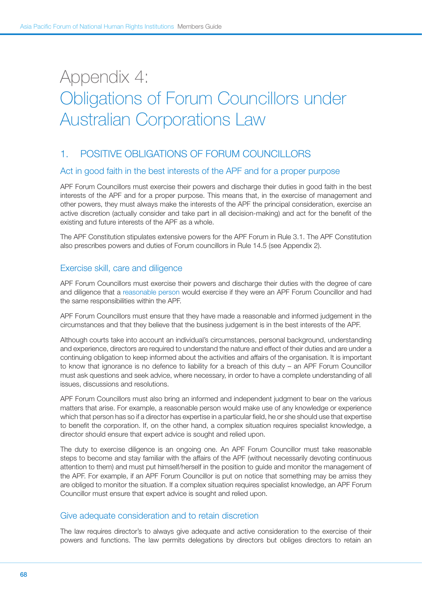# Appendix 4: Obligations of Forum Councillors under Australian Corporations Law

# 1. POSITIVE OBLIGATIONS OF FORUM COUNCILLORS

# Act in good faith in the best interests of the APF and for a proper purpose

APF Forum Councillors must exercise their powers and discharge their duties in good faith in the best interests of the APF and for a proper purpose. This means that, in the exercise of management and other powers, they must always make the interests of the APF the principal consideration, exercise an active discretion (actually consider and take part in all decision-making) and act for the benefit of the existing and future interests of the APF as a whole.

The APF Constitution stipulates extensive powers for the APF Forum in Rule 3.1. The APF Constitution also prescribes powers and duties of Forum councillors in Rule 14.5 (see Appendix 2).

# Exercise skill, care and diligence

APF Forum Councillors must exercise their powers and discharge their duties with the degree of care and diligence that a [reasonable person](http://www.austlii.edu.au/au/legis/cth/consol_act/ca2001172/s9.html#person) would exercise if they were an APF Forum Councillor and had the same responsibilities within the APF.

APF Forum Councillors must ensure that they have made a reasonable and informed judgement in the circumstances and that they believe that the business judgement is in the best interests of the APF.

Although courts take into account an individual's circumstances, personal background, understanding and experience, directors are required to understand the nature and effect of their duties and are under a continuing obligation to keep informed about the activities and affairs of the organisation. It is important to know that ignorance is no defence to liability for a breach of this duty – an APF Forum Councillor must ask questions and seek advice, where necessary, in order to have a complete understanding of all issues, discussions and resolutions.

APF Forum Councillors must also bring an informed and independent judgment to bear on the various matters that arise. For example, a reasonable person would make use of any knowledge or experience which that person has so if a director has expertise in a particular field, he or she should use that expertise to benefit the corporation. If, on the other hand, a complex situation requires specialist knowledge, a director should ensure that expert advice is sought and relied upon.

The duty to exercise diligence is an ongoing one. An APF Forum Councillor must take reasonable steps to become and stay familiar with the affairs of the APF (without necessarily devoting continuous attention to them) and must put himself/herself in the position to guide and monitor the management of the APF. For example, if an APF Forum Councillor is put on notice that something may be amiss they are obliged to monitor the situation. If a complex situation requires specialist knowledge, an APF Forum Councillor must ensure that expert advice is sought and relied upon.

# Give adequate consideration and to retain discretion

The law requires director's to always give adequate and active consideration to the exercise of their powers and functions. The law permits delegations by directors but obliges directors to retain an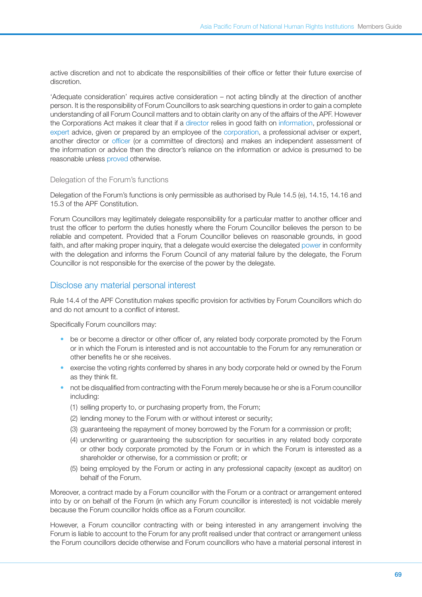active discretion and not to abdicate the responsibilities of their office or fetter their future exercise of discretion.

'Adequate consideration' requires active consideration – not acting blindly at the direction of another person. It is the responsibility of Forum Councillors to ask searching questions in order to gain a complete understanding of all Forum Council matters and to obtain clarity on any of the affairs of the APF. However the Corporations Act makes it clear that if a [director](http://www.austlii.edu.au/au/legis/cth/consol_act/ca2001172/s9.html#director) relies in good faith on [information](http://www.austlii.edu.au/au/legis/cth/consol_act/ca2001172/s9.html#information), professional or [expert](http://www.austlii.edu.au/au/legis/cth/consol_act/ca2001172/s9.html#expert) advice, given or prepared by an employee of the [corporation](http://www.austlii.edu.au/au/legis/cth/consol_act/ca2001172/s9.html#corporation), a professional adviser or expert, another director or [officer](http://www.austlii.edu.au/au/legis/cth/consol_act/ca2001172/s416.html#officer) (or a committee of directors) and makes an independent assessment of the information or advice then the director's reliance on the information or advice is presumed to be reasonable unless [proved](http://www.austlii.edu.au/au/legis/cth/consol_act/ca2001172/s9.html#prove) otherwise.

#### Delegation of the Forum's functions

Delegation of the Forum's functions is only permissible as authorised by Rule 14.5 (e), 14.15, 14.16 and 15.3 of the APF Constitution.

Forum Councillors may legitimately delegate responsibility for a particular matter to another officer and trust the officer to perform the duties honestly where the Forum Councillor believes the person to be reliable and competent. Provided that a Forum Councillor believes on reasonable grounds, in good faith, and after making proper inquiry, that a delegate would exercise the delegated [power](http://www.austlii.edu.au/au/legis/cth/consol_act/ca2001172/s9.html#power) in conformity with the delegation and informs the Forum Council of any material failure by the delegate, the Forum Councillor is not responsible for the exercise of the power by the delegate.

# Disclose any material personal interest

Rule 14.4 of the APF Constitution makes specific provision for activities by Forum Councillors which do and do not amount to a conflict of interest.

Specifically Forum councillors may:

- be or become a director or other officer of, any related body corporate promoted by the Forum or in which the Forum is interested and is not accountable to the Forum for any remuneration or other benefits he or she receives.
- exercise the voting rights conferred by shares in any body corporate held or owned by the Forum as they think fit.
- not be disqualified from contracting with the Forum merely because he or she is a Forum councillor including:
	- (1) selling property to, or purchasing property from, the Forum;
	- (2) lending money to the Forum with or without interest or security;
	- (3) guaranteeing the repayment of money borrowed by the Forum for a commission or profit;
	- (4) underwriting or guaranteeing the subscription for securities in any related body corporate or other body corporate promoted by the Forum or in which the Forum is interested as a shareholder or otherwise, for a commission or profit; or
	- (5) being employed by the Forum or acting in any professional capacity (except as auditor) on behalf of the Forum.

Moreover, a contract made by a Forum councillor with the Forum or a contract or arrangement entered into by or on behalf of the Forum (in which any Forum councillor is interested) is not voidable merely because the Forum councillor holds office as a Forum councillor.

However, a Forum councillor contracting with or being interested in any arrangement involving the Forum is liable to account to the Forum for any profit realised under that contract or arrangement unless the Forum councillors decide otherwise and Forum councillors who have a material personal interest in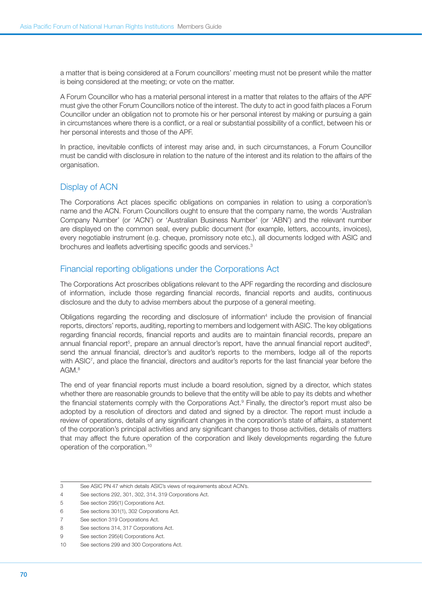a matter that is being considered at a Forum councillors' meeting must not be present while the matter is being considered at the meeting; or vote on the matter.

A Forum Councillor who has a material personal interest in a matter that relates to the affairs of the APF must give the other Forum Councillors notice of the interest. The duty to act in good faith places a Forum Councillor under an obligation not to promote his or her personal interest by making or pursuing a gain in circumstances where there is a conflict, or a real or substantial possibility of a conflict, between his or her personal interests and those of the APF.

In practice, inevitable conflicts of interest may arise and, in such circumstances, a Forum Councillor must be candid with disclosure in relation to the nature of the interest and its relation to the affairs of the organisation.

# Display of ACN

The Corporations Act places specific obligations on companies in relation to using a corporation's name and the ACN. Forum Councillors ought to ensure that the company name, the words 'Australian Company Number' (or 'ACN') or 'Australian Business Number' (or 'ABN') and the relevant number are displayed on the common seal, every public document (for example, letters, accounts, invoices), every negotiable instrument (e.g. cheque, promissory note etc.), all documents lodged with ASIC and brochures and leaflets advertising specific goods and services.<sup>3</sup>

# Financial reporting obligations under the Corporations Act

The Corporations Act proscribes obligations relevant to the APF regarding the recording and disclosure of information, include those regarding financial records, financial reports and audits, continuous disclosure and the duty to advise members about the purpose of a general meeting.

Obligations regarding the recording and disclosure of information<sup>4</sup> include the provision of financial reports, directors' reports, auditing, reporting to members and lodgement with ASIC. The key obligations regarding financial records, financial reports and audits are to maintain financial records, prepare an annual financial report<sup>5</sup>, prepare an annual director's report, have the annual financial report audited<sup>6</sup>, send the annual financial, director's and auditor's reports to the members, lodge all of the reports with ASIC7 , and place the financial, directors and auditor's reports for the last financial year before the AGM.8

The end of year financial reports must include a board resolution, signed by a director, which states whether there are reasonable grounds to believe that the entity will be able to pay its debts and whether the financial statements comply with the Corporations Act.<sup>9</sup> Finally, the director's report must also be adopted by a resolution of directors and dated and signed by a director. The report must include a review of operations, details of any significant changes in the corporation's state of affairs, a statement of the corporation's principal activities and any significant changes to those activities, details of matters that may affect the future operation of the corporation and likely developments regarding the future operation of the corporation.10

<sup>3</sup> See ASIC PN 47 which details ASIC's views of requirements about ACN's.

<sup>4</sup> See sections 292, 301, 302, 314, 319 Corporations Act.

<sup>5</sup> See section 295(1) Corporations Act.

<sup>6</sup> See sections 301(1), 302 Corporations Act.

<sup>7</sup> See section 319 Corporations Act.

<sup>8</sup> See sections 314, 317 Corporations Act.

<sup>9</sup> See section 295(4) Corporations Act.

<sup>10</sup> See sections 299 and 300 Corporations Act.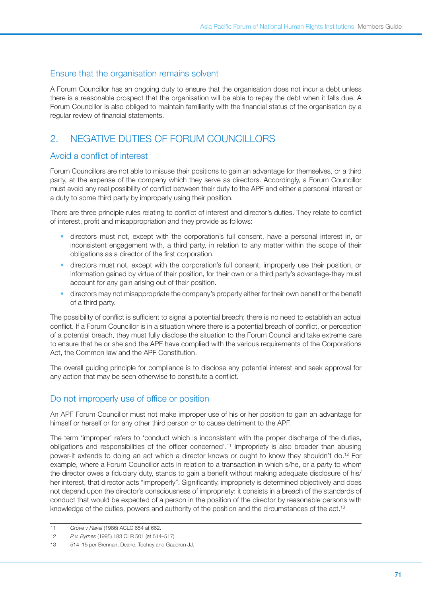# Ensure that the organisation remains solvent

A Forum Councillor has an ongoing duty to ensure that the organisation does not incur a debt unless there is a reasonable prospect that the organisation will be able to repay the debt when it falls due. A Forum Councillor is also obliged to maintain familiarity with the financial status of the organisation by a regular review of financial statements.

# 2. NEGATIVE DUTIES OF FORUM COUNCILLORS

# Avoid a conflict of interest

Forum Councillors are not able to misuse their positions to gain an advantage for themselves, or a third party, at the expense of the company which they serve as directors. Accordingly, a Forum Councillor must avoid any real possibility of conflict between their duty to the APF and either a personal interest or a duty to some third party by improperly using their position.

There are three principle rules relating to conflict of interest and director's duties. They relate to conflict of interest, profit and misappropriation and they provide as follows:

- directors must not, except with the corporation's full consent, have a personal interest in, or inconsistent engagement with, a third party, in relation to any matter within the scope of their obligations as a director of the first corporation.
- directors must not, except with the corporation's full consent, improperly use their position, or information gained by virtue of their position, for their own or a third party's advantage-they must account for any gain arising out of their position.
- directors may not misappropriate the company's property either for their own benefit or the benefit of a third party.

The possibility of conflict is sufficient to signal a potential breach; there is no need to establish an actual conflict. If a Forum Councillor is in a situation where there is a potential breach of conflict, or perception of a potential breach, they must fully disclose the situation to the Forum Council and take extreme care to ensure that he or she and the APF have complied with the various requirements of the Corporations Act, the Common law and the APF Constitution.

The overall guiding principle for compliance is to disclose any potential interest and seek approval for any action that may be seen otherwise to constitute a conflict.

# Do not improperly use of office or position

An APF Forum Councillor must not make improper use of his or her position to gain an advantage for himself or herself or for any other third person or to cause detriment to the APF.

The term 'improper' refers to 'conduct which is inconsistent with the proper discharge of the duties, obligations and responsibilities of the officer concerned'.11 Impropriety is also broader than abusing power-it extends to doing an act which a director knows or ought to know they shouldn't do.12 For example, where a Forum Councillor acts in relation to a transaction in which s/he, or a party to whom the director owes a fiduciary duty, stands to gain a benefit without making adequate disclosure of his/ her interest, that director acts "improperly". Significantly, impropriety is determined objectively and does not depend upon the director's consciousness of impropriety: it consists in a breach of the standards of conduct that would be expected of a person in the position of the director by reasonable persons with knowledge of the duties, powers and authority of the position and the circumstances of the act.<sup>13</sup>

<sup>11</sup> *Grove v Flavel* (1986) ACLC 654 at 662.

<sup>12</sup> *R v. Byrnes* (1995) 183 CLR 501 (at 514–517)

<sup>13</sup> 514–15 per Brennan, Deane, Toohey and Gaudron JJ.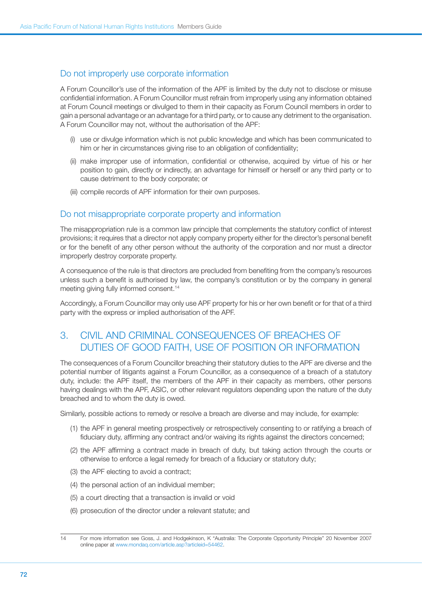# Do not improperly use corporate information

A Forum Councillor's use of the information of the APF is limited by the duty not to disclose or misuse confidential information. A Forum Councillor must refrain from improperly using any information obtained at Forum Council meetings or divulged to them in their capacity as Forum Council members in order to gain a personal advantage or an advantage for a third party, or to cause any detriment to the organisation. A Forum Councillor may not, without the authorisation of the APF:

- (i) use or divulge information which is not public knowledge and which has been communicated to him or her in circumstances giving rise to an obligation of confidentiality;
- (ii) make improper use of information, confidential or otherwise, acquired by virtue of his or her position to gain, directly or indirectly, an advantage for himself or herself or any third party or to cause detriment to the body corporate; or
- (iii) compile records of APF information for their own purposes.

# Do not misappropriate corporate property and information

The misappropriation rule is a common law principle that complements the statutory conflict of interest provisions; it requires that a director not apply company property either for the director's personal benefit or for the benefit of any other person without the authority of the corporation and nor must a director improperly destroy corporate property.

A consequence of the rule is that directors are precluded from benefiting from the company's resources unless such a benefit is authorised by law, the company's constitution or by the company in general meeting giving fully informed consent.14

Accordingly, a Forum Councillor may only use APF property for his or her own benefit or for that of a third party with the express or implied authorisation of the APF.

# 3. Civil and criminal consequences of breaches of duties of good faith, use of position or information

The consequences of a Forum Councillor breaching their statutory duties to the APF are diverse and the potential number of litigants against a Forum Councillor, as a consequence of a breach of a statutory duty, include: the APF itself, the members of the APF in their capacity as members, other persons having dealings with the APF, ASIC, or other relevant regulators depending upon the nature of the duty breached and to whom the duty is owed.

Similarly, possible actions to remedy or resolve a breach are diverse and may include, for example:

- (1) the APF in general meeting prospectively or retrospectively consenting to or ratifying a breach of fiduciary duty, affirming any contract and/or waiving its rights against the directors concerned;
- (2) the APF affirming a contract made in breach of duty, but taking action through the courts or otherwise to enforce a legal remedy for breach of a fiduciary or statutory duty;
- (3) the APF electing to avoid a contract;
- (4) the personal action of an individual member;
- (5) a court directing that a transaction is invalid or void
- (6) prosecution of the director under a relevant statute; and

<sup>14</sup> For more information see Goss, J. and Hodgekinson, K "Australia: The Corporate Opportunity Principle" 20 November 2007 online paper at [www.mondaq.com/article.asp?articleid=54462.](http://www.mondaq.com/article.asp?articleid=54462)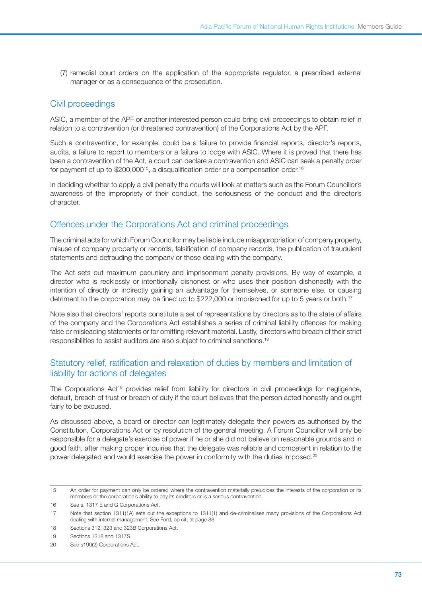(7) remedial court orders on the application of the appropriate regulator, a prescribed external manager or as a consequence of the prosecution.

## Civil proceedings

ASIC, a member of the APF or another interested person could bring civil proceedings to obtain relief in relation to a contravention (or threatened contravention) of the Corporations Act by the APF.

Such a contravention, for example, could be a failure to provide financial reports, director's reports, audits, a failure to report to members or a failure to lodge with ASIC. Where it is proved that there has been a contravention of the Act, a court can declare a contravention and ASIC can seek a penalty order for payment of up to  $$200,000$ <sup>15</sup>, a disqualification order or a compensation order.<sup>16</sup>

In deciding whether to apply a civil penalty the courts will look at matters such as the Forum Councillor's awareness of the impropriety of their conduct, the seriousness of the conduct and the director's character.

### Offences under the Corporations Act and criminal proceedings

The criminal acts for which Forum Councillor may be liable include misappropriation of company property, misuse of company property or records, falsification of company records, the publication of fraudulent statements and defrauding the company or those dealing with the company.

The Act sets out maximum pecuniary and imprisonment penalty provisions. By way of example, a director who is recklessly or intentionally dishonest or who uses their position dishonestly with the intention of directly or indirectly gaining an advantage for themselves, or someone else, or causing detriment to the corporation may be fined up to \$222,000 or imprisoned for up to 5 years or both.<sup>17</sup>

Note also that directors' reports constitute a set of representations by directors as to the state of affairs of the company and the Corporations Act establishes a series of criminal liability offences for making false or misleading statements or for omitting relevant material. Lastly, directors who breach of their strict responsibilities to assist auditors are also subject to criminal sanctions.18

#### Statutory relief, ratification and relaxation of duties by members and limitation of liability for actions of delegates

The Corporations Act<sup>19</sup> provides relief from liability for directors in civil proceedings for negligence, default, breach of trust or breach of duty if the court believes that the person acted honestly and ought fairly to be excused.

As discussed above, a board or director can legitimately delegate their powers as authorised by the Constitution, Corporations Act or by resolution of the general meeting. A Forum Councillor will only be responsible for a delegate's exercise of power if he or she did not believe on reasonable grounds and in good faith, after making proper inquiries that the delegate was reliable and competent in relation to the power delegated and would exercise the power in conformity with the duties imposed.20

<sup>15</sup> An order for payment can only be ordered where the contravention materially prejudices the interests of the corporation or its members or the corporation's ability to pay its creditors or is a serious contravention.

<sup>16</sup> See s. 1317 E and G Corporations Act.

<sup>17</sup> Note that section 1311(1A) sets out the exceptions to 1311(1) and de-criminalises many provisions of the Corporations Act dealing with internal management. See Ford, op cit, at page 88.

<sup>18</sup> Sections 312, 323 and 323B Corporations Act.

<sup>19</sup> Sections 1318 and 1317S.

<sup>20</sup> See s190(2) Corporations Act.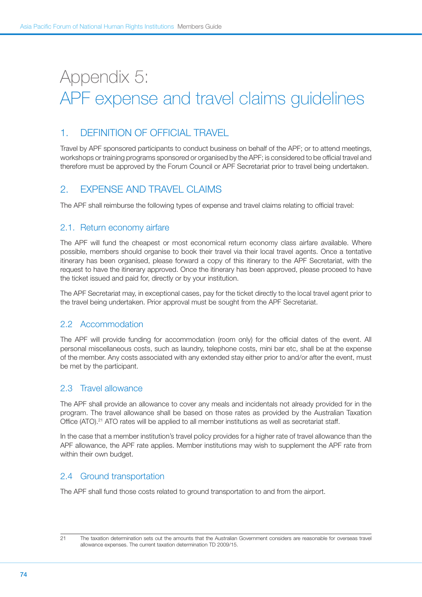# Appendix 5: APF expense and travel claims guidelines

## 1. Definition of official travel

Travel by APF sponsored participants to conduct business on behalf of the APF; or to attend meetings, workshops or training programs sponsored or organised by the APF; is considered to be official travel and therefore must be approved by the Forum Council or APF Secretariat prior to travel being undertaken.

# 2. Expense and travel claims

The APF shall reimburse the following types of expense and travel claims relating to official travel:

#### 2.1. Return economy airfare

The APF will fund the cheapest or most economical return economy class airfare available. Where possible, members should organise to book their travel via their local travel agents. Once a tentative itinerary has been organised, please forward a copy of this itinerary to the APF Secretariat, with the request to have the itinerary approved. Once the itinerary has been approved, please proceed to have the ticket issued and paid for, directly or by your institution.

The APF Secretariat may, in exceptional cases, pay for the ticket directly to the local travel agent prior to the travel being undertaken. Prior approval must be sought from the APF Secretariat.

#### 2.2 Accommodation

The APF will provide funding for accommodation (room only) for the official dates of the event. All personal miscellaneous costs, such as laundry, telephone costs, mini bar etc, shall be at the expense of the member. Any costs associated with any extended stay either prior to and/or after the event, must be met by the participant.

#### 2.3 Travel allowance

The APF shall provide an allowance to cover any meals and incidentals not already provided for in the program. The travel allowance shall be based on those rates as provided by the Australian Taxation Office (ATO).<sup>21</sup> ATO rates will be applied to all member institutions as well as secretariat staff.

In the case that a member institution's travel policy provides for a higher rate of travel allowance than the APF allowance, the APF rate applies. Member institutions may wish to supplement the APF rate from within their own budget.

### 2.4 Ground transportation

The APF shall fund those costs related to ground transportation to and from the airport.

<sup>21</sup> The taxation determination sets out the amounts that the Australian Government considers are reasonable for overseas travel allowance expenses. The current taxation determination TD 2009/15.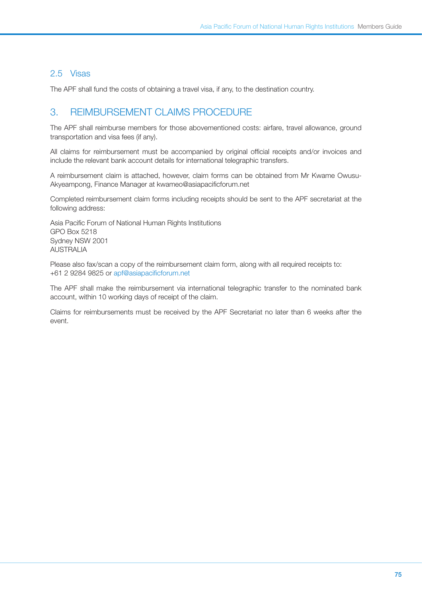#### 2.5 Visas

The APF shall fund the costs of obtaining a travel visa, if any, to the destination country.

## 3. Reimbursement claims procedure

The APF shall reimburse members for those abovementioned costs: airfare, travel allowance, ground transportation and visa fees (if any).

All claims for reimbursement must be accompanied by original official receipts and/or invoices and include the relevant bank account details for international telegraphic transfers.

A reimbursement claim is attached, however, claim forms can be obtained from Mr Kwame Owusu-Akyeampong, Finance Manager at kwameo@asiapacificforum.net

Completed reimbursement claim forms including receipts should be sent to the APF secretariat at the following address:

Asia Pacific Forum of National Human Rights Institutions GPO Box 5218 Sydney NSW 2001 AUSTRALIA

Please also fax/scan a copy of the reimbursement claim form, along with all required receipts to: +61 2 9284 9825 or <apf@asiapacificforum.net>

The APF shall make the reimbursement via international telegraphic transfer to the nominated bank account, within 10 working days of receipt of the claim.

Claims for reimbursements must be received by the APF Secretariat no later than 6 weeks after the event.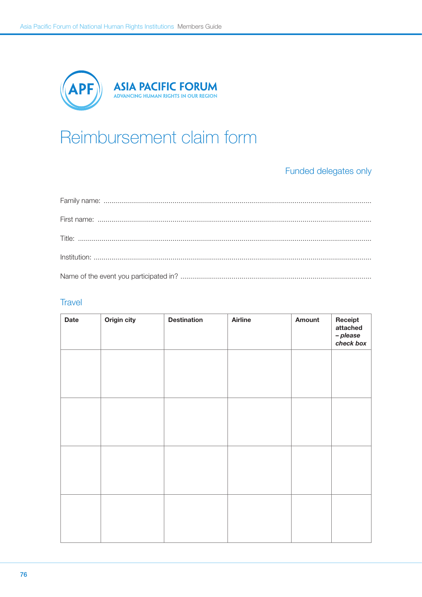

# Reimbursement claim form

# Funded delegates only

#### Travel

| <b>Date</b> | Origin city | <b>Destination</b> | <b>Airline</b> | Amount | Receipt<br>attached<br>- please<br>check box |
|-------------|-------------|--------------------|----------------|--------|----------------------------------------------|
|             |             |                    |                |        |                                              |
|             |             |                    |                |        |                                              |
|             |             |                    |                |        |                                              |
|             |             |                    |                |        |                                              |
|             |             |                    |                |        |                                              |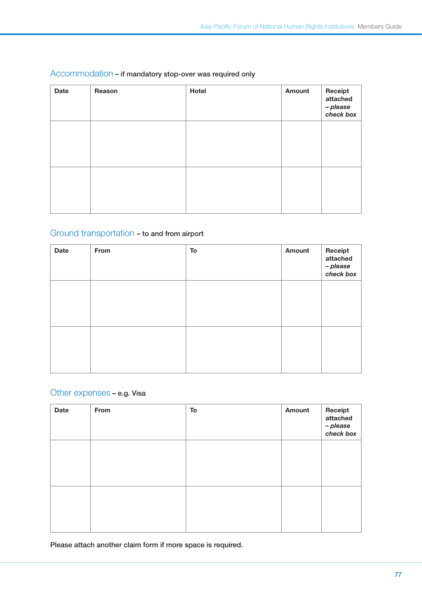| <b>Date</b> | Reason | Hotel | <b>Amount</b> | Receipt<br>attached<br>- please<br>check box |
|-------------|--------|-------|---------------|----------------------------------------------|
|             |        |       |               |                                              |
|             |        |       |               |                                              |

#### Accommodation – if mandatory stop-over was required only

# Ground transportation – to and from airport

| <b>Date</b> | From | To | Amount | Receipt<br>attached<br>– please<br>check box |
|-------------|------|----|--------|----------------------------------------------|
|             |      |    |        |                                              |
|             |      |    |        |                                              |

## Other expenses – e.g. Visa

| <b>Date</b> | From | To | Amount | Receipt<br>attached<br>– please<br>check box |
|-------------|------|----|--------|----------------------------------------------|
|             |      |    |        |                                              |
|             |      |    |        |                                              |

Please attach another claim form if more space is required.